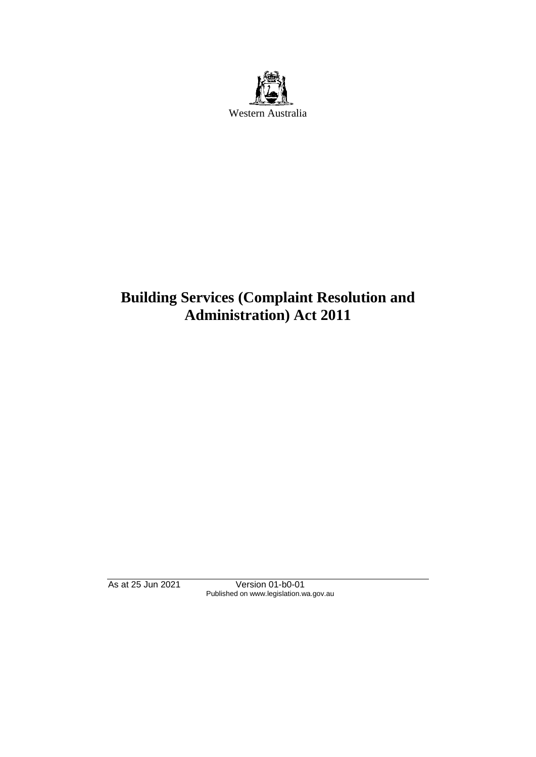

# **Building Services (Complaint Resolution and Administration) Act 2011**

As at 25 Jun 2021 Version 01-b0-01 Published on www.legislation.wa.gov.au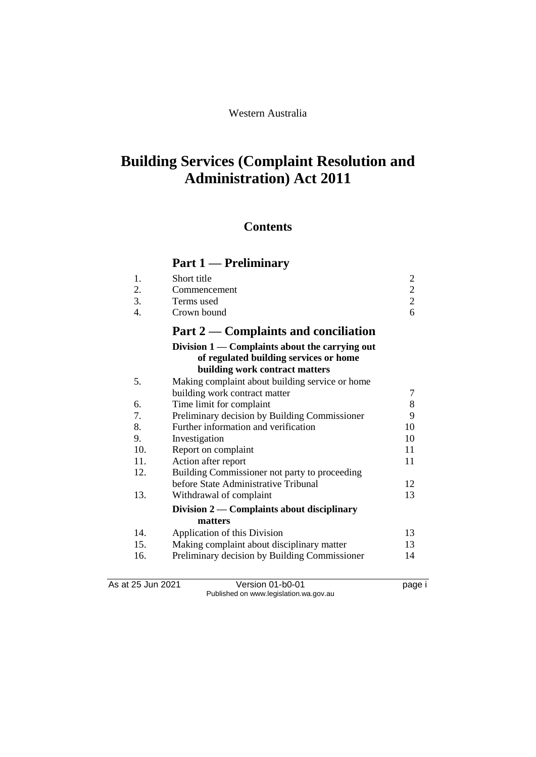# **Building Services (Complaint Resolution and Administration) Act 2011**

# **Contents**

# **Part 1 — Preliminary**

|                | Part $2$ — Complaints and conciliation |   |
|----------------|----------------------------------------|---|
| 4              | Crown bound                            | 6 |
| 3.             | Terms used                             |   |
|                | Commencement                           |   |
| $\mathbf{1}$ . | Short title                            |   |

#### **Division 1 — Complaints about the carrying out of regulated building services or home building work contract matters** 5. Making complaint about building service or home building work contract matter 7<br>Time limit for complaint 8 6. Time limit for complaint

|     | 1 mne mmne 101 e0mpianie                      |    |
|-----|-----------------------------------------------|----|
| 7.  | Preliminary decision by Building Commissioner | 9  |
| 8.  | Further information and verification          | 10 |
| 9.  | Investigation                                 | 10 |
| 10. | Report on complaint                           | 11 |
| 11. | Action after report                           | 11 |
| 12. | Building Commissioner not party to proceeding |    |
|     | before State Administrative Tribunal          | 12 |
| 13. | Withdrawal of complaint                       | 13 |
|     | Division $2$ — Complaints about disciplinary  |    |
|     | matters                                       |    |
| 14. | Application of this Division                  | 13 |
| 15. | Making complaint about disciplinary matter    | 13 |
| 16. | Preliminary decision by Building Commissioner | 14 |

As at 25 Jun 2021 Version 01-b0-01 Page i Published on www.legislation.wa.gov.au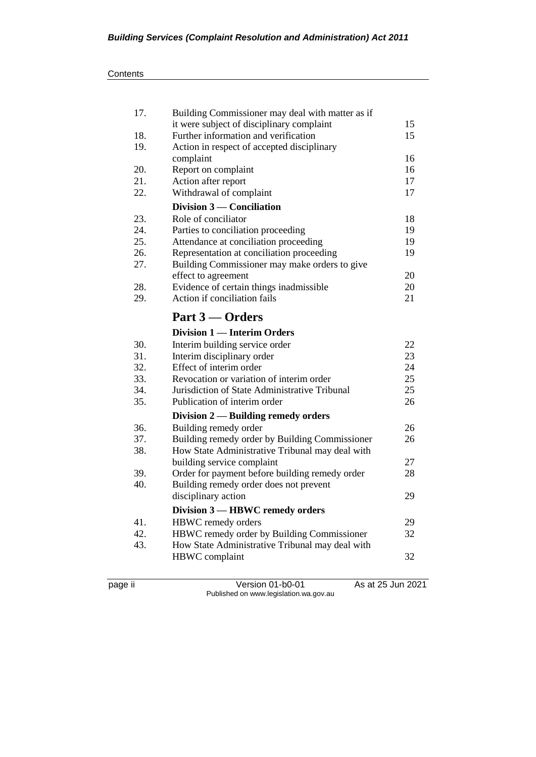| 17. | Building Commissioner may deal with matter as if |    |
|-----|--------------------------------------------------|----|
|     | it were subject of disciplinary complaint        | 15 |
| 18. | Further information and verification             | 15 |
| 19. | Action in respect of accepted disciplinary       |    |
|     | complaint                                        | 16 |
| 20. | Report on complaint                              | 16 |
| 21. | Action after report                              | 17 |
| 22. | Withdrawal of complaint                          | 17 |
|     | Division 3 — Conciliation                        |    |
| 23. | Role of conciliator                              | 18 |
| 24. | Parties to conciliation proceeding               | 19 |
| 25. | Attendance at conciliation proceeding            | 19 |
| 26. | Representation at conciliation proceeding        | 19 |
| 27. | Building Commissioner may make orders to give    |    |
|     | effect to agreement                              | 20 |
| 28. | Evidence of certain things inadmissible          | 20 |
| 29. | Action if conciliation fails                     | 21 |
|     |                                                  |    |
|     | Part 3 – Orders                                  |    |
|     | <b>Division 1 — Interim Orders</b>               |    |
| 30. | Interim building service order                   | 22 |
| 31. | Interim disciplinary order                       | 23 |
| 32. | Effect of interim order                          | 24 |
| 33. | Revocation or variation of interim order         | 25 |
| 34. | Jurisdiction of State Administrative Tribunal    | 25 |
| 35. | Publication of interim order                     | 26 |
|     | Division 2 - Building remedy orders              |    |
| 36. | Building remedy order                            | 26 |
| 37. | Building remedy order by Building Commissioner   | 26 |
| 38. | How State Administrative Tribunal may deal with  |    |
|     | building service complaint                       | 27 |
| 39. | Order for payment before building remedy order   | 28 |
| 40. | Building remedy order does not prevent           |    |
|     | disciplinary action                              | 29 |
|     | Division 3 - HBWC remedy orders                  |    |
| 41. | HBWC remedy orders                               | 29 |
| 42. | HBWC remedy order by Building Commissioner       | 32 |
| 43. | How State Administrative Tribunal may deal with  |    |
|     | HBWC complaint                                   | 32 |
|     |                                                  |    |

page ii Version 01-b0-01 As at 25 Jun 2021 Published on www.legislation.wa.gov.au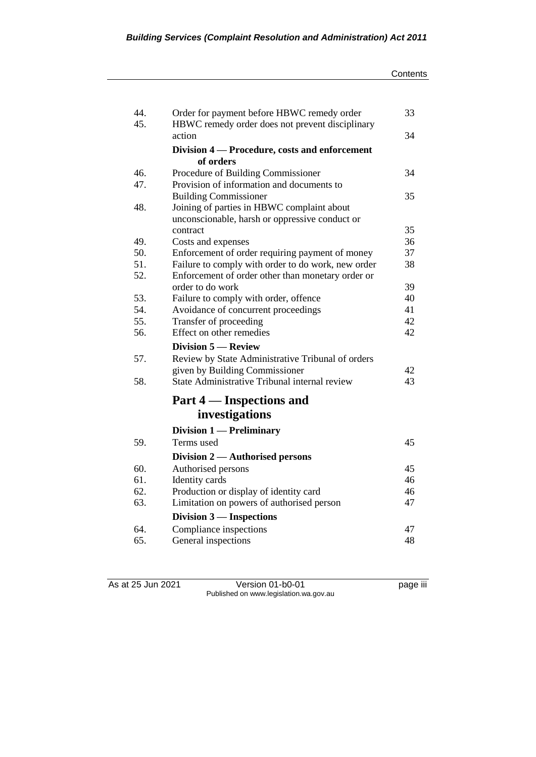| 44.        | Order for payment before HBWC remedy order                                                              | 33       |
|------------|---------------------------------------------------------------------------------------------------------|----------|
| 45.        | HBWC remedy order does not prevent disciplinary                                                         |          |
|            | action                                                                                                  | 34       |
|            | Division 4 – Procedure, costs and enforcement                                                           |          |
|            | of orders                                                                                               |          |
| 46.        | Procedure of Building Commissioner                                                                      | 34       |
| 47.        | Provision of information and documents to                                                               |          |
|            | <b>Building Commissioner</b>                                                                            | 35       |
| 48.        | Joining of parties in HBWC complaint about                                                              |          |
|            | unconscionable, harsh or oppressive conduct or                                                          |          |
|            | contract                                                                                                | 35       |
| 49.<br>50. | Costs and expenses                                                                                      | 36<br>37 |
| 51.        | Enforcement of order requiring payment of money                                                         | 38       |
| 52.        | Failure to comply with order to do work, new order<br>Enforcement of order other than monetary order or |          |
|            | order to do work                                                                                        | 39       |
| 53.        | Failure to comply with order, offence                                                                   | 40       |
| 54.        | Avoidance of concurrent proceedings                                                                     | 41       |
| 55.        | Transfer of proceeding                                                                                  | 42       |
| 56.        | Effect on other remedies                                                                                | 42       |
|            | <b>Division 5 – Review</b>                                                                              |          |
| 57.        | Review by State Administrative Tribunal of orders                                                       |          |
|            | given by Building Commissioner                                                                          | 42       |
| 58.        | State Administrative Tribunal internal review                                                           | 43       |
|            |                                                                                                         |          |
|            | Part 4 — Inspections and                                                                                |          |
|            | investigations                                                                                          |          |
|            | Division 1 - Preliminary                                                                                |          |
| 59.        | Terms used                                                                                              | 45       |
|            | Division 2 — Authorised persons                                                                         |          |
| 60.        | Authorised persons                                                                                      | 45       |
| 61.        | Identity cards                                                                                          | 46       |
| 62.        | Production or display of identity card                                                                  | 46       |
| 63.        | Limitation on powers of authorised person                                                               | 47       |
|            | Division 3 — Inspections                                                                                |          |
| 64.        | Compliance inspections                                                                                  | 47       |
| 65.        | General inspections                                                                                     | 48       |

As at 25 Jun 2021 Version 01-b0-01 page iii Published on www.legislation.wa.gov.au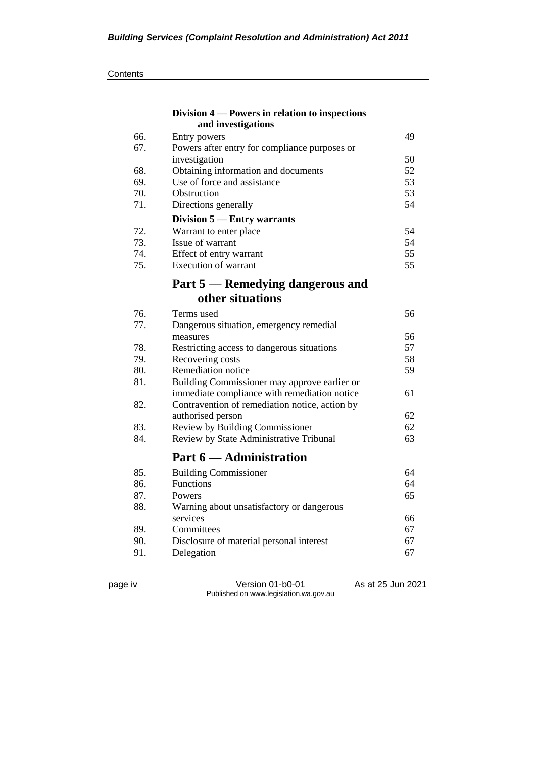|     | Division 4 – Powers in relation to inspections |    |
|-----|------------------------------------------------|----|
|     | and investigations                             |    |
| 66. | Entry powers                                   | 49 |
| 67. | Powers after entry for compliance purposes or  |    |
|     | investigation                                  | 50 |
| 68. | Obtaining information and documents            | 52 |
| 69. | Use of force and assistance                    | 53 |
| 70. | Obstruction                                    | 53 |
| 71. | Directions generally                           | 54 |
|     | Division 5 - Entry warrants                    |    |
| 72. | Warrant to enter place                         | 54 |
| 73. | Issue of warrant                               | 54 |
| 74. | Effect of entry warrant                        | 55 |
| 75. | Execution of warrant                           | 55 |
|     | Part 5 — Remedying dangerous and               |    |
|     | other situations                               |    |
| 76. | Terms used                                     | 56 |
| 77. | Dangerous situation, emergency remedial        |    |
|     | measures                                       | 56 |
| 78. | Restricting access to dangerous situations     | 57 |
| 79. | Recovering costs                               | 58 |
| 80. | Remediation notice                             | 59 |
| 81. | Building Commissioner may approve earlier or   |    |
|     | immediate compliance with remediation notice   | 61 |
| 82. | Contravention of remediation notice, action by |    |
|     | authorised person                              | 62 |
| 83. | Review by Building Commissioner                | 62 |
| 84. | Review by State Administrative Tribunal        | 63 |
|     | Part 6 — Administration                        |    |
| 85. | <b>Building Commissioner</b>                   | 64 |
| 86. | <b>Functions</b>                               | 64 |
| 87. | Powers                                         | 65 |
| 88. | Warning about unsatisfactory or dangerous      |    |
|     | services                                       | 66 |
| 89. | Committees                                     | 67 |
| 90. | Disclosure of material personal interest       | 67 |
| 91. | Delegation                                     | 67 |
|     |                                                |    |

page iv Version 01-b0-01 As at 25 Jun 2021 Published on www.legislation.wa.gov.au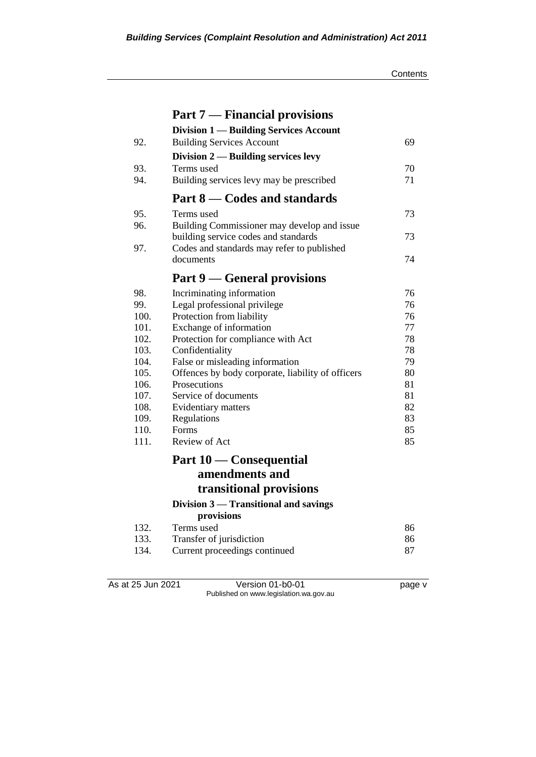|      | <b>Part 7 — Financial provisions</b>              |          |
|------|---------------------------------------------------|----------|
|      | <b>Division 1 — Building Services Account</b>     |          |
| 92.  | <b>Building Services Account</b>                  | 69       |
|      | Division $2$ — Building services levy             |          |
| 93.  | Terms used                                        | 70       |
| 94.  | Building services levy may be prescribed          | 71       |
|      | Part 8 — Codes and standards                      |          |
| 95.  | Terms used                                        | 73       |
| 96.  | Building Commissioner may develop and issue       |          |
|      | building service codes and standards              | 73.      |
| 97.  | Codes and standards may refer to published        |          |
|      | documents                                         | 74       |
|      | Part 9 — General provisions                       |          |
| 98.  | Incriminating information                         | 76       |
| 99.  | Legal professional privilege                      | 76       |
| 100. | Protection from liability                         | 76       |
| 101. | Exchange of information                           | 77       |
| 102. | Protection for compliance with Act                | 78       |
| 103. | Confidentiality                                   | 78       |
| 104. | False or misleading information                   | 79       |
| 105. | Offences by body corporate, liability of officers | 80       |
| 106. | Prosecutions                                      | 81       |
| 107. | Service of documents                              | 81       |
| 108. | Evidentiary matters                               | 82       |
| 109. | Regulations                                       | 83       |
| 110. | Forms                                             | 85       |
| 111. | Review of Act                                     | 85       |
|      | Part 10 — Consequential                           |          |
|      | amendments and                                    |          |
|      | transitional provisions                           |          |
|      | Division 3 — Transitional and savings             |          |
|      | provisions                                        |          |
| 132. | Terms used                                        | 86       |
| 133. | Transfer of jurisdiction                          | 86<br>87 |
| 134. | Current proceedings continued                     |          |

As at 25 Jun 2021 Version 01-b0-01 page v Published on www.legislation.wa.gov.au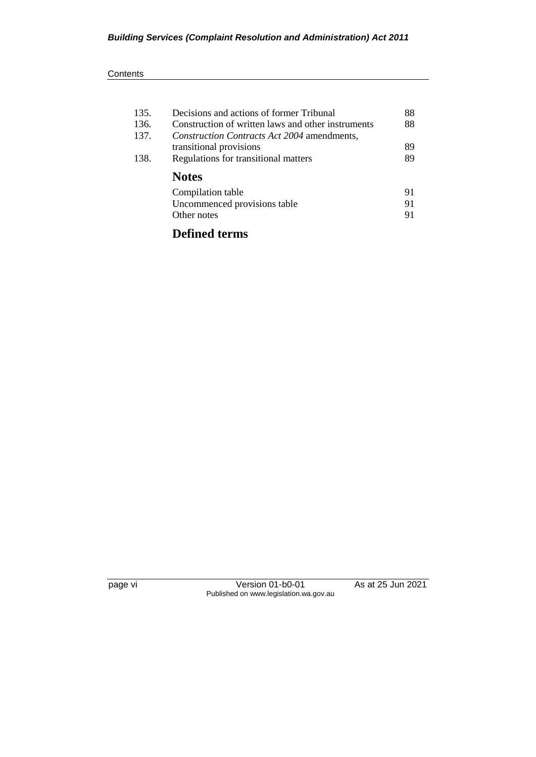| 135. | Decisions and actions of former Tribunal           | 88 |
|------|----------------------------------------------------|----|
| 136. | Construction of written laws and other instruments | 88 |
| 137. | Construction Contracts Act 2004 amendments,        |    |
|      | transitional provisions                            | 89 |
| 138. | Regulations for transitional matters               | 89 |
|      | <b>Notes</b>                                       |    |
|      | Compilation table                                  | 91 |
|      | Uncommenced provisions table                       | 91 |
|      | Other notes                                        | 91 |
|      |                                                    |    |

# **Defined terms**

page vi Version 01-b0-01 As at 25 Jun 2021 Published on www.legislation.wa.gov.au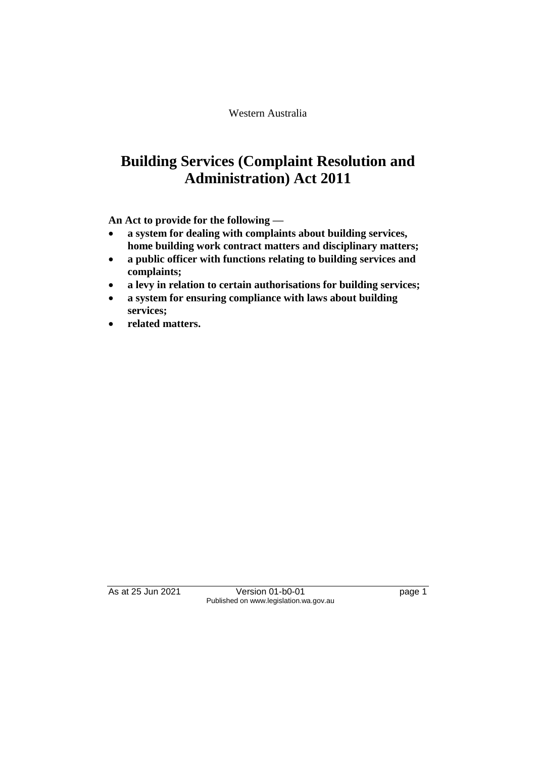Western Australia

# **Building Services (Complaint Resolution and Administration) Act 2011**

**An Act to provide for the following —**

- **a system for dealing with complaints about building services, home building work contract matters and disciplinary matters;**
- **a public officer with functions relating to building services and complaints;**
- **a levy in relation to certain authorisations for building services;**
- **a system for ensuring compliance with laws about building services;**
- **related matters.**

As at 25 Jun 2021 Version 01-b0-01 page 1 Published on www.legislation.wa.gov.au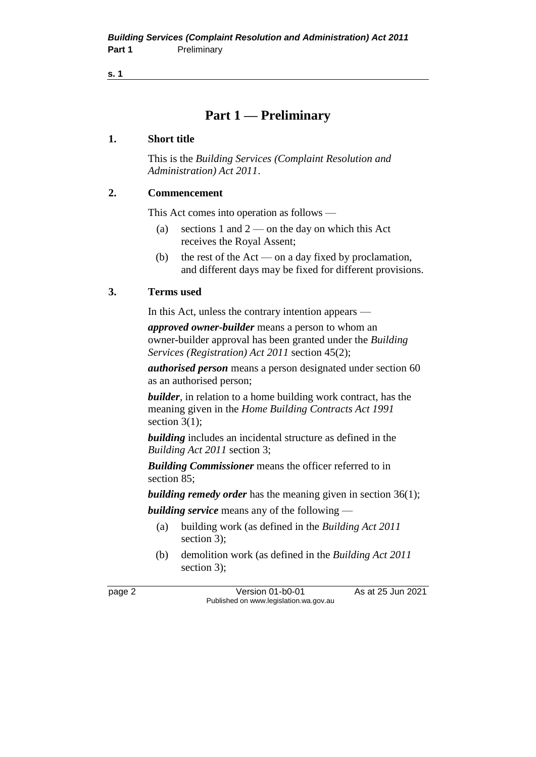**s. 1**

# **Part 1 — Preliminary**

#### **1. Short title**

This is the *Building Services (Complaint Resolution and Administration) Act 2011*.

#### **2. Commencement**

This Act comes into operation as follows —

- (a) sections 1 and  $2$  on the day on which this Act receives the Royal Assent;
- (b) the rest of the Act on a day fixed by proclamation, and different days may be fixed for different provisions.

#### **3. Terms used**

In this Act, unless the contrary intention appears —

*approved owner-builder* means a person to whom an owner-builder approval has been granted under the *Building Services (Registration) Act 2011* section 45(2);

*authorised person* means a person designated under section 60 as an authorised person;

*builder*, in relation to a home building work contract, has the meaning given in the *Home Building Contracts Act 1991* section  $3(1)$ ;

*building* includes an incidental structure as defined in the *Building Act 2011* section 3;

*Building Commissioner* means the officer referred to in section 85;

*building remedy order* has the meaning given in section 36(1); *building service* means any of the following —

- (a) building work (as defined in the *Building Act 2011*  section 3);
- (b) demolition work (as defined in the *Building Act 2011*  section 3);

page 2 Version 01-b0-01 As at 25 Jun 2021 Published on www.legislation.wa.gov.au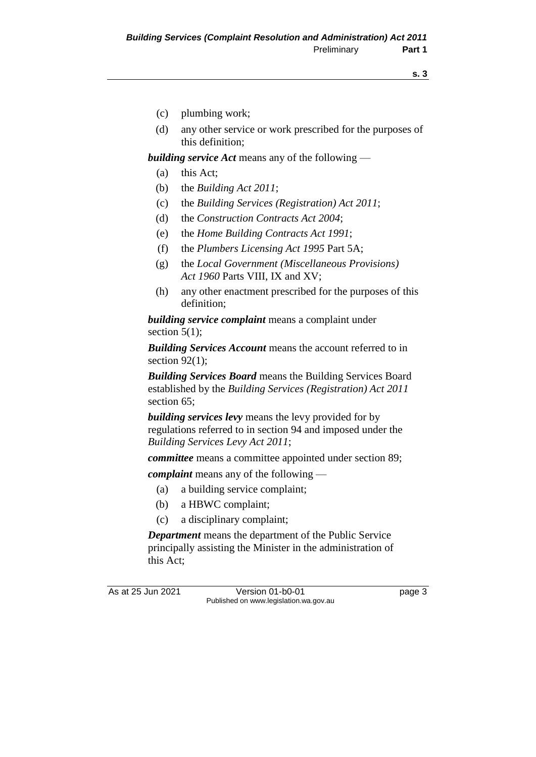- (c) plumbing work;
- (d) any other service or work prescribed for the purposes of this definition;

*building service Act* means any of the following —

- (a) this Act;
- (b) the *Building Act 2011*;
- (c) the *Building Services (Registration) Act 2011*;
- (d) the *Construction Contracts Act 2004*;
- (e) the *Home Building Contracts Act 1991*;
- (f) the *Plumbers Licensing Act 1995* Part 5A;
- (g) the *Local Government (Miscellaneous Provisions) Act 1960* Parts VIII, IX and XV;
- (h) any other enactment prescribed for the purposes of this definition;

*building service complaint* means a complaint under section  $5(1)$ ;

*Building Services Account* means the account referred to in section  $92(1)$ ;

*Building Services Board* means the Building Services Board established by the *Building Services (Registration) Act 2011*  section 65;

*building services levy* means the levy provided for by regulations referred to in section 94 and imposed under the *Building Services Levy Act 2011*;

*committee* means a committee appointed under section 89;

*complaint* means any of the following —

- (a) a building service complaint;
- (b) a HBWC complaint;
- (c) a disciplinary complaint;

*Department* means the department of the Public Service principally assisting the Minister in the administration of this Act;

As at 25 Jun 2021 Version 01-b0-01 Page 3 Published on www.legislation.wa.gov.au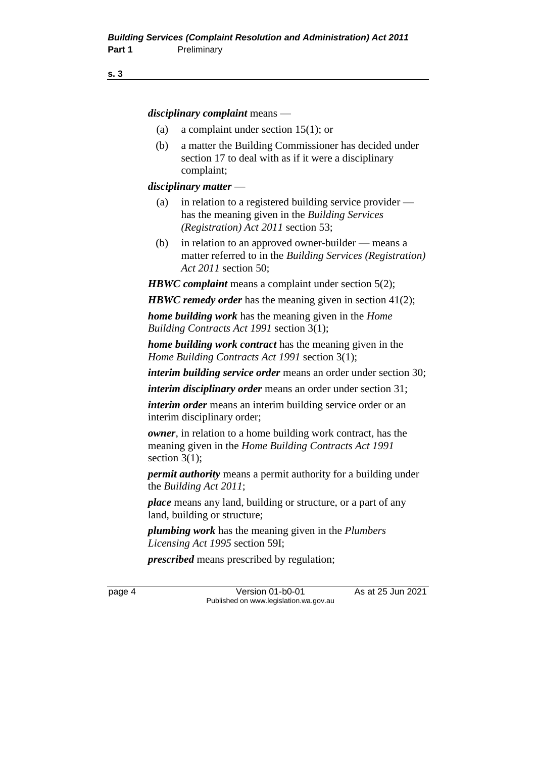#### **s. 3**

*disciplinary complaint* means —

- (a) a complaint under section 15(1); or
- (b) a matter the Building Commissioner has decided under section 17 to deal with as if it were a disciplinary complaint;

#### *disciplinary matter* —

- (a) in relation to a registered building service provider has the meaning given in the *Building Services (Registration) Act 2011* section 53;
- (b) in relation to an approved owner-builder means a matter referred to in the *Building Services (Registration) Act 2011* section 50;

*HBWC complaint* means a complaint under section 5(2);

*HBWC remedy order* has the meaning given in section 41(2);

*home building work* has the meaning given in the *Home Building Contracts Act 1991* section 3(1);

*home building work contract* has the meaning given in the *Home Building Contracts Act 1991* section 3(1);

*interim building service order* means an order under section 30;

*interim disciplinary order* means an order under section 31;

*interim order* means an interim building service order or an interim disciplinary order;

*owner*, in relation to a home building work contract, has the meaning given in the *Home Building Contracts Act 1991* section  $3(1)$ ;

*permit authority* means a permit authority for a building under the *Building Act 2011*;

*place* means any land, building or structure, or a part of any land, building or structure;

*plumbing work* has the meaning given in the *Plumbers Licensing Act 1995* section 59I;

*prescribed* means prescribed by regulation;

page 4 Version 01-b0-01 As at 25 Jun 2021 Published on www.legislation.wa.gov.au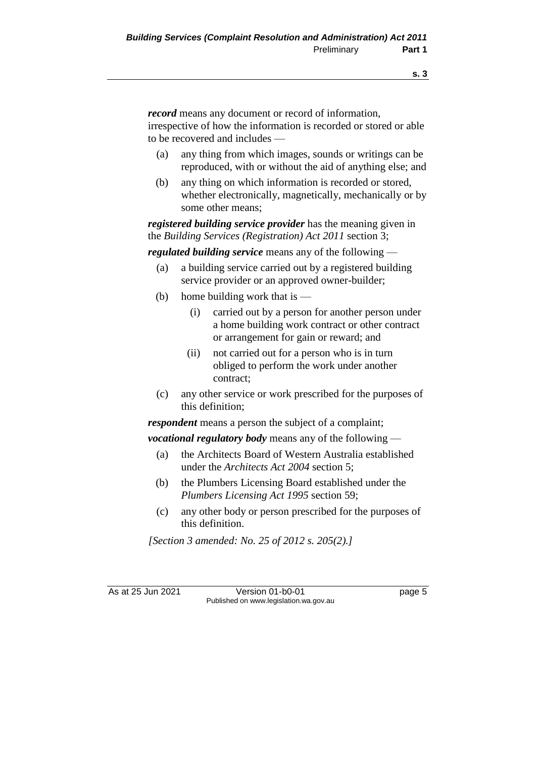*record* means any document or record of information, irrespective of how the information is recorded or stored or able to be recovered and includes —

- (a) any thing from which images, sounds or writings can be reproduced, with or without the aid of anything else; and
- (b) any thing on which information is recorded or stored, whether electronically, magnetically, mechanically or by some other means;

*registered building service provider* has the meaning given in the *Building Services (Registration) Act 2011* section 3;

*regulated building service* means any of the following —

- (a) a building service carried out by a registered building service provider or an approved owner-builder;
- (b) home building work that is  $-$ 
	- (i) carried out by a person for another person under a home building work contract or other contract or arrangement for gain or reward; and
	- (ii) not carried out for a person who is in turn obliged to perform the work under another contract;
- (c) any other service or work prescribed for the purposes of this definition;

*respondent* means a person the subject of a complaint;

*vocational regulatory body* means any of the following —

- (a) the Architects Board of Western Australia established under the *Architects Act 2004* section 5;
- (b) the Plumbers Licensing Board established under the *Plumbers Licensing Act 1995* section 59;
- (c) any other body or person prescribed for the purposes of this definition.

*[Section 3 amended: No. 25 of 2012 s. 205(2).]*

As at 25 Jun 2021 Version 01-b0-01 Page 5 Published on www.legislation.wa.gov.au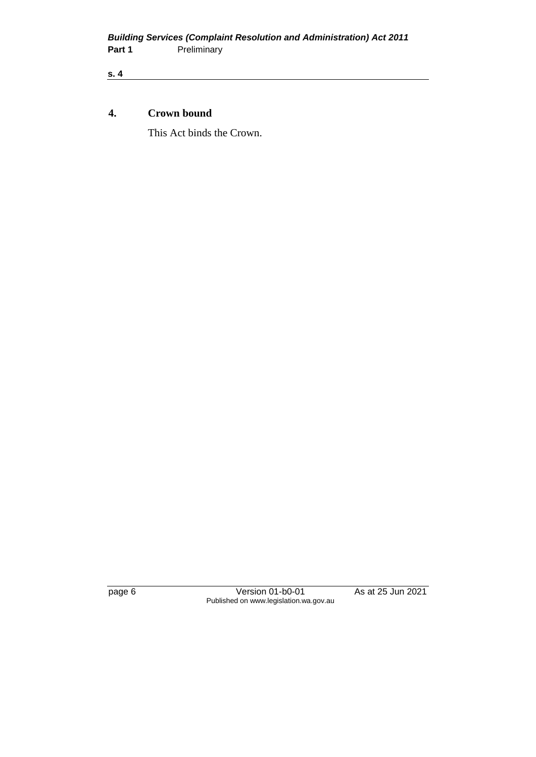**s. 4**

#### **4. Crown bound**

This Act binds the Crown.

page 6 Version 01-b0-01 As at 25 Jun 2021 Published on www.legislation.wa.gov.au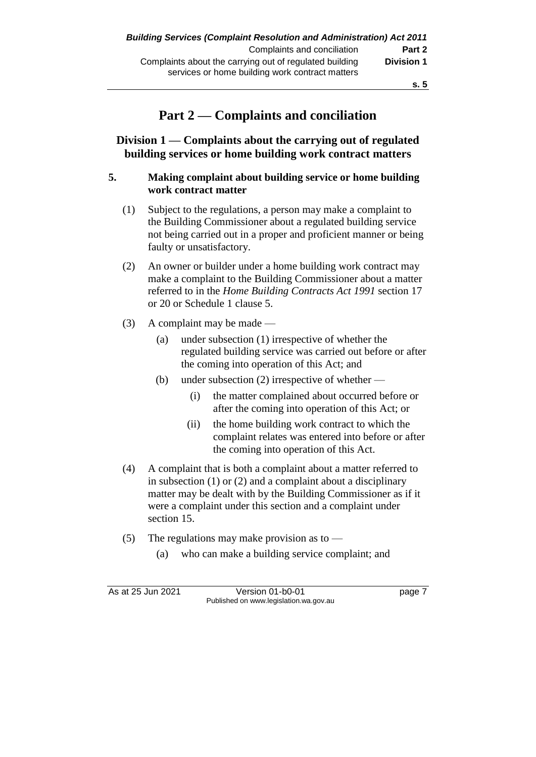# **Part 2 — Complaints and conciliation**

**Division 1 — Complaints about the carrying out of regulated building services or home building work contract matters**

#### **5. Making complaint about building service or home building work contract matter**

- (1) Subject to the regulations, a person may make a complaint to the Building Commissioner about a regulated building service not being carried out in a proper and proficient manner or being faulty or unsatisfactory.
- (2) An owner or builder under a home building work contract may make a complaint to the Building Commissioner about a matter referred to in the *Home Building Contracts Act 1991* section 17 or 20 or Schedule 1 clause 5.
- (3) A complaint may be made
	- (a) under subsection (1) irrespective of whether the regulated building service was carried out before or after the coming into operation of this Act; and
	- (b) under subsection (2) irrespective of whether
		- (i) the matter complained about occurred before or after the coming into operation of this Act; or
		- (ii) the home building work contract to which the complaint relates was entered into before or after the coming into operation of this Act.
- (4) A complaint that is both a complaint about a matter referred to in subsection (1) or (2) and a complaint about a disciplinary matter may be dealt with by the Building Commissioner as if it were a complaint under this section and a complaint under section 15.
- (5) The regulations may make provision as to
	- (a) who can make a building service complaint; and

As at 25 Jun 2021 Version 01-b0-01 Page 7 Published on www.legislation.wa.gov.au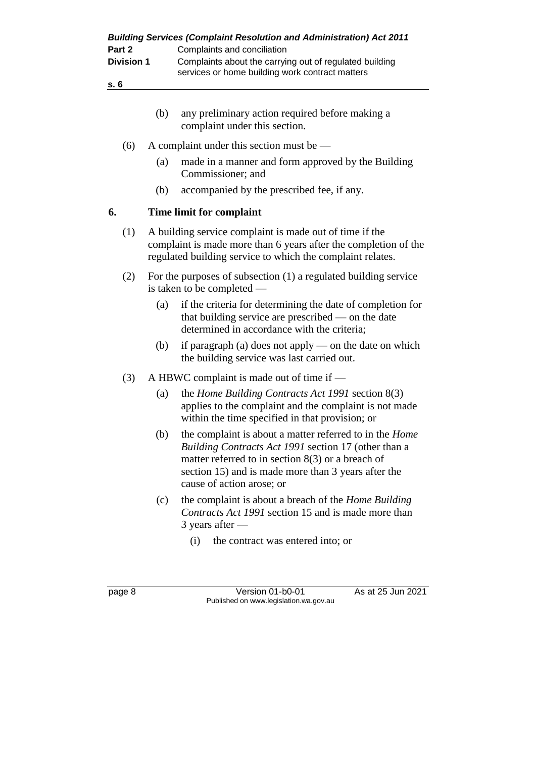| <b>Building Services (Complaint Resolution and Administration) Act 2011</b><br>Complaints and conciliation                                                                                                                                                               |
|--------------------------------------------------------------------------------------------------------------------------------------------------------------------------------------------------------------------------------------------------------------------------|
| Complaints about the carrying out of regulated building<br>services or home building work contract matters                                                                                                                                                               |
|                                                                                                                                                                                                                                                                          |
| any preliminary action required before making a<br>complaint under this section.                                                                                                                                                                                         |
| A complaint under this section must be $-$                                                                                                                                                                                                                               |
| made in a manner and form approved by the Building<br>Commissioner; and                                                                                                                                                                                                  |
| accompanied by the prescribed fee, if any.                                                                                                                                                                                                                               |
| Time limit for complaint                                                                                                                                                                                                                                                 |
| A building service complaint is made out of time if the<br>complaint is made more than 6 years after the completion of the<br>regulated building service to which the complaint relates.                                                                                 |
| For the purposes of subsection (1) a regulated building service<br>is taken to be completed —                                                                                                                                                                            |
| if the criteria for determining the date of completion for<br>that building service are prescribed $\sim$ on the date<br>determined in accordance with the criteria;                                                                                                     |
| if paragraph (a) does not apply — on the date on which<br>the building service was last carried out.                                                                                                                                                                     |
| A HBWC complaint is made out of time if —                                                                                                                                                                                                                                |
| the <i>Home Building Contracts Act 1991</i> section $8(3)$<br>applies to the complaint and the complaint is not made<br>within the time specified in that provision; or                                                                                                  |
| the complaint is about a matter referred to in the <i>Home</i><br><i>Building Contracts Act 1991</i> section 17 (other than a<br>matter referred to in section $8(3)$ or a breach of<br>section 15) and is made more than 3 years after the<br>cause of action arose; or |
| the complaint is about a breach of the <i>Home Building</i><br>Contracts Act 1991 section 15 and is made more than                                                                                                                                                       |
| the contract was entered into; or                                                                                                                                                                                                                                        |
|                                                                                                                                                                                                                                                                          |
| As at 25 Jun 2021<br>Version 01-b0-01<br>Published on www.legislation.wa.gov.au                                                                                                                                                                                          |
|                                                                                                                                                                                                                                                                          |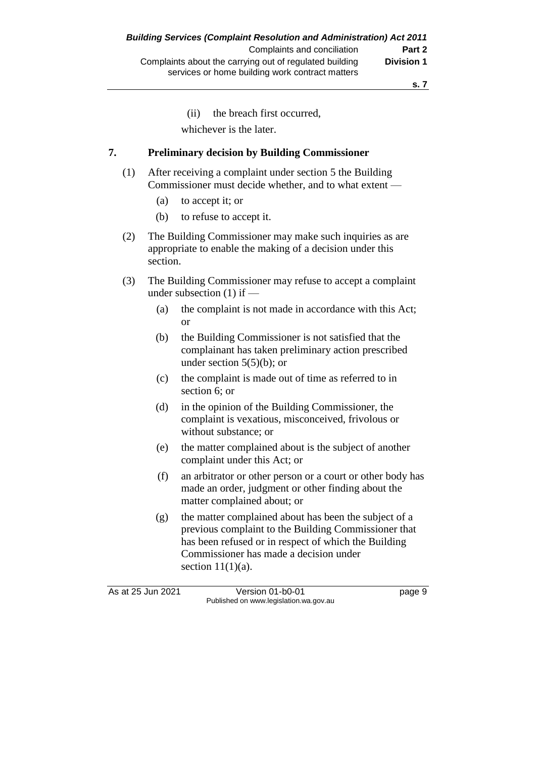(ii) the breach first occurred, whichever is the later.

#### **7. Preliminary decision by Building Commissioner**

- (1) After receiving a complaint under section 5 the Building Commissioner must decide whether, and to what extent —
	- (a) to accept it; or
	- (b) to refuse to accept it.
- (2) The Building Commissioner may make such inquiries as are appropriate to enable the making of a decision under this section.
- (3) The Building Commissioner may refuse to accept a complaint under subsection (1) if —
	- (a) the complaint is not made in accordance with this Act; or
	- (b) the Building Commissioner is not satisfied that the complainant has taken preliminary action prescribed under section  $5(5)(b)$ ; or
	- (c) the complaint is made out of time as referred to in section 6; or
	- (d) in the opinion of the Building Commissioner, the complaint is vexatious, misconceived, frivolous or without substance; or
	- (e) the matter complained about is the subject of another complaint under this Act; or
	- (f) an arbitrator or other person or a court or other body has made an order, judgment or other finding about the matter complained about; or
	- (g) the matter complained about has been the subject of a previous complaint to the Building Commissioner that has been refused or in respect of which the Building Commissioner has made a decision under section  $11(1)(a)$ .

As at 25 Jun 2021 Version 01-b0-01 Page 9 Published on www.legislation.wa.gov.au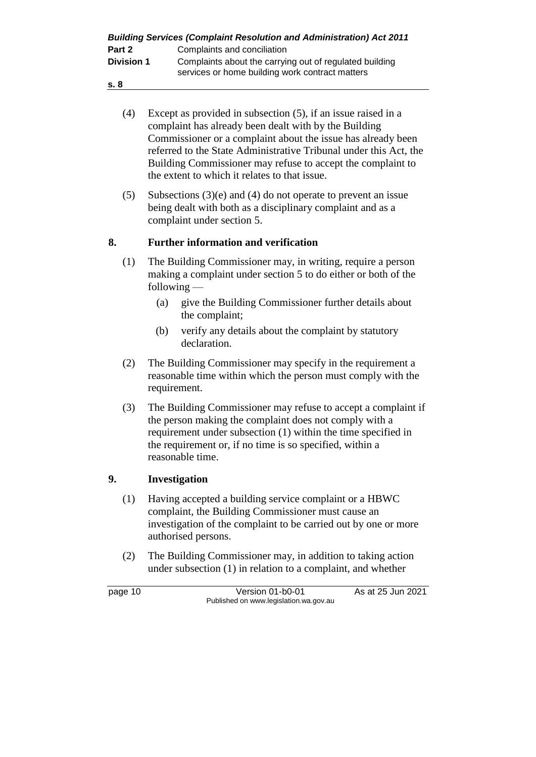| <b>Building Services (Complaint Resolution and Administration) Act 2011</b> |                                                                                                            |  |
|-----------------------------------------------------------------------------|------------------------------------------------------------------------------------------------------------|--|
| Part 2                                                                      | Complaints and conciliation                                                                                |  |
| <b>Division 1</b>                                                           | Complaints about the carrying out of regulated building<br>services or home building work contract matters |  |

- **s. 8**
	- (4) Except as provided in subsection (5), if an issue raised in a complaint has already been dealt with by the Building Commissioner or a complaint about the issue has already been referred to the State Administrative Tribunal under this Act, the Building Commissioner may refuse to accept the complaint to the extent to which it relates to that issue.
	- (5) Subsections (3)(e) and (4) do not operate to prevent an issue being dealt with both as a disciplinary complaint and as a complaint under section 5.

## **8. Further information and verification**

- (1) The Building Commissioner may, in writing, require a person making a complaint under section 5 to do either or both of the following —
	- (a) give the Building Commissioner further details about the complaint;
	- (b) verify any details about the complaint by statutory declaration.
- (2) The Building Commissioner may specify in the requirement a reasonable time within which the person must comply with the requirement.
- (3) The Building Commissioner may refuse to accept a complaint if the person making the complaint does not comply with a requirement under subsection (1) within the time specified in the requirement or, if no time is so specified, within a reasonable time.

# **9. Investigation**

- (1) Having accepted a building service complaint or a HBWC complaint, the Building Commissioner must cause an investigation of the complaint to be carried out by one or more authorised persons.
- (2) The Building Commissioner may, in addition to taking action under subsection (1) in relation to a complaint, and whether

page 10 Version 01-b0-01 As at 25 Jun 2021 Published on www.legislation.wa.gov.au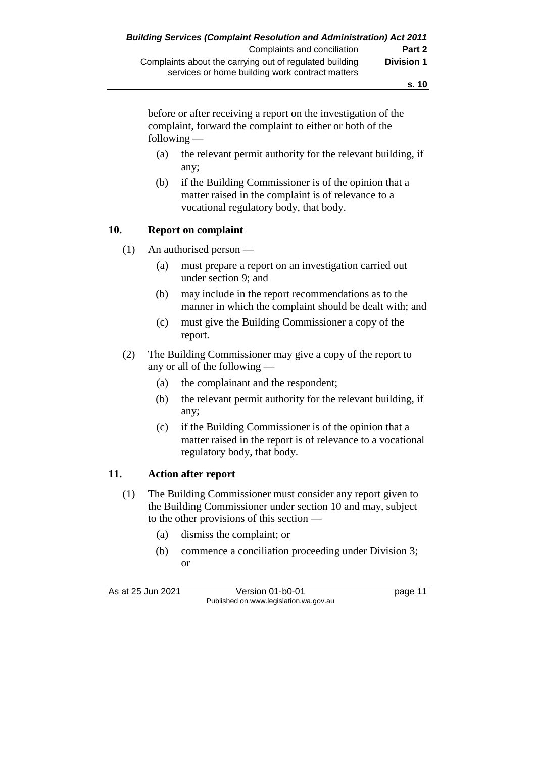**s. 10**

before or after receiving a report on the investigation of the complaint, forward the complaint to either or both of the following —

- (a) the relevant permit authority for the relevant building, if any;
- (b) if the Building Commissioner is of the opinion that a matter raised in the complaint is of relevance to a vocational regulatory body, that body.

#### **10. Report on complaint**

- (1) An authorised person
	- (a) must prepare a report on an investigation carried out under section 9; and
	- (b) may include in the report recommendations as to the manner in which the complaint should be dealt with; and
	- (c) must give the Building Commissioner a copy of the report.
- (2) The Building Commissioner may give a copy of the report to any or all of the following —
	- (a) the complainant and the respondent;
	- (b) the relevant permit authority for the relevant building, if any;
	- (c) if the Building Commissioner is of the opinion that a matter raised in the report is of relevance to a vocational regulatory body, that body.

# **11. Action after report**

- (1) The Building Commissioner must consider any report given to the Building Commissioner under section 10 and may, subject to the other provisions of this section —
	- (a) dismiss the complaint; or
	- (b) commence a conciliation proceeding under Division 3; or

As at 25 Jun 2021 Version 01-b0-01 Page 11 Published on www.legislation.wa.gov.au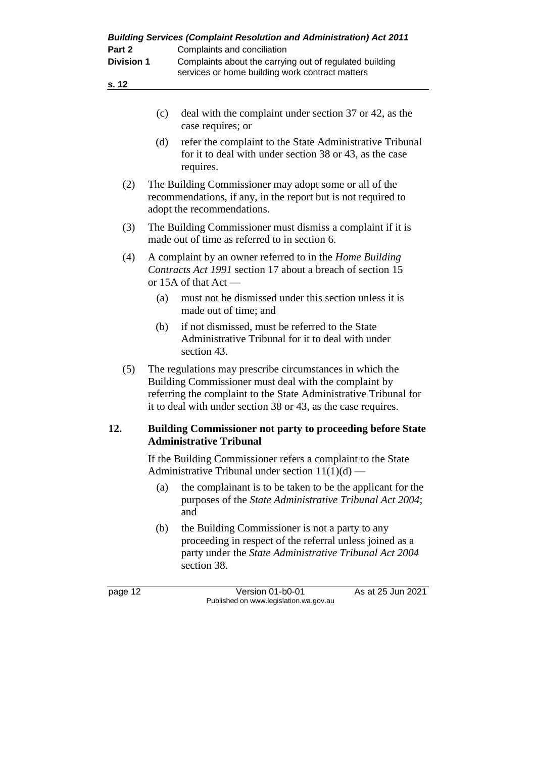| Part 2<br><b>Division 1</b><br>s. 12 | Complaints and conciliation<br>Complaints about the carrying out of regulated building<br>services or home building work contract matters                                                                                                              |
|--------------------------------------|--------------------------------------------------------------------------------------------------------------------------------------------------------------------------------------------------------------------------------------------------------|
|                                      | deal with the complaint under section 37 or 42, as the<br>(c)<br>case requires; or                                                                                                                                                                     |
|                                      | refer the complaint to the State Administrative Tribunal<br>(d)<br>for it to deal with under section 38 or 43, as the case<br>requires.                                                                                                                |
| (2)                                  | The Building Commissioner may adopt some or all of the<br>recommendations, if any, in the report but is not required to<br>adopt the recommendations.                                                                                                  |
| (3)                                  | The Building Commissioner must dismiss a complaint if it is<br>made out of time as referred to in section 6.                                                                                                                                           |
| (4)                                  | A complaint by an owner referred to in the <i>Home Building</i><br>Contracts Act 1991 section 17 about a breach of section 15<br>or 15A of that $Act$ —                                                                                                |
|                                      | must not be dismissed under this section unless it is<br>(a)<br>made out of time; and                                                                                                                                                                  |
|                                      | if not dismissed, must be referred to the State<br>(b)<br>Administrative Tribunal for it to deal with under<br>section 43.                                                                                                                             |
| (5)                                  | The regulations may prescribe circumstances in which the<br>Building Commissioner must deal with the complaint by<br>referring the complaint to the State Administrative Tribunal for<br>it to deal with under section 38 or 43, as the case requires. |
| 12.                                  | Building Commissioner not party to proceeding before State<br><b>Administrative Tribunal</b>                                                                                                                                                           |
|                                      | If the Building Commissioner refers a complaint to the State<br>Administrative Tribunal under section $11(1)(d)$ —                                                                                                                                     |
|                                      | the complainant is to be taken to be the applicant for the<br>(a)<br>purposes of the State Administrative Tribunal Act 2004;<br>and                                                                                                                    |
|                                      | the Building Commissioner is not a party to any<br>(b)<br>proceeding in respect of the referral unless joined as a<br>party under the State Administrative Tribunal Act 2004<br>section 38.                                                            |
| page 12                              | As at 25 Jun 2021<br>Version 01-b0-01<br>Published on www.legislation.wa.gov.au                                                                                                                                                                        |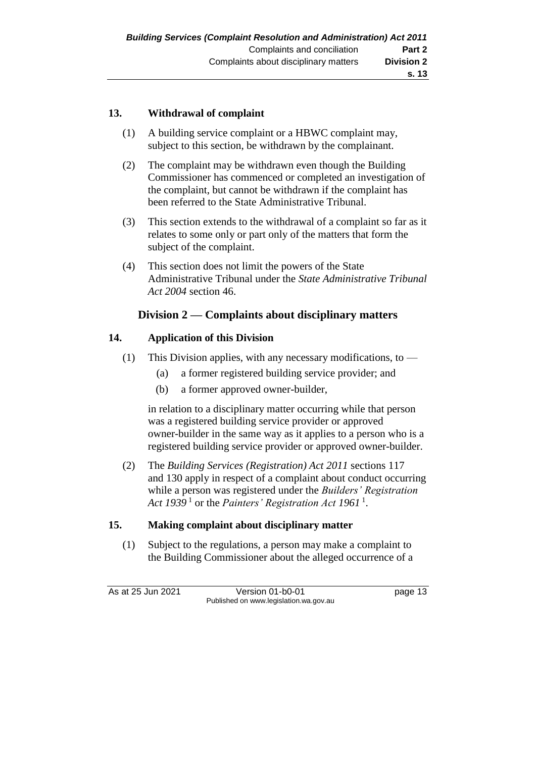# **13. Withdrawal of complaint**

- (1) A building service complaint or a HBWC complaint may, subject to this section, be withdrawn by the complainant.
- (2) The complaint may be withdrawn even though the Building Commissioner has commenced or completed an investigation of the complaint, but cannot be withdrawn if the complaint has been referred to the State Administrative Tribunal.
- (3) This section extends to the withdrawal of a complaint so far as it relates to some only or part only of the matters that form the subject of the complaint.
- (4) This section does not limit the powers of the State Administrative Tribunal under the *State Administrative Tribunal Act 2004* section 46.

## **Division 2 — Complaints about disciplinary matters**

#### **14. Application of this Division**

- (1) This Division applies, with any necessary modifications, to  $-$ 
	- (a) a former registered building service provider; and
	- (b) a former approved owner-builder,

in relation to a disciplinary matter occurring while that person was a registered building service provider or approved owner-builder in the same way as it applies to a person who is a registered building service provider or approved owner-builder.

(2) The *Building Services (Registration) Act 2011* sections 117 and 130 apply in respect of a complaint about conduct occurring while a person was registered under the *Builders' Registration*  Act 1939<sup>1</sup> or the *Painters' Registration Act* 1961<sup>1</sup>.

#### **15. Making complaint about disciplinary matter**

(1) Subject to the regulations, a person may make a complaint to the Building Commissioner about the alleged occurrence of a

As at 25 Jun 2021 Version 01-b0-01 page 13 Published on www.legislation.wa.gov.au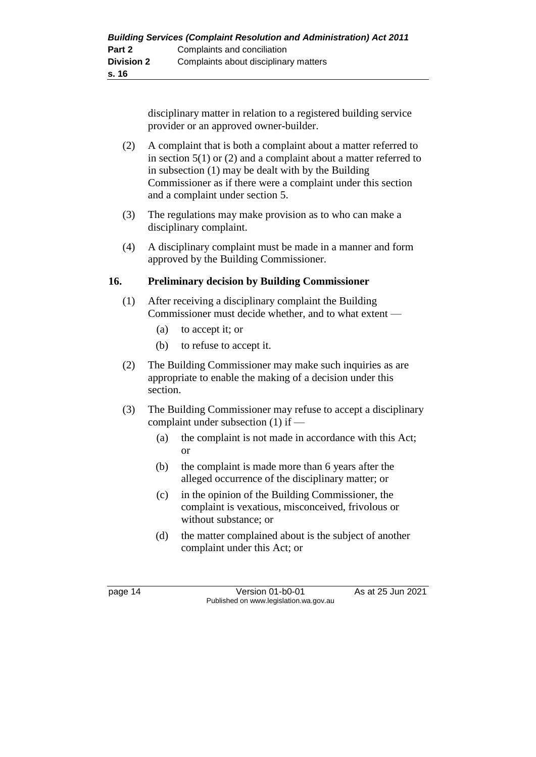disciplinary matter in relation to a registered building service provider or an approved owner-builder.

- (2) A complaint that is both a complaint about a matter referred to in section  $5(1)$  or (2) and a complaint about a matter referred to in subsection (1) may be dealt with by the Building Commissioner as if there were a complaint under this section and a complaint under section 5.
- (3) The regulations may make provision as to who can make a disciplinary complaint.
- (4) A disciplinary complaint must be made in a manner and form approved by the Building Commissioner.

## **16. Preliminary decision by Building Commissioner**

- (1) After receiving a disciplinary complaint the Building Commissioner must decide whether, and to what extent —
	- (a) to accept it; or
	- (b) to refuse to accept it.
- (2) The Building Commissioner may make such inquiries as are appropriate to enable the making of a decision under this section.
- (3) The Building Commissioner may refuse to accept a disciplinary complaint under subsection (1) if —
	- (a) the complaint is not made in accordance with this Act; or
	- (b) the complaint is made more than 6 years after the alleged occurrence of the disciplinary matter; or
	- (c) in the opinion of the Building Commissioner, the complaint is vexatious, misconceived, frivolous or without substance; or
	- (d) the matter complained about is the subject of another complaint under this Act; or

page 14 Version 01-b0-01 As at 25 Jun 2021 Published on www.legislation.wa.gov.au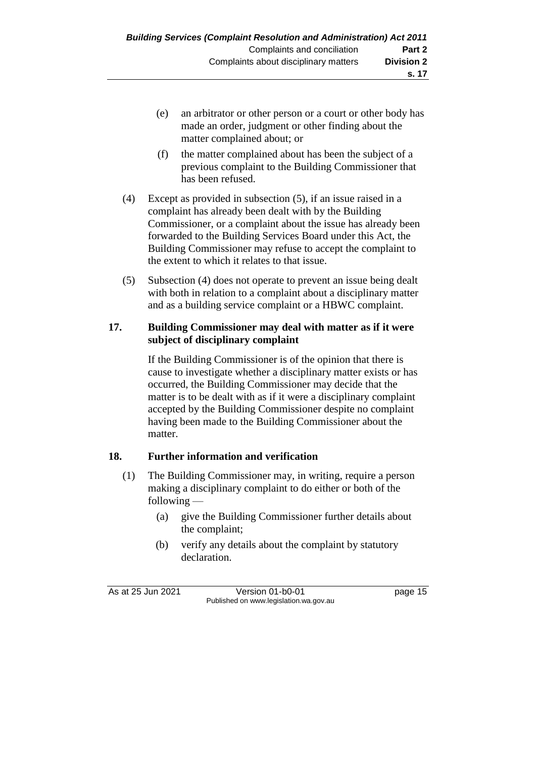- (e) an arbitrator or other person or a court or other body has made an order, judgment or other finding about the matter complained about; or
- (f) the matter complained about has been the subject of a previous complaint to the Building Commissioner that has been refused.
- (4) Except as provided in subsection (5), if an issue raised in a complaint has already been dealt with by the Building Commissioner, or a complaint about the issue has already been forwarded to the Building Services Board under this Act, the Building Commissioner may refuse to accept the complaint to the extent to which it relates to that issue.
- (5) Subsection (4) does not operate to prevent an issue being dealt with both in relation to a complaint about a disciplinary matter and as a building service complaint or a HBWC complaint.

### **17. Building Commissioner may deal with matter as if it were subject of disciplinary complaint**

If the Building Commissioner is of the opinion that there is cause to investigate whether a disciplinary matter exists or has occurred, the Building Commissioner may decide that the matter is to be dealt with as if it were a disciplinary complaint accepted by the Building Commissioner despite no complaint having been made to the Building Commissioner about the matter.

# **18. Further information and verification**

- (1) The Building Commissioner may, in writing, require a person making a disciplinary complaint to do either or both of the following —
	- (a) give the Building Commissioner further details about the complaint;
	- (b) verify any details about the complaint by statutory declaration.

As at 25 Jun 2021 Version 01-b0-01 Page 15 Published on www.legislation.wa.gov.au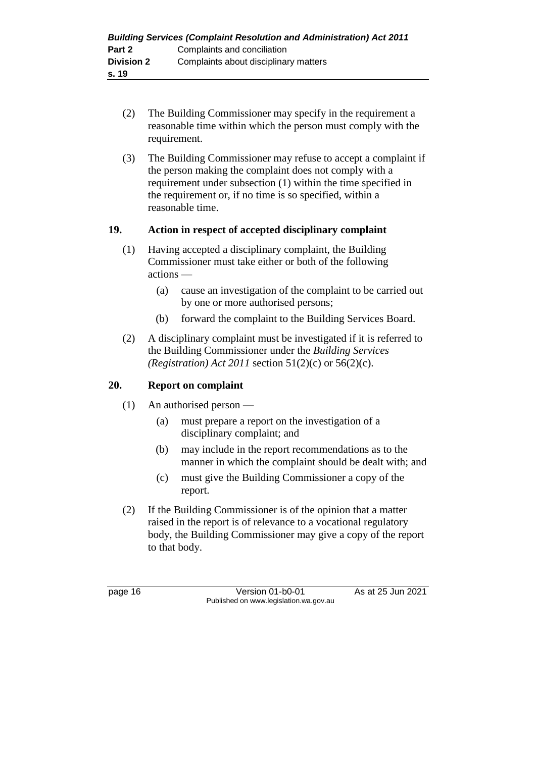- (2) The Building Commissioner may specify in the requirement a reasonable time within which the person must comply with the requirement.
- (3) The Building Commissioner may refuse to accept a complaint if the person making the complaint does not comply with a requirement under subsection (1) within the time specified in the requirement or, if no time is so specified, within a reasonable time.

## **19. Action in respect of accepted disciplinary complaint**

- (1) Having accepted a disciplinary complaint, the Building Commissioner must take either or both of the following actions —
	- (a) cause an investigation of the complaint to be carried out by one or more authorised persons;
	- (b) forward the complaint to the Building Services Board.
- (2) A disciplinary complaint must be investigated if it is referred to the Building Commissioner under the *Building Services (Registration) Act 2011* section 51(2)(c) or 56(2)(c).

# **20. Report on complaint**

- (1) An authorised person
	- (a) must prepare a report on the investigation of a disciplinary complaint; and
	- (b) may include in the report recommendations as to the manner in which the complaint should be dealt with; and
	- (c) must give the Building Commissioner a copy of the report.
- (2) If the Building Commissioner is of the opinion that a matter raised in the report is of relevance to a vocational regulatory body, the Building Commissioner may give a copy of the report to that body.

page 16 **Version 01-b0-01** As at 25 Jun 2021 Published on www.legislation.wa.gov.au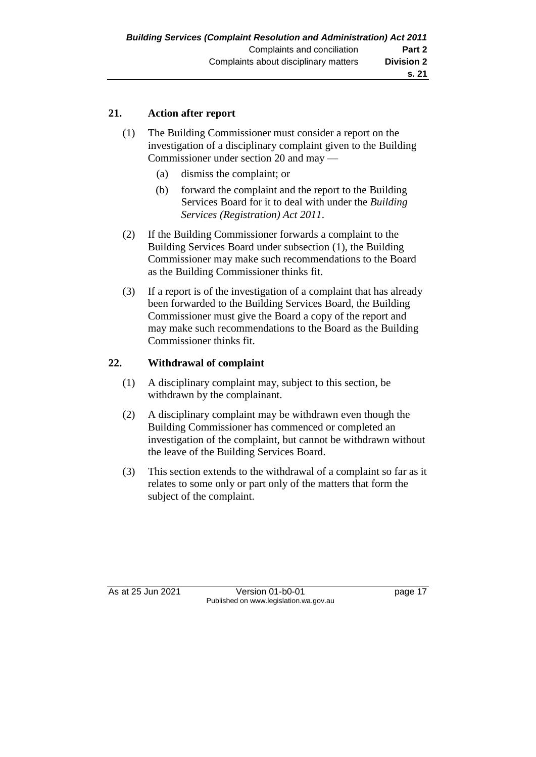# **21. Action after report**

- (1) The Building Commissioner must consider a report on the investigation of a disciplinary complaint given to the Building Commissioner under section 20 and may —
	- (a) dismiss the complaint; or
	- (b) forward the complaint and the report to the Building Services Board for it to deal with under the *Building Services (Registration) Act 2011*.
- (2) If the Building Commissioner forwards a complaint to the Building Services Board under subsection (1), the Building Commissioner may make such recommendations to the Board as the Building Commissioner thinks fit.
- (3) If a report is of the investigation of a complaint that has already been forwarded to the Building Services Board, the Building Commissioner must give the Board a copy of the report and may make such recommendations to the Board as the Building Commissioner thinks fit.

#### **22. Withdrawal of complaint**

- (1) A disciplinary complaint may, subject to this section, be withdrawn by the complainant.
- (2) A disciplinary complaint may be withdrawn even though the Building Commissioner has commenced or completed an investigation of the complaint, but cannot be withdrawn without the leave of the Building Services Board.
- (3) This section extends to the withdrawal of a complaint so far as it relates to some only or part only of the matters that form the subject of the complaint.

As at 25 Jun 2021 Version 01-b0-01 page 17 Published on www.legislation.wa.gov.au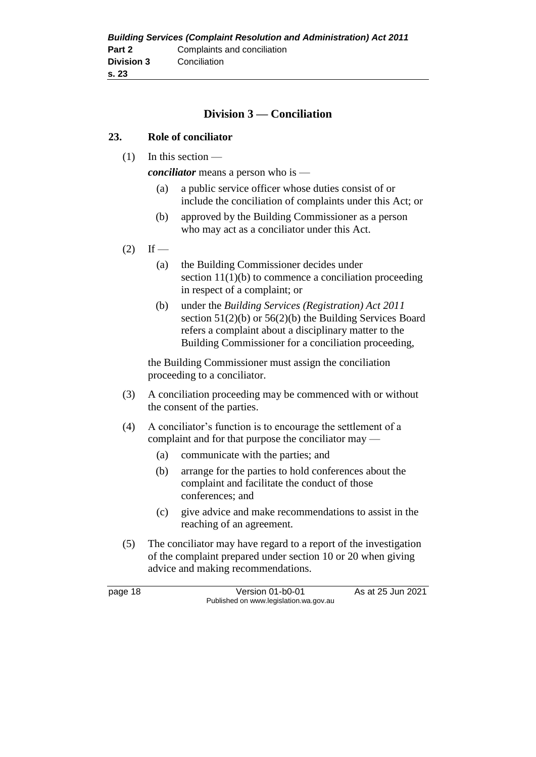| <b>Building Services (Complaint Resolution and Administration) Act 2011</b> |                             |  |
|-----------------------------------------------------------------------------|-----------------------------|--|
| Part 2                                                                      | Complaints and conciliation |  |
| <b>Division 3</b>                                                           | Conciliation                |  |
| s.23                                                                        |                             |  |

### **Division 3 — Conciliation**

#### **23. Role of conciliator**

(1) In this section —

*conciliator* means a person who is —

- (a) a public service officer whose duties consist of or include the conciliation of complaints under this Act; or
- (b) approved by the Building Commissioner as a person who may act as a conciliator under this Act.
- $(2)$  If
	- (a) the Building Commissioner decides under section  $11(1)(b)$  to commence a conciliation proceeding in respect of a complaint; or
	- (b) under the *Building Services (Registration) Act 2011*  section  $51(2)(b)$  or  $56(2)(b)$  the Building Services Board refers a complaint about a disciplinary matter to the Building Commissioner for a conciliation proceeding,

the Building Commissioner must assign the conciliation proceeding to a conciliator.

- (3) A conciliation proceeding may be commenced with or without the consent of the parties.
- (4) A conciliator's function is to encourage the settlement of a complaint and for that purpose the conciliator may —
	- (a) communicate with the parties; and
	- (b) arrange for the parties to hold conferences about the complaint and facilitate the conduct of those conferences; and
	- (c) give advice and make recommendations to assist in the reaching of an agreement.
- (5) The conciliator may have regard to a report of the investigation of the complaint prepared under section 10 or 20 when giving advice and making recommendations.

page 18 Version 01-b0-01 As at 25 Jun 2021 Published on www.legislation.wa.gov.au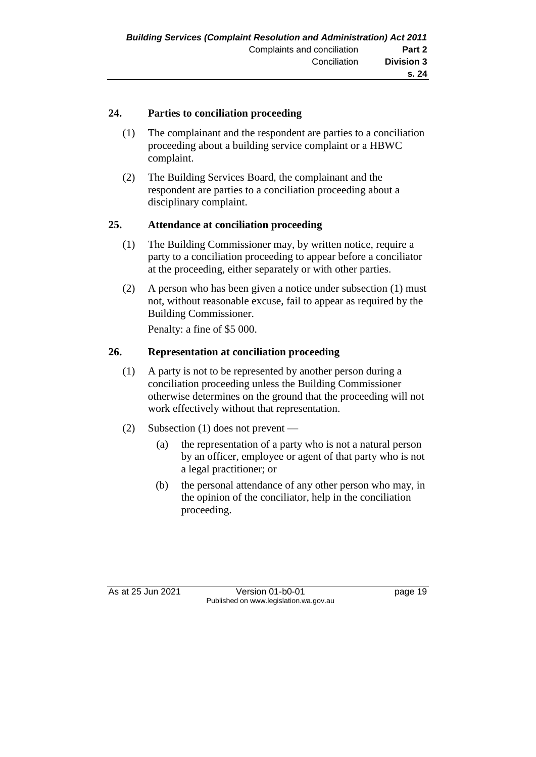## **24. Parties to conciliation proceeding**

- (1) The complainant and the respondent are parties to a conciliation proceeding about a building service complaint or a HBWC complaint.
- (2) The Building Services Board, the complainant and the respondent are parties to a conciliation proceeding about a disciplinary complaint.

#### **25. Attendance at conciliation proceeding**

- (1) The Building Commissioner may, by written notice, require a party to a conciliation proceeding to appear before a conciliator at the proceeding, either separately or with other parties.
- (2) A person who has been given a notice under subsection (1) must not, without reasonable excuse, fail to appear as required by the Building Commissioner.

Penalty: a fine of \$5 000.

## **26. Representation at conciliation proceeding**

- (1) A party is not to be represented by another person during a conciliation proceeding unless the Building Commissioner otherwise determines on the ground that the proceeding will not work effectively without that representation.
- (2) Subsection (1) does not prevent
	- (a) the representation of a party who is not a natural person by an officer, employee or agent of that party who is not a legal practitioner; or
	- (b) the personal attendance of any other person who may, in the opinion of the conciliator, help in the conciliation proceeding.

As at 25 Jun 2021 Version 01-b0-01 Page 19 Published on www.legislation.wa.gov.au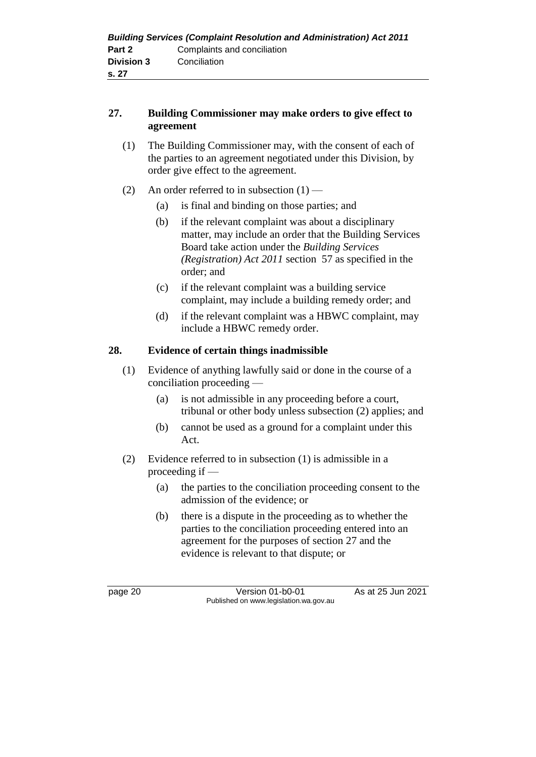| <b>Building Services (Complaint Resolution and Administration) Act 2011</b> |                             |  |
|-----------------------------------------------------------------------------|-----------------------------|--|
| Part 2                                                                      | Complaints and conciliation |  |
| <b>Division 3</b>                                                           | Conciliation                |  |
| s. 27                                                                       |                             |  |

## **27. Building Commissioner may make orders to give effect to agreement**

- (1) The Building Commissioner may, with the consent of each of the parties to an agreement negotiated under this Division, by order give effect to the agreement.
- (2) An order referred to in subsection  $(1)$ 
	- (a) is final and binding on those parties; and
	- (b) if the relevant complaint was about a disciplinary matter, may include an order that the Building Services Board take action under the *Building Services (Registration) Act 2011* section 57 as specified in the order; and
	- (c) if the relevant complaint was a building service complaint, may include a building remedy order; and
	- (d) if the relevant complaint was a HBWC complaint, may include a HBWC remedy order.

# **28. Evidence of certain things inadmissible**

- (1) Evidence of anything lawfully said or done in the course of a conciliation proceeding —
	- (a) is not admissible in any proceeding before a court, tribunal or other body unless subsection (2) applies; and
	- (b) cannot be used as a ground for a complaint under this Act.
- (2) Evidence referred to in subsection (1) is admissible in a proceeding if —
	- (a) the parties to the conciliation proceeding consent to the admission of the evidence; or
	- (b) there is a dispute in the proceeding as to whether the parties to the conciliation proceeding entered into an agreement for the purposes of section 27 and the evidence is relevant to that dispute; or

page 20 Version 01-b0-01 As at 25 Jun 2021 Published on www.legislation.wa.gov.au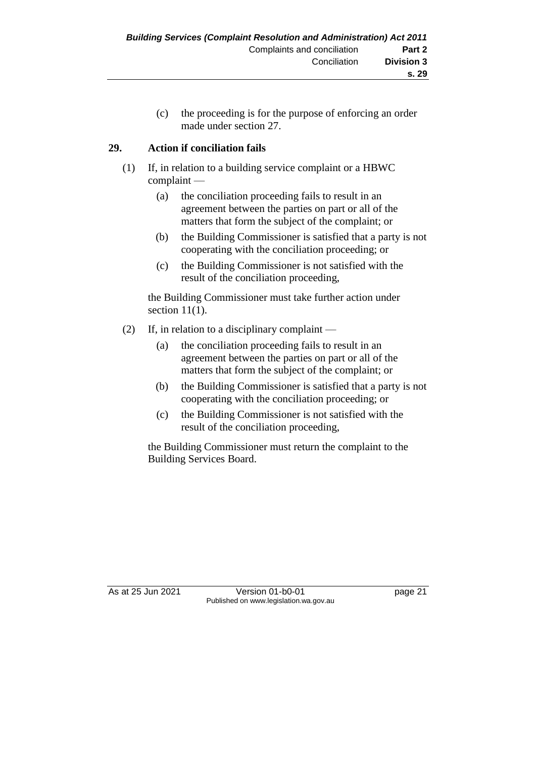(c) the proceeding is for the purpose of enforcing an order made under section 27.

# **29. Action if conciliation fails**

- (1) If, in relation to a building service complaint or a HBWC complaint —
	- (a) the conciliation proceeding fails to result in an agreement between the parties on part or all of the matters that form the subject of the complaint; or
	- (b) the Building Commissioner is satisfied that a party is not cooperating with the conciliation proceeding; or
	- (c) the Building Commissioner is not satisfied with the result of the conciliation proceeding,

the Building Commissioner must take further action under section  $11(1)$ .

- (2) If, in relation to a disciplinary complaint
	- (a) the conciliation proceeding fails to result in an agreement between the parties on part or all of the matters that form the subject of the complaint; or
	- (b) the Building Commissioner is satisfied that a party is not cooperating with the conciliation proceeding; or
	- (c) the Building Commissioner is not satisfied with the result of the conciliation proceeding,

the Building Commissioner must return the complaint to the Building Services Board.

As at 25 Jun 2021 Version 01-b0-01 Page 21 Published on www.legislation.wa.gov.au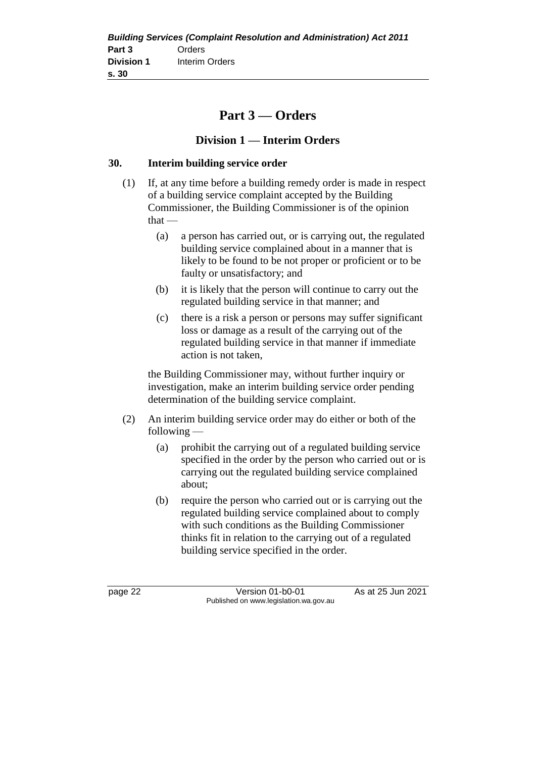| <b>Building Services (Complaint Resolution and Administration) Act 2011</b> |                |  |  |
|-----------------------------------------------------------------------------|----------------|--|--|
| Part 3                                                                      | Orders         |  |  |
| <b>Division 1</b>                                                           | Interim Orders |  |  |
| s.30                                                                        |                |  |  |

# **Part 3 — Orders**

# **Division 1 — Interim Orders**

#### **30. Interim building service order**

- (1) If, at any time before a building remedy order is made in respect of a building service complaint accepted by the Building Commissioner, the Building Commissioner is of the opinion  $that -$ 
	- (a) a person has carried out, or is carrying out, the regulated building service complained about in a manner that is likely to be found to be not proper or proficient or to be faulty or unsatisfactory; and
	- (b) it is likely that the person will continue to carry out the regulated building service in that manner; and
	- (c) there is a risk a person or persons may suffer significant loss or damage as a result of the carrying out of the regulated building service in that manner if immediate action is not taken,

the Building Commissioner may, without further inquiry or investigation, make an interim building service order pending determination of the building service complaint.

- (2) An interim building service order may do either or both of the following —
	- (a) prohibit the carrying out of a regulated building service specified in the order by the person who carried out or is carrying out the regulated building service complained about;
	- (b) require the person who carried out or is carrying out the regulated building service complained about to comply with such conditions as the Building Commissioner thinks fit in relation to the carrying out of a regulated building service specified in the order.

page 22 Version 01-b0-01 As at 25 Jun 2021 Published on www.legislation.wa.gov.au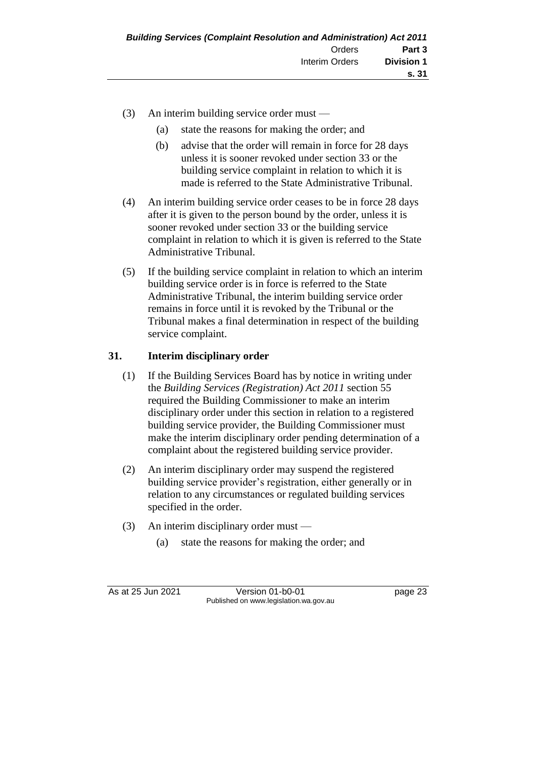- (3) An interim building service order must
	- (a) state the reasons for making the order; and
	- (b) advise that the order will remain in force for 28 days unless it is sooner revoked under section 33 or the building service complaint in relation to which it is made is referred to the State Administrative Tribunal.
- (4) An interim building service order ceases to be in force 28 days after it is given to the person bound by the order, unless it is sooner revoked under section 33 or the building service complaint in relation to which it is given is referred to the State Administrative Tribunal.
- (5) If the building service complaint in relation to which an interim building service order is in force is referred to the State Administrative Tribunal, the interim building service order remains in force until it is revoked by the Tribunal or the Tribunal makes a final determination in respect of the building service complaint.

## **31. Interim disciplinary order**

- (1) If the Building Services Board has by notice in writing under the *Building Services (Registration) Act 2011* section 55 required the Building Commissioner to make an interim disciplinary order under this section in relation to a registered building service provider, the Building Commissioner must make the interim disciplinary order pending determination of a complaint about the registered building service provider.
- (2) An interim disciplinary order may suspend the registered building service provider's registration, either generally or in relation to any circumstances or regulated building services specified in the order.
- (3) An interim disciplinary order must
	- (a) state the reasons for making the order; and

As at 25 Jun 2021 Version 01-b0-01 page 23 Published on www.legislation.wa.gov.au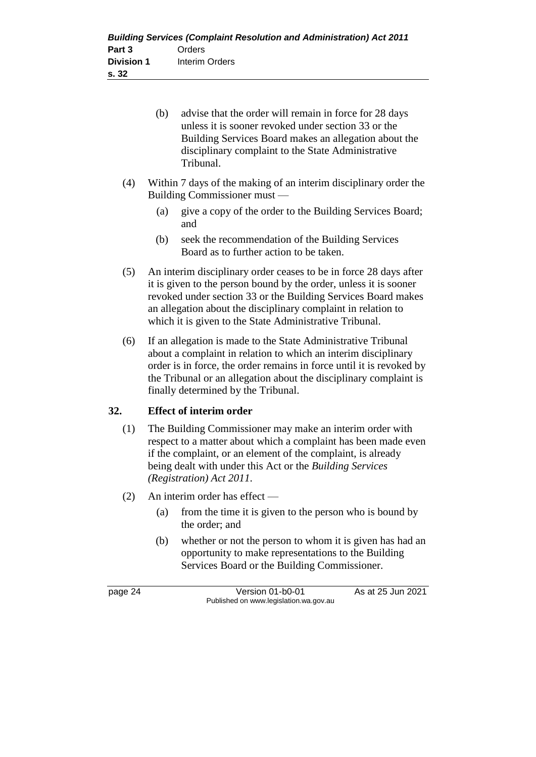| <b>Building Services (Complaint Resolution and Administration) Act 2011</b> |                |  |  |
|-----------------------------------------------------------------------------|----------------|--|--|
| Part 3                                                                      | Orders         |  |  |
| <b>Division 1</b>                                                           | Interim Orders |  |  |
| s. 32                                                                       |                |  |  |

| (b) | advise that the order will remain in force for 28 days |
|-----|--------------------------------------------------------|
|     | unless it is sooner revoked under section 33 or the    |
|     | Building Services Board makes an allegation about the  |
|     | disciplinary complaint to the State Administrative     |
|     | Tribunal.                                              |

- (4) Within 7 days of the making of an interim disciplinary order the Building Commissioner must —
	- (a) give a copy of the order to the Building Services Board; and
	- (b) seek the recommendation of the Building Services Board as to further action to be taken.
- (5) An interim disciplinary order ceases to be in force 28 days after it is given to the person bound by the order, unless it is sooner revoked under section 33 or the Building Services Board makes an allegation about the disciplinary complaint in relation to which it is given to the State Administrative Tribunal.
- (6) If an allegation is made to the State Administrative Tribunal about a complaint in relation to which an interim disciplinary order is in force, the order remains in force until it is revoked by the Tribunal or an allegation about the disciplinary complaint is finally determined by the Tribunal.

# **32. Effect of interim order**

- (1) The Building Commissioner may make an interim order with respect to a matter about which a complaint has been made even if the complaint, or an element of the complaint, is already being dealt with under this Act or the *Building Services (Registration) Act 2011*.
- (2) An interim order has effect
	- (a) from the time it is given to the person who is bound by the order; and
	- (b) whether or not the person to whom it is given has had an opportunity to make representations to the Building Services Board or the Building Commissioner.

page 24 Version 01-b0-01 As at 25 Jun 2021 Published on www.legislation.wa.gov.au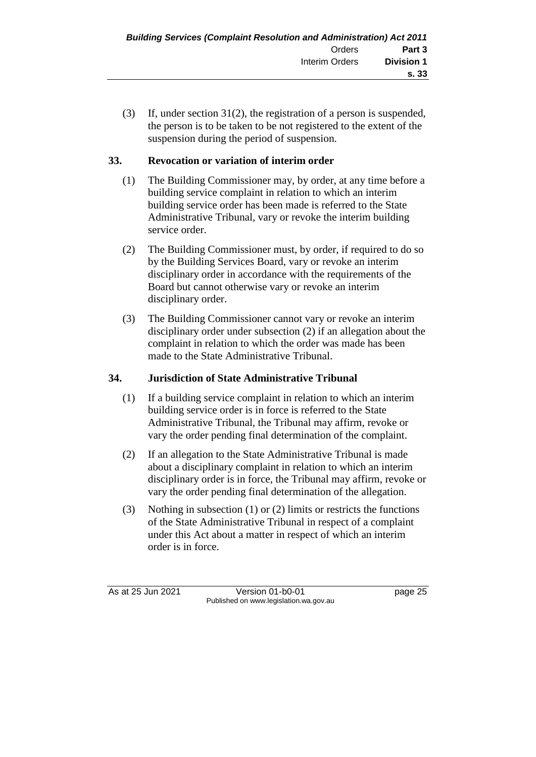(3) If, under section 31(2), the registration of a person is suspended, the person is to be taken to be not registered to the extent of the suspension during the period of suspension.

# **33. Revocation or variation of interim order**

- (1) The Building Commissioner may, by order, at any time before a building service complaint in relation to which an interim building service order has been made is referred to the State Administrative Tribunal, vary or revoke the interim building service order.
- (2) The Building Commissioner must, by order, if required to do so by the Building Services Board, vary or revoke an interim disciplinary order in accordance with the requirements of the Board but cannot otherwise vary or revoke an interim disciplinary order.
- (3) The Building Commissioner cannot vary or revoke an interim disciplinary order under subsection (2) if an allegation about the complaint in relation to which the order was made has been made to the State Administrative Tribunal.

# **34. Jurisdiction of State Administrative Tribunal**

- (1) If a building service complaint in relation to which an interim building service order is in force is referred to the State Administrative Tribunal, the Tribunal may affirm, revoke or vary the order pending final determination of the complaint.
- (2) If an allegation to the State Administrative Tribunal is made about a disciplinary complaint in relation to which an interim disciplinary order is in force, the Tribunal may affirm, revoke or vary the order pending final determination of the allegation.
- (3) Nothing in subsection (1) or (2) limits or restricts the functions of the State Administrative Tribunal in respect of a complaint under this Act about a matter in respect of which an interim order is in force.

As at 25 Jun 2021 Version 01-b0-01 Page 25 Published on www.legislation.wa.gov.au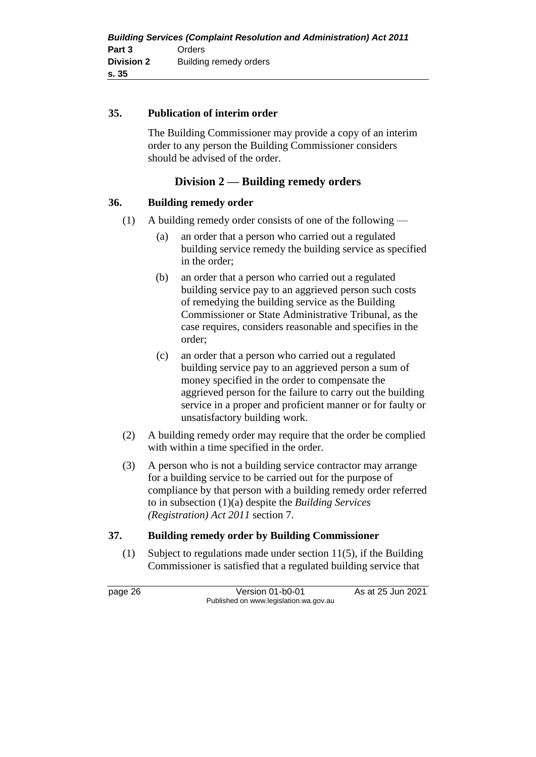#### **35. Publication of interim order**

The Building Commissioner may provide a copy of an interim order to any person the Building Commissioner considers should be advised of the order.

# **Division 2 — Building remedy orders**

#### **36. Building remedy order**

- (1) A building remedy order consists of one of the following
	- (a) an order that a person who carried out a regulated building service remedy the building service as specified in the order;
	- (b) an order that a person who carried out a regulated building service pay to an aggrieved person such costs of remedying the building service as the Building Commissioner or State Administrative Tribunal, as the case requires, considers reasonable and specifies in the order;
	- (c) an order that a person who carried out a regulated building service pay to an aggrieved person a sum of money specified in the order to compensate the aggrieved person for the failure to carry out the building service in a proper and proficient manner or for faulty or unsatisfactory building work.
- (2) A building remedy order may require that the order be complied with within a time specified in the order.
- (3) A person who is not a building service contractor may arrange for a building service to be carried out for the purpose of compliance by that person with a building remedy order referred to in subsection (1)(a) despite the *Building Services (Registration) Act 2011* section 7.

#### **37. Building remedy order by Building Commissioner**

(1) Subject to regulations made under section 11(5), if the Building Commissioner is satisfied that a regulated building service that

page 26 Version 01-b0-01 As at 25 Jun 2021 Published on www.legislation.wa.gov.au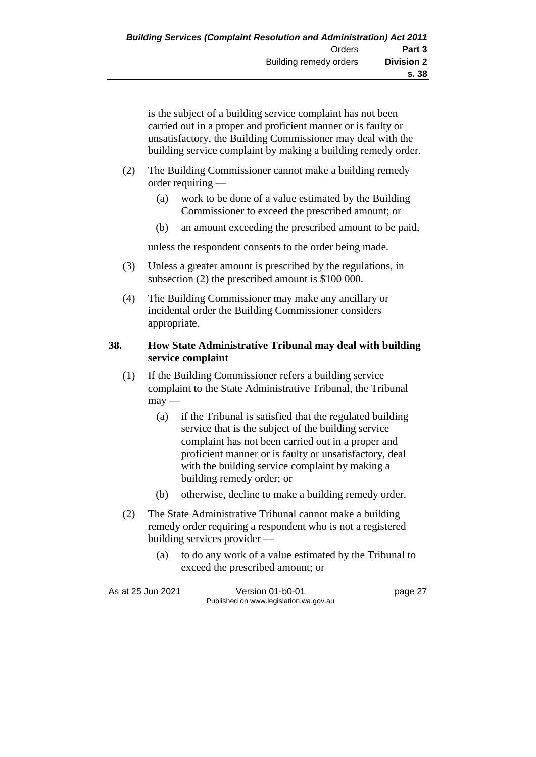is the subject of a building service complaint has not been carried out in a proper and proficient manner or is faulty or unsatisfactory, the Building Commissioner may deal with the building service complaint by making a building remedy order.

- (2) The Building Commissioner cannot make a building remedy order requiring —
	- (a) work to be done of a value estimated by the Building Commissioner to exceed the prescribed amount; or
	- (b) an amount exceeding the prescribed amount to be paid,

unless the respondent consents to the order being made.

- (3) Unless a greater amount is prescribed by the regulations, in subsection (2) the prescribed amount is \$100 000.
- (4) The Building Commissioner may make any ancillary or incidental order the Building Commissioner considers appropriate.

#### **38. How State Administrative Tribunal may deal with building service complaint**

- (1) If the Building Commissioner refers a building service complaint to the State Administrative Tribunal, the Tribunal  $m$ ay —
	- (a) if the Tribunal is satisfied that the regulated building service that is the subject of the building service complaint has not been carried out in a proper and proficient manner or is faulty or unsatisfactory, deal with the building service complaint by making a building remedy order; or
	- (b) otherwise, decline to make a building remedy order.
- (2) The State Administrative Tribunal cannot make a building remedy order requiring a respondent who is not a registered building services provider —
	- (a) to do any work of a value estimated by the Tribunal to exceed the prescribed amount; or

| As at 25 Jun 2021 | Version 01-b0-01                       | page 27 |
|-------------------|----------------------------------------|---------|
|                   | Published on www.legislation.wa.gov.au |         |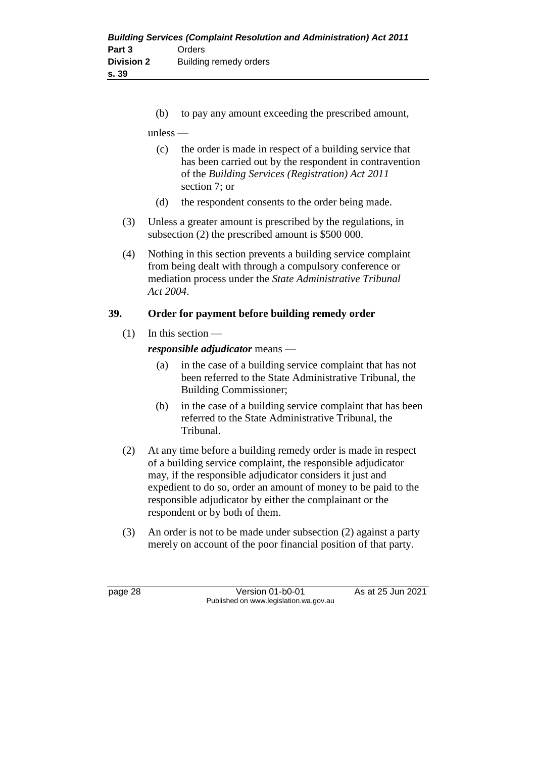(b) to pay any amount exceeding the prescribed amount,

unless —

- (c) the order is made in respect of a building service that has been carried out by the respondent in contravention of the *Building Services (Registration) Act 2011* section 7; or
- (d) the respondent consents to the order being made.
- (3) Unless a greater amount is prescribed by the regulations, in subsection (2) the prescribed amount is \$500 000.
- (4) Nothing in this section prevents a building service complaint from being dealt with through a compulsory conference or mediation process under the *State Administrative Tribunal Act 2004*.

# **39. Order for payment before building remedy order**

(1) In this section —

*responsible adjudicator* means —

- (a) in the case of a building service complaint that has not been referred to the State Administrative Tribunal, the Building Commissioner;
- (b) in the case of a building service complaint that has been referred to the State Administrative Tribunal, the Tribunal.
- (2) At any time before a building remedy order is made in respect of a building service complaint, the responsible adjudicator may, if the responsible adjudicator considers it just and expedient to do so, order an amount of money to be paid to the responsible adjudicator by either the complainant or the respondent or by both of them.
- (3) An order is not to be made under subsection (2) against a party merely on account of the poor financial position of that party.

page 28 Version 01-b0-01 As at 25 Jun 2021 Published on www.legislation.wa.gov.au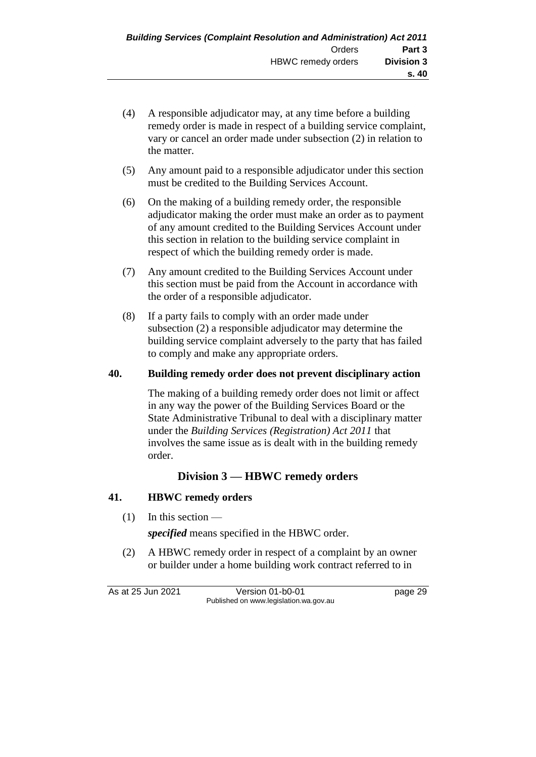- (4) A responsible adjudicator may, at any time before a building remedy order is made in respect of a building service complaint, vary or cancel an order made under subsection (2) in relation to the matter.
- (5) Any amount paid to a responsible adjudicator under this section must be credited to the Building Services Account.
- (6) On the making of a building remedy order, the responsible adjudicator making the order must make an order as to payment of any amount credited to the Building Services Account under this section in relation to the building service complaint in respect of which the building remedy order is made.
- (7) Any amount credited to the Building Services Account under this section must be paid from the Account in accordance with the order of a responsible adjudicator.
- (8) If a party fails to comply with an order made under subsection (2) a responsible adjudicator may determine the building service complaint adversely to the party that has failed to comply and make any appropriate orders.

#### **40. Building remedy order does not prevent disciplinary action**

The making of a building remedy order does not limit or affect in any way the power of the Building Services Board or the State Administrative Tribunal to deal with a disciplinary matter under the *Building Services (Registration) Act 2011* that involves the same issue as is dealt with in the building remedy order.

## **Division 3 — HBWC remedy orders**

#### **41. HBWC remedy orders**

 $(1)$  In this section —

*specified* means specified in the HBWC order.

(2) A HBWC remedy order in respect of a complaint by an owner or builder under a home building work contract referred to in

As at 25 Jun 2021 Version 01-b0-01 page 29 Published on www.legislation.wa.gov.au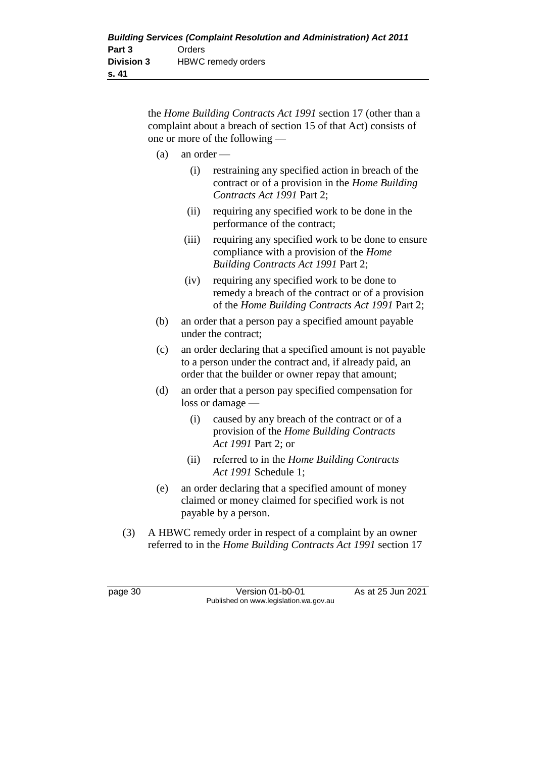the *Home Building Contracts Act 1991* section 17 (other than a complaint about a breach of section 15 of that Act) consists of one or more of the following —

- (a) an order
	- (i) restraining any specified action in breach of the contract or of a provision in the *Home Building Contracts Act 1991* Part 2;
	- (ii) requiring any specified work to be done in the performance of the contract;
	- (iii) requiring any specified work to be done to ensure compliance with a provision of the *Home Building Contracts Act 1991* Part 2;
	- (iv) requiring any specified work to be done to remedy a breach of the contract or of a provision of the *Home Building Contracts Act 1991* Part 2;
- (b) an order that a person pay a specified amount payable under the contract;
- (c) an order declaring that a specified amount is not payable to a person under the contract and, if already paid, an order that the builder or owner repay that amount;
- (d) an order that a person pay specified compensation for loss or damage —
	- (i) caused by any breach of the contract or of a provision of the *Home Building Contracts Act 1991* Part 2; or
	- (ii) referred to in the *Home Building Contracts Act 1991* Schedule 1;
- (e) an order declaring that a specified amount of money claimed or money claimed for specified work is not payable by a person.
- (3) A HBWC remedy order in respect of a complaint by an owner referred to in the *Home Building Contracts Act 1991* section 17

page 30 Version 01-b0-01 As at 25 Jun 2021 Published on www.legislation.wa.gov.au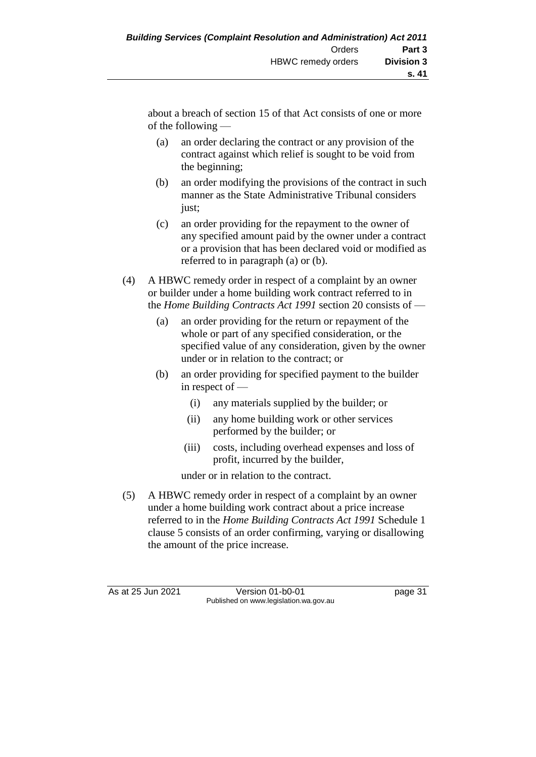about a breach of section 15 of that Act consists of one or more of the following —

- (a) an order declaring the contract or any provision of the contract against which relief is sought to be void from the beginning;
- (b) an order modifying the provisions of the contract in such manner as the State Administrative Tribunal considers just;
- (c) an order providing for the repayment to the owner of any specified amount paid by the owner under a contract or a provision that has been declared void or modified as referred to in paragraph (a) or (b).
- (4) A HBWC remedy order in respect of a complaint by an owner or builder under a home building work contract referred to in the *Home Building Contracts Act 1991* section 20 consists of —
	- (a) an order providing for the return or repayment of the whole or part of any specified consideration, or the specified value of any consideration, given by the owner under or in relation to the contract; or
	- (b) an order providing for specified payment to the builder in respect of —
		- (i) any materials supplied by the builder; or
		- (ii) any home building work or other services performed by the builder; or
		- (iii) costs, including overhead expenses and loss of profit, incurred by the builder,

under or in relation to the contract.

(5) A HBWC remedy order in respect of a complaint by an owner under a home building work contract about a price increase referred to in the *Home Building Contracts Act 1991* Schedule 1 clause 5 consists of an order confirming, varying or disallowing the amount of the price increase.

As at 25 Jun 2021 Version 01-b0-01 Page 31 Published on www.legislation.wa.gov.au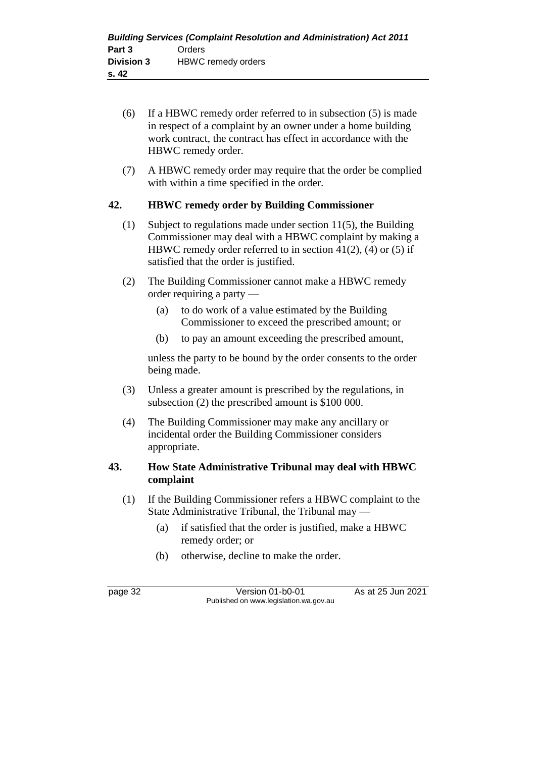- (6) If a HBWC remedy order referred to in subsection (5) is made in respect of a complaint by an owner under a home building work contract, the contract has effect in accordance with the HBWC remedy order.
- (7) A HBWC remedy order may require that the order be complied with within a time specified in the order.

#### **42. HBWC remedy order by Building Commissioner**

- (1) Subject to regulations made under section 11(5), the Building Commissioner may deal with a HBWC complaint by making a HBWC remedy order referred to in section  $41(2)$ , (4) or (5) if satisfied that the order is justified.
- (2) The Building Commissioner cannot make a HBWC remedy order requiring a party —
	- (a) to do work of a value estimated by the Building Commissioner to exceed the prescribed amount; or
	- (b) to pay an amount exceeding the prescribed amount,

unless the party to be bound by the order consents to the order being made.

- (3) Unless a greater amount is prescribed by the regulations, in subsection (2) the prescribed amount is \$100 000.
- (4) The Building Commissioner may make any ancillary or incidental order the Building Commissioner considers appropriate.

#### **43. How State Administrative Tribunal may deal with HBWC complaint**

- (1) If the Building Commissioner refers a HBWC complaint to the State Administrative Tribunal, the Tribunal may —
	- (a) if satisfied that the order is justified, make a HBWC remedy order; or
	- (b) otherwise, decline to make the order.

page 32 Version 01-b0-01 As at 25 Jun 2021 Published on www.legislation.wa.gov.au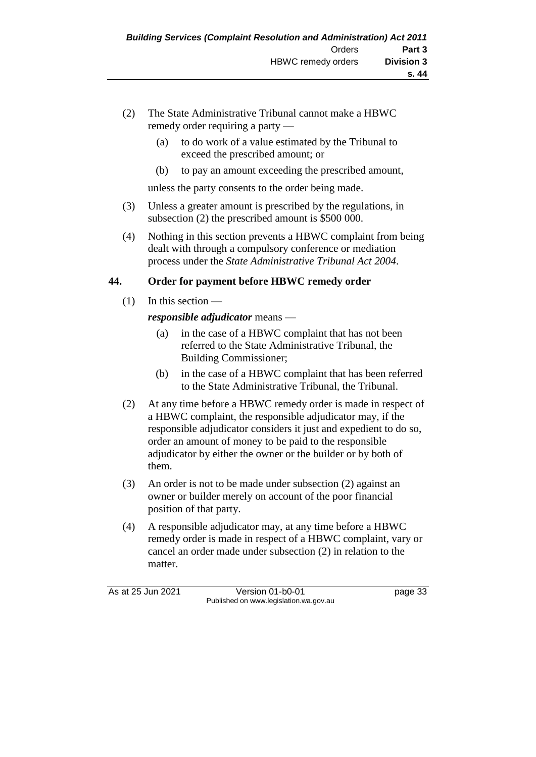- (2) The State Administrative Tribunal cannot make a HBWC remedy order requiring a party —
	- (a) to do work of a value estimated by the Tribunal to exceed the prescribed amount; or
	- (b) to pay an amount exceeding the prescribed amount,

unless the party consents to the order being made.

- (3) Unless a greater amount is prescribed by the regulations, in subsection (2) the prescribed amount is \$500 000.
- (4) Nothing in this section prevents a HBWC complaint from being dealt with through a compulsory conference or mediation process under the *State Administrative Tribunal Act 2004*.

#### **44. Order for payment before HBWC remedy order**

 $(1)$  In this section —

#### *responsible adjudicator* means —

- (a) in the case of a HBWC complaint that has not been referred to the State Administrative Tribunal, the Building Commissioner;
- (b) in the case of a HBWC complaint that has been referred to the State Administrative Tribunal, the Tribunal.
- (2) At any time before a HBWC remedy order is made in respect of a HBWC complaint, the responsible adjudicator may, if the responsible adjudicator considers it just and expedient to do so, order an amount of money to be paid to the responsible adjudicator by either the owner or the builder or by both of them.
- (3) An order is not to be made under subsection (2) against an owner or builder merely on account of the poor financial position of that party.
- (4) A responsible adjudicator may, at any time before a HBWC remedy order is made in respect of a HBWC complaint, vary or cancel an order made under subsection (2) in relation to the matter.

As at 25 Jun 2021 Version 01-b0-01 Page 33 Published on www.legislation.wa.gov.au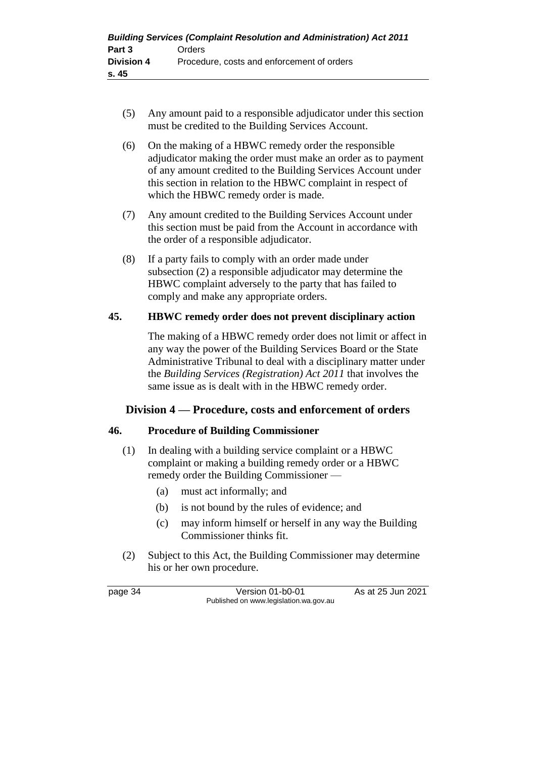- (5) Any amount paid to a responsible adjudicator under this section must be credited to the Building Services Account.
- (6) On the making of a HBWC remedy order the responsible adjudicator making the order must make an order as to payment of any amount credited to the Building Services Account under this section in relation to the HBWC complaint in respect of which the HBWC remedy order is made.
- (7) Any amount credited to the Building Services Account under this section must be paid from the Account in accordance with the order of a responsible adjudicator.
- (8) If a party fails to comply with an order made under subsection (2) a responsible adjudicator may determine the HBWC complaint adversely to the party that has failed to comply and make any appropriate orders.

#### **45. HBWC remedy order does not prevent disciplinary action**

The making of a HBWC remedy order does not limit or affect in any way the power of the Building Services Board or the State Administrative Tribunal to deal with a disciplinary matter under the *Building Services (Registration) Act 2011* that involves the same issue as is dealt with in the HBWC remedy order.

## **Division 4 — Procedure, costs and enforcement of orders**

#### **46. Procedure of Building Commissioner**

- (1) In dealing with a building service complaint or a HBWC complaint or making a building remedy order or a HBWC remedy order the Building Commissioner —
	- (a) must act informally; and
	- (b) is not bound by the rules of evidence; and
	- (c) may inform himself or herself in any way the Building Commissioner thinks fit.
- (2) Subject to this Act, the Building Commissioner may determine his or her own procedure.

page 34 **Version 01-b0-01** As at 25 Jun 2021 Published on www.legislation.wa.gov.au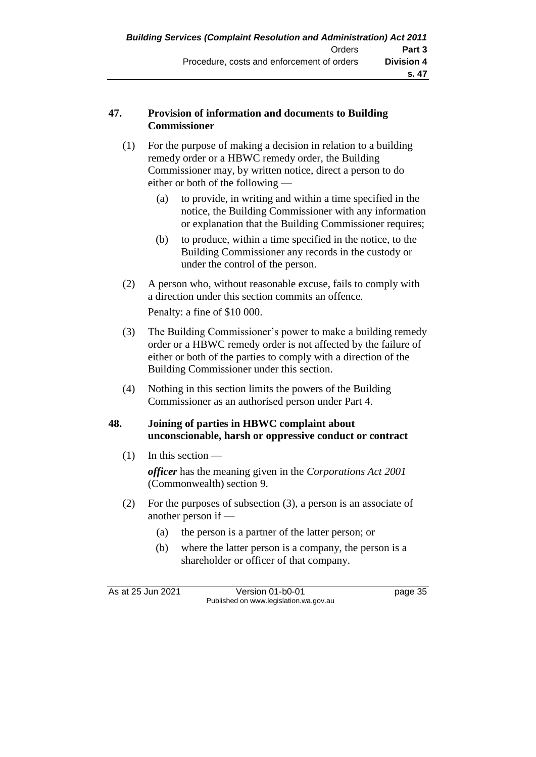#### **47. Provision of information and documents to Building Commissioner**

- (1) For the purpose of making a decision in relation to a building remedy order or a HBWC remedy order, the Building Commissioner may, by written notice, direct a person to do either or both of the following —
	- (a) to provide, in writing and within a time specified in the notice, the Building Commissioner with any information or explanation that the Building Commissioner requires;
	- (b) to produce, within a time specified in the notice, to the Building Commissioner any records in the custody or under the control of the person.
- (2) A person who, without reasonable excuse, fails to comply with a direction under this section commits an offence.

Penalty: a fine of \$10 000.

- (3) The Building Commissioner's power to make a building remedy order or a HBWC remedy order is not affected by the failure of either or both of the parties to comply with a direction of the Building Commissioner under this section.
- (4) Nothing in this section limits the powers of the Building Commissioner as an authorised person under Part 4.

#### **48. Joining of parties in HBWC complaint about unconscionable, harsh or oppressive conduct or contract**

 $(1)$  In this section —

*officer* has the meaning given in the *Corporations Act 2001* (Commonwealth) section 9.

- (2) For the purposes of subsection (3), a person is an associate of another person if —
	- (a) the person is a partner of the latter person; or
	- (b) where the latter person is a company, the person is a shareholder or officer of that company.

As at 25 Jun 2021 Version 01-b0-01 Page 35 Published on www.legislation.wa.gov.au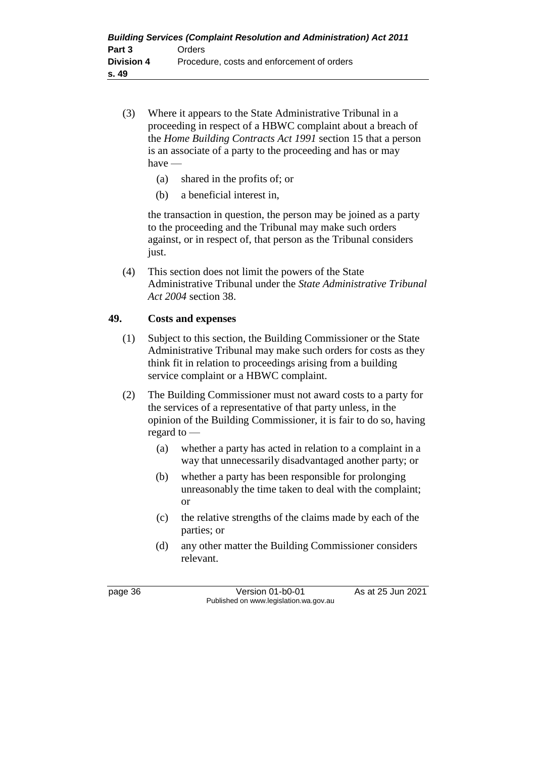- (3) Where it appears to the State Administrative Tribunal in a proceeding in respect of a HBWC complaint about a breach of the *Home Building Contracts Act 1991* section 15 that a person is an associate of a party to the proceeding and has or may have —
	- (a) shared in the profits of; or
	- (b) a beneficial interest in,

the transaction in question, the person may be joined as a party to the proceeding and the Tribunal may make such orders against, or in respect of, that person as the Tribunal considers just.

(4) This section does not limit the powers of the State Administrative Tribunal under the *State Administrative Tribunal Act 2004* section 38.

#### **49. Costs and expenses**

- (1) Subject to this section, the Building Commissioner or the State Administrative Tribunal may make such orders for costs as they think fit in relation to proceedings arising from a building service complaint or a HBWC complaint.
- (2) The Building Commissioner must not award costs to a party for the services of a representative of that party unless, in the opinion of the Building Commissioner, it is fair to do so, having regard to —
	- (a) whether a party has acted in relation to a complaint in a way that unnecessarily disadvantaged another party; or
	- (b) whether a party has been responsible for prolonging unreasonably the time taken to deal with the complaint; or
	- (c) the relative strengths of the claims made by each of the parties; or
	- (d) any other matter the Building Commissioner considers relevant.

page 36 Version 01-b0-01 As at 25 Jun 2021 Published on www.legislation.wa.gov.au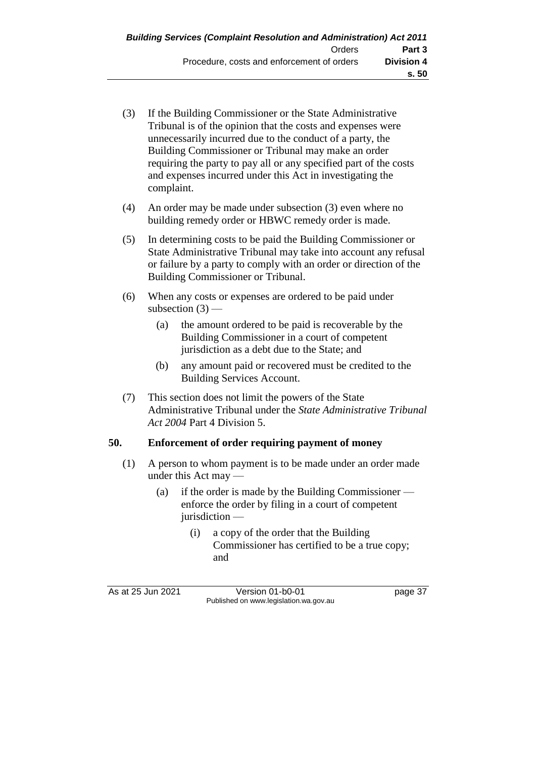- (3) If the Building Commissioner or the State Administrative Tribunal is of the opinion that the costs and expenses were unnecessarily incurred due to the conduct of a party, the Building Commissioner or Tribunal may make an order requiring the party to pay all or any specified part of the costs and expenses incurred under this Act in investigating the complaint.
- (4) An order may be made under subsection (3) even where no building remedy order or HBWC remedy order is made.
- (5) In determining costs to be paid the Building Commissioner or State Administrative Tribunal may take into account any refusal or failure by a party to comply with an order or direction of the Building Commissioner or Tribunal.
- (6) When any costs or expenses are ordered to be paid under subsection  $(3)$  —
	- (a) the amount ordered to be paid is recoverable by the Building Commissioner in a court of competent jurisdiction as a debt due to the State; and
	- (b) any amount paid or recovered must be credited to the Building Services Account.
- (7) This section does not limit the powers of the State Administrative Tribunal under the *State Administrative Tribunal Act 2004* Part 4 Division 5.

#### **50. Enforcement of order requiring payment of money**

- (1) A person to whom payment is to be made under an order made under this Act may —
	- (a) if the order is made by the Building Commissioner enforce the order by filing in a court of competent jurisdiction —
		- (i) a copy of the order that the Building Commissioner has certified to be a true copy; and

As at 25 Jun 2021 Version 01-b0-01 Page 37 Published on www.legislation.wa.gov.au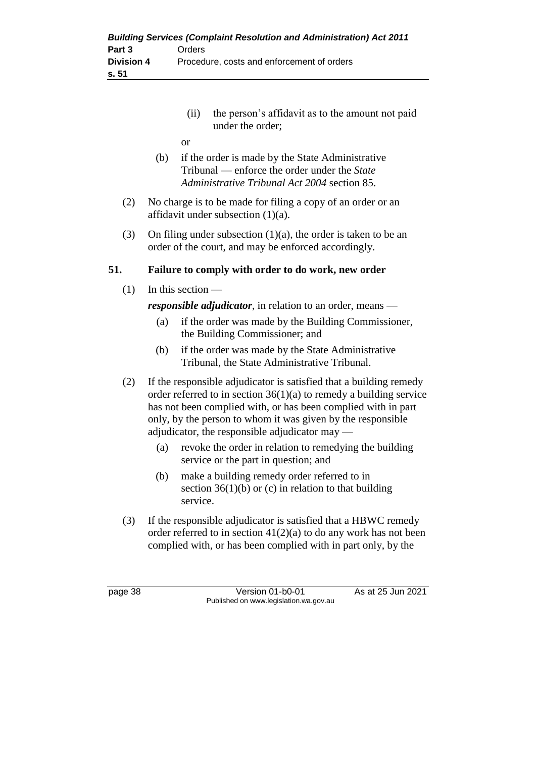| <b>Building Services (Complaint Resolution and Administration) Act 2011</b> |                                            |  |  |
|-----------------------------------------------------------------------------|--------------------------------------------|--|--|
| Part 3                                                                      | Orders                                     |  |  |
| Division 4                                                                  | Procedure, costs and enforcement of orders |  |  |
| s. 51                                                                       |                                            |  |  |

- (ii) the person's affidavit as to the amount not paid under the order;
- or
- (b) if the order is made by the State Administrative Tribunal — enforce the order under the *State Administrative Tribunal Act 2004* section 85.
- (2) No charge is to be made for filing a copy of an order or an affidavit under subsection (1)(a).
- (3) On filing under subsection (1)(a), the order is taken to be an order of the court, and may be enforced accordingly.

#### **51. Failure to comply with order to do work, new order**

 $(1)$  In this section —

*responsible adjudicator*, in relation to an order, means —

- (a) if the order was made by the Building Commissioner, the Building Commissioner; and
- (b) if the order was made by the State Administrative Tribunal, the State Administrative Tribunal.
- (2) If the responsible adjudicator is satisfied that a building remedy order referred to in section 36(1)(a) to remedy a building service has not been complied with, or has been complied with in part only, by the person to whom it was given by the responsible adjudicator, the responsible adjudicator may —
	- (a) revoke the order in relation to remedying the building service or the part in question; and
	- (b) make a building remedy order referred to in section  $36(1)(b)$  or (c) in relation to that building service.
- (3) If the responsible adjudicator is satisfied that a HBWC remedy order referred to in section  $41(2)(a)$  to do any work has not been complied with, or has been complied with in part only, by the

page 38 Version 01-b0-01 As at 25 Jun 2021 Published on www.legislation.wa.gov.au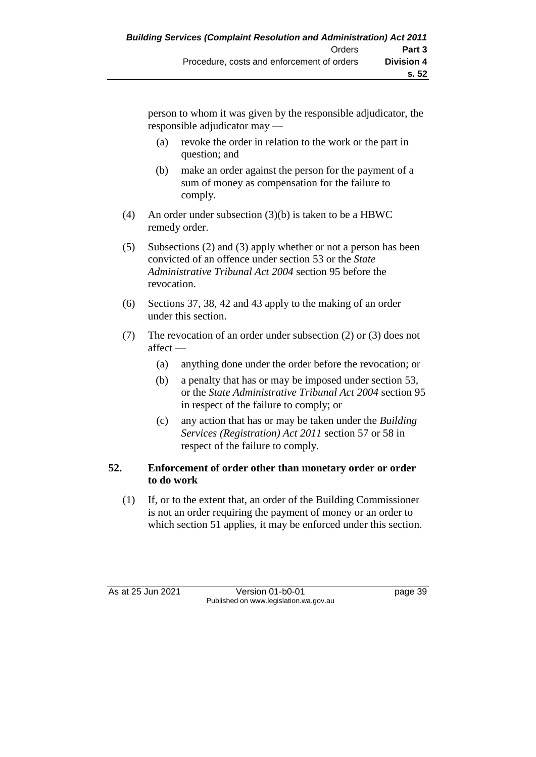person to whom it was given by the responsible adjudicator, the responsible adjudicator may —

- (a) revoke the order in relation to the work or the part in question; and
- (b) make an order against the person for the payment of a sum of money as compensation for the failure to comply.
- (4) An order under subsection (3)(b) is taken to be a HBWC remedy order.
- (5) Subsections (2) and (3) apply whether or not a person has been convicted of an offence under section 53 or the *State Administrative Tribunal Act 2004* section 95 before the revocation.
- (6) Sections 37, 38, 42 and 43 apply to the making of an order under this section.
- (7) The revocation of an order under subsection (2) or (3) does not affect —
	- (a) anything done under the order before the revocation; or
	- (b) a penalty that has or may be imposed under section 53, or the *State Administrative Tribunal Act 2004* section 95 in respect of the failure to comply; or
	- (c) any action that has or may be taken under the *Building Services (Registration) Act 2011* section 57 or 58 in respect of the failure to comply.

#### **52. Enforcement of order other than monetary order or order to do work**

(1) If, or to the extent that, an order of the Building Commissioner is not an order requiring the payment of money or an order to which section 51 applies, it may be enforced under this section.

As at 25 Jun 2021 Version 01-b0-01 Page 39 Published on www.legislation.wa.gov.au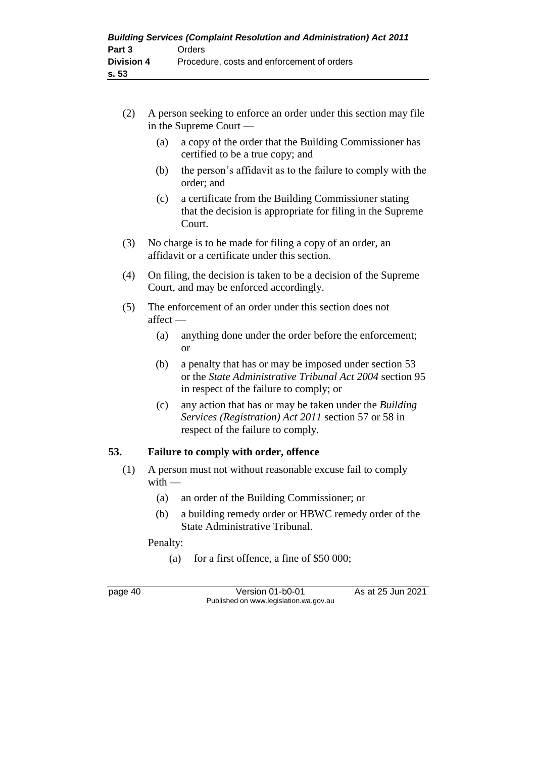- (2) A person seeking to enforce an order under this section may file in the Supreme Court —
	- (a) a copy of the order that the Building Commissioner has certified to be a true copy; and
	- (b) the person's affidavit as to the failure to comply with the order; and
	- (c) a certificate from the Building Commissioner stating that the decision is appropriate for filing in the Supreme Court.
- (3) No charge is to be made for filing a copy of an order, an affidavit or a certificate under this section.
- (4) On filing, the decision is taken to be a decision of the Supreme Court, and may be enforced accordingly.
- (5) The enforcement of an order under this section does not affect —
	- (a) anything done under the order before the enforcement; or
	- (b) a penalty that has or may be imposed under section 53 or the *State Administrative Tribunal Act 2004* section 95 in respect of the failure to comply; or
	- (c) any action that has or may be taken under the *Building Services (Registration) Act 2011* section 57 or 58 in respect of the failure to comply.

#### **53. Failure to comply with order, offence**

- (1) A person must not without reasonable excuse fail to comply  $with$  —
	- (a) an order of the Building Commissioner; or
	- (b) a building remedy order or HBWC remedy order of the State Administrative Tribunal.

Penalty:

(a) for a first offence, a fine of \$50 000;

page 40 Version 01-b0-01 As at 25 Jun 2021 Published on www.legislation.wa.gov.au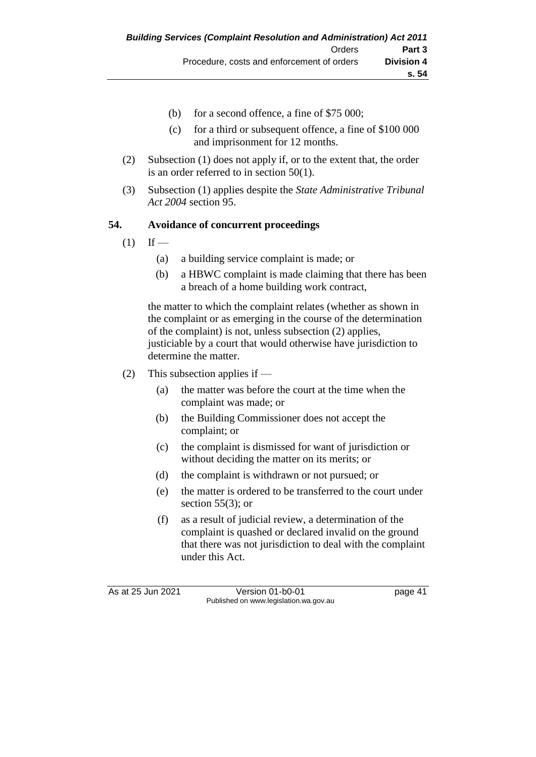- (b) for a second offence, a fine of \$75 000;
- (c) for a third or subsequent offence, a fine of \$100 000 and imprisonment for 12 months.
- (2) Subsection (1) does not apply if, or to the extent that, the order is an order referred to in section 50(1).
- (3) Subsection (1) applies despite the *State Administrative Tribunal Act 2004* section 95.

#### **54. Avoidance of concurrent proceedings**

- $(1)$  If
	- (a) a building service complaint is made; or
	- (b) a HBWC complaint is made claiming that there has been a breach of a home building work contract,

the matter to which the complaint relates (whether as shown in the complaint or as emerging in the course of the determination of the complaint) is not, unless subsection (2) applies, justiciable by a court that would otherwise have jurisdiction to determine the matter.

- (2) This subsection applies if
	- (a) the matter was before the court at the time when the complaint was made; or
	- (b) the Building Commissioner does not accept the complaint; or
	- (c) the complaint is dismissed for want of jurisdiction or without deciding the matter on its merits; or
	- (d) the complaint is withdrawn or not pursued; or
	- (e) the matter is ordered to be transferred to the court under section  $55(3)$ ; or
	- (f) as a result of judicial review, a determination of the complaint is quashed or declared invalid on the ground that there was not jurisdiction to deal with the complaint under this Act.

As at 25 Jun 2021 Version 01-b0-01 page 41 Published on www.legislation.wa.gov.au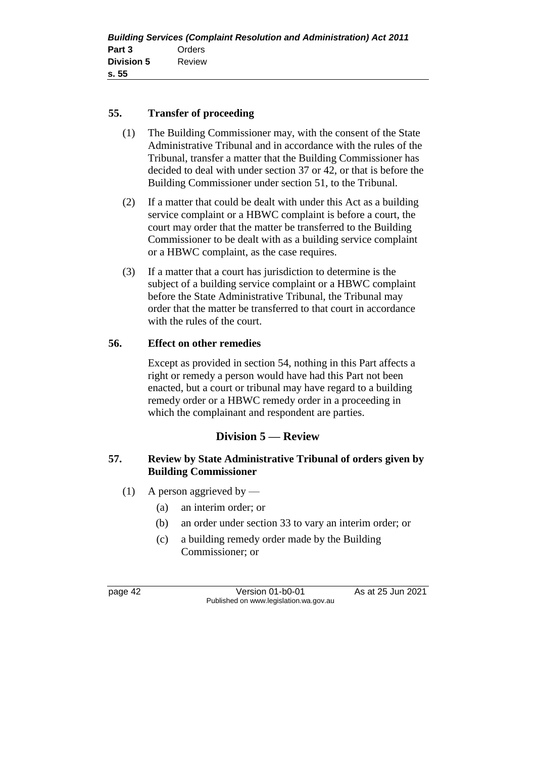#### **55. Transfer of proceeding**

- (1) The Building Commissioner may, with the consent of the State Administrative Tribunal and in accordance with the rules of the Tribunal, transfer a matter that the Building Commissioner has decided to deal with under section 37 or 42, or that is before the Building Commissioner under section 51, to the Tribunal.
- (2) If a matter that could be dealt with under this Act as a building service complaint or a HBWC complaint is before a court, the court may order that the matter be transferred to the Building Commissioner to be dealt with as a building service complaint or a HBWC complaint, as the case requires.
- (3) If a matter that a court has jurisdiction to determine is the subject of a building service complaint or a HBWC complaint before the State Administrative Tribunal, the Tribunal may order that the matter be transferred to that court in accordance with the rules of the court.

#### **56. Effect on other remedies**

Except as provided in section 54, nothing in this Part affects a right or remedy a person would have had this Part not been enacted, but a court or tribunal may have regard to a building remedy order or a HBWC remedy order in a proceeding in which the complainant and respondent are parties.

## **Division 5 — Review**

#### **57. Review by State Administrative Tribunal of orders given by Building Commissioner**

- (1) A person aggrieved by
	- (a) an interim order; or
	- (b) an order under section 33 to vary an interim order; or
	- (c) a building remedy order made by the Building Commissioner; or

page 42 Version 01-b0-01 As at 25 Jun 2021 Published on www.legislation.wa.gov.au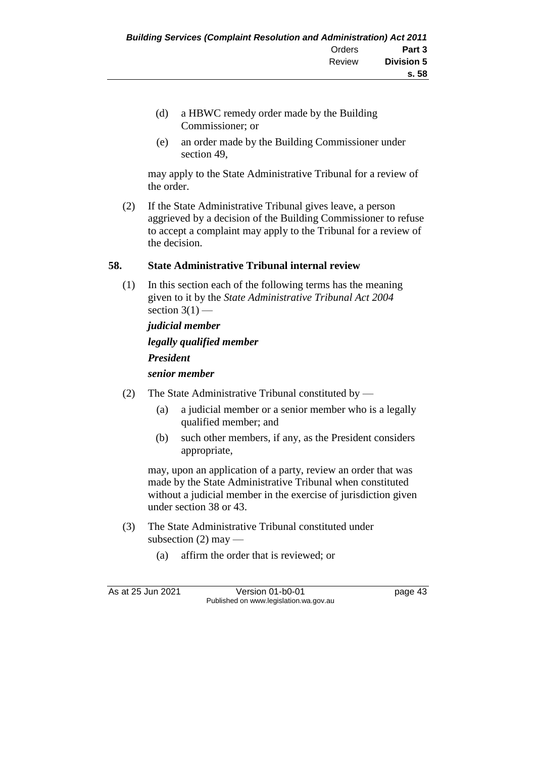- (d) a HBWC remedy order made by the Building Commissioner; or
- (e) an order made by the Building Commissioner under section 49,

may apply to the State Administrative Tribunal for a review of the order.

(2) If the State Administrative Tribunal gives leave, a person aggrieved by a decision of the Building Commissioner to refuse to accept a complaint may apply to the Tribunal for a review of the decision.

#### **58. State Administrative Tribunal internal review**

(1) In this section each of the following terms has the meaning given to it by the *State Administrative Tribunal Act 2004* section  $3(1)$  —

*judicial member legally qualified member President senior member*

- (2) The State Administrative Tribunal constituted by
	- (a) a judicial member or a senior member who is a legally qualified member; and
	- (b) such other members, if any, as the President considers appropriate,

may, upon an application of a party, review an order that was made by the State Administrative Tribunal when constituted without a judicial member in the exercise of jurisdiction given under section 38 or 43.

- (3) The State Administrative Tribunal constituted under subsection  $(2)$  may —
	- (a) affirm the order that is reviewed; or

As at 25 Jun 2021 Version 01-b0-01 Page 43 Published on www.legislation.wa.gov.au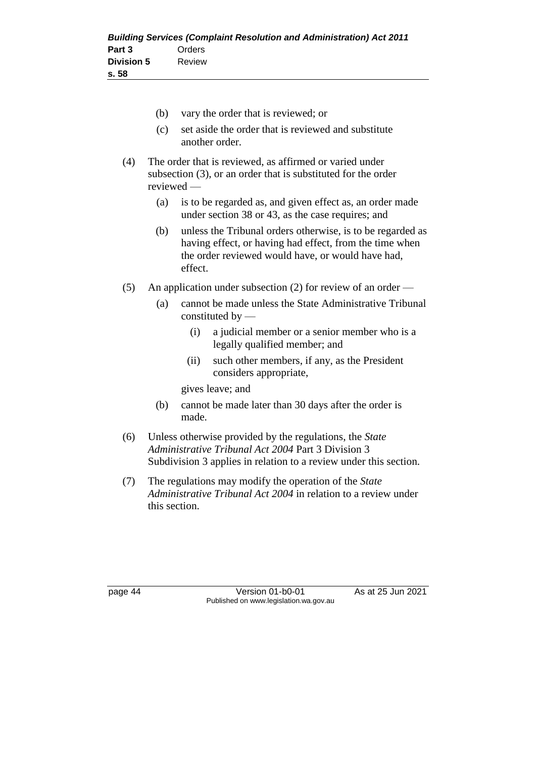- (b) vary the order that is reviewed; or (c) set aside the order that is reviewed and substitute another order. (4) The order that is reviewed, as affirmed or varied under subsection (3), or an order that is substituted for the order reviewed — (a) is to be regarded as, and given effect as, an order made under section 38 or 43, as the case requires; and (b) unless the Tribunal orders otherwise, is to be regarded as having effect, or having had effect, from the time when the order reviewed would have, or would have had, effect. (5) An application under subsection (2) for review of an order — (a) cannot be made unless the State Administrative Tribunal
	- constituted by  $-$ 
		- (i) a judicial member or a senior member who is a legally qualified member; and
		- (ii) such other members, if any, as the President considers appropriate,

gives leave; and

- (b) cannot be made later than 30 days after the order is made.
- (6) Unless otherwise provided by the regulations, the *State Administrative Tribunal Act 2004* Part 3 Division 3 Subdivision 3 applies in relation to a review under this section.
- (7) The regulations may modify the operation of the *State Administrative Tribunal Act 2004* in relation to a review under this section.

page 44 Version 01-b0-01 As at 25 Jun 2021 Published on www.legislation.wa.gov.au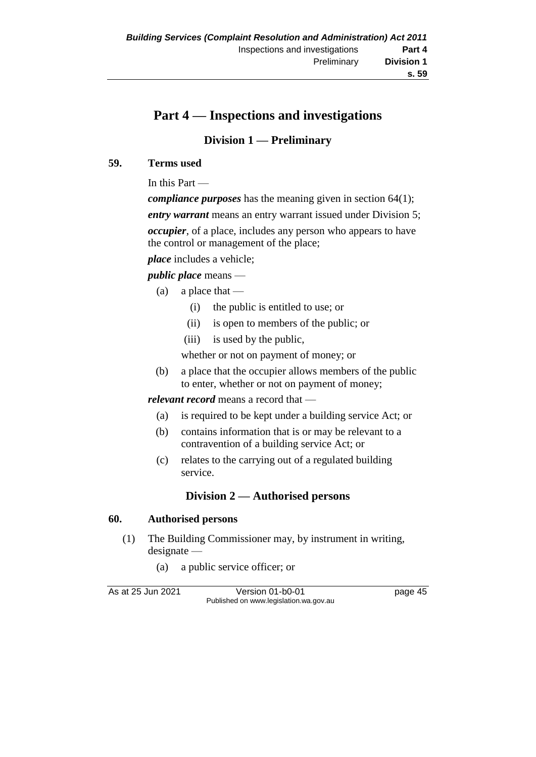# **Part 4 — Inspections and investigations**

## **Division 1 — Preliminary**

#### **59. Terms used**

In this Part —

*compliance purposes* has the meaning given in section 64(1);

*entry warrant* means an entry warrant issued under Division 5;

*occupier*, of a place, includes any person who appears to have the control or management of the place;

*place* includes a vehicle;

#### *public place* means —

- (a) a place that  $-$ 
	- (i) the public is entitled to use; or
	- (ii) is open to members of the public; or
	- (iii) is used by the public,

whether or not on payment of money; or

(b) a place that the occupier allows members of the public to enter, whether or not on payment of money;

#### *relevant record* means a record that —

- (a) is required to be kept under a building service Act; or
- (b) contains information that is or may be relevant to a contravention of a building service Act; or
- (c) relates to the carrying out of a regulated building service.

## **Division 2 — Authorised persons**

#### **60. Authorised persons**

- (1) The Building Commissioner may, by instrument in writing, designate —
	- (a) a public service officer; or

As at 25 Jun 2021 Version 01-b0-01 page 45 Published on www.legislation.wa.gov.au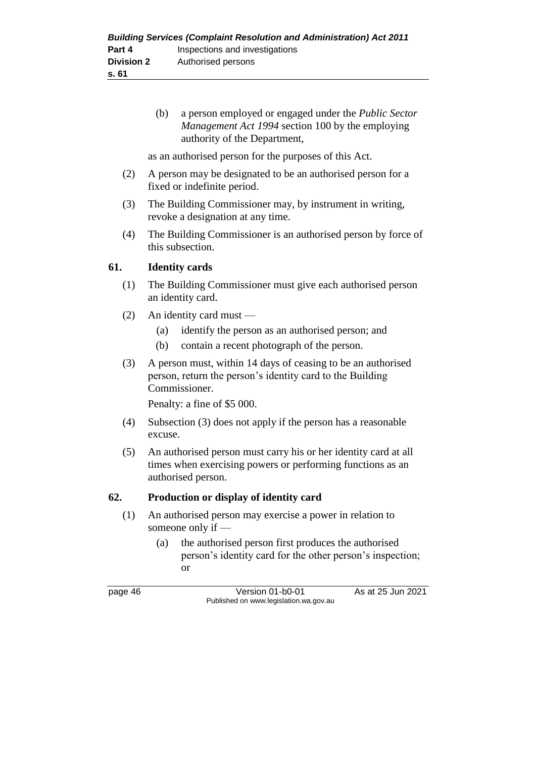(b) a person employed or engaged under the *Public Sector Management Act 1994* section 100 by the employing authority of the Department,

as an authorised person for the purposes of this Act.

- (2) A person may be designated to be an authorised person for a fixed or indefinite period.
- (3) The Building Commissioner may, by instrument in writing, revoke a designation at any time.
- (4) The Building Commissioner is an authorised person by force of this subsection.

#### **61. Identity cards**

- (1) The Building Commissioner must give each authorised person an identity card.
- (2) An identity card must
	- (a) identify the person as an authorised person; and
	- (b) contain a recent photograph of the person.
- (3) A person must, within 14 days of ceasing to be an authorised person, return the person's identity card to the Building Commissioner.

Penalty: a fine of \$5 000.

- (4) Subsection (3) does not apply if the person has a reasonable excuse.
- (5) An authorised person must carry his or her identity card at all times when exercising powers or performing functions as an authorised person.

## **62. Production or display of identity card**

- (1) An authorised person may exercise a power in relation to someone only if —
	- (a) the authorised person first produces the authorised person's identity card for the other person's inspection; or

page 46 Version 01-b0-01 As at 25 Jun 2021 Published on www.legislation.wa.gov.au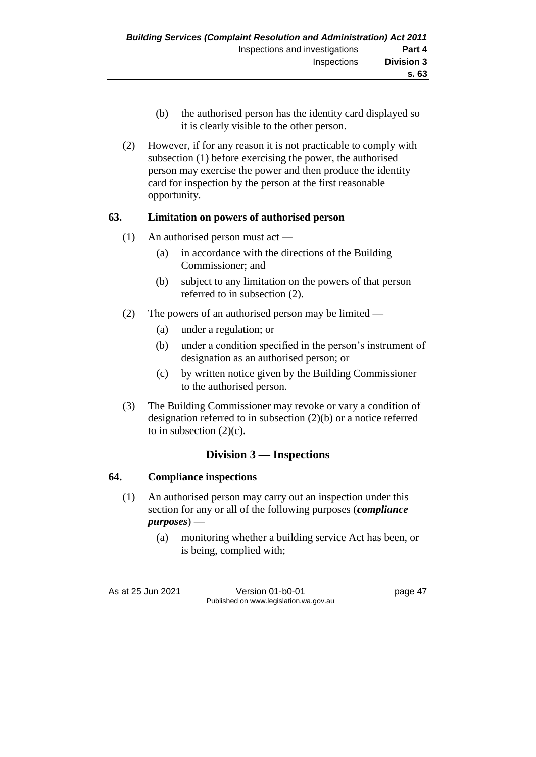- (b) the authorised person has the identity card displayed so it is clearly visible to the other person.
- (2) However, if for any reason it is not practicable to comply with subsection (1) before exercising the power, the authorised person may exercise the power and then produce the identity card for inspection by the person at the first reasonable opportunity.

#### **63. Limitation on powers of authorised person**

- (1) An authorised person must act
	- (a) in accordance with the directions of the Building Commissioner; and
	- (b) subject to any limitation on the powers of that person referred to in subsection (2).
- (2) The powers of an authorised person may be limited
	- (a) under a regulation; or
	- (b) under a condition specified in the person's instrument of designation as an authorised person; or
	- (c) by written notice given by the Building Commissioner to the authorised person.
- (3) The Building Commissioner may revoke or vary a condition of designation referred to in subsection (2)(b) or a notice referred to in subsection  $(2)(c)$ .

## **Division 3 — Inspections**

#### **64. Compliance inspections**

- (1) An authorised person may carry out an inspection under this section for any or all of the following purposes (*compliance purposes*) —
	- (a) monitoring whether a building service Act has been, or is being, complied with;

As at 25 Jun 2021 Version 01-b0-01 page 47 Published on www.legislation.wa.gov.au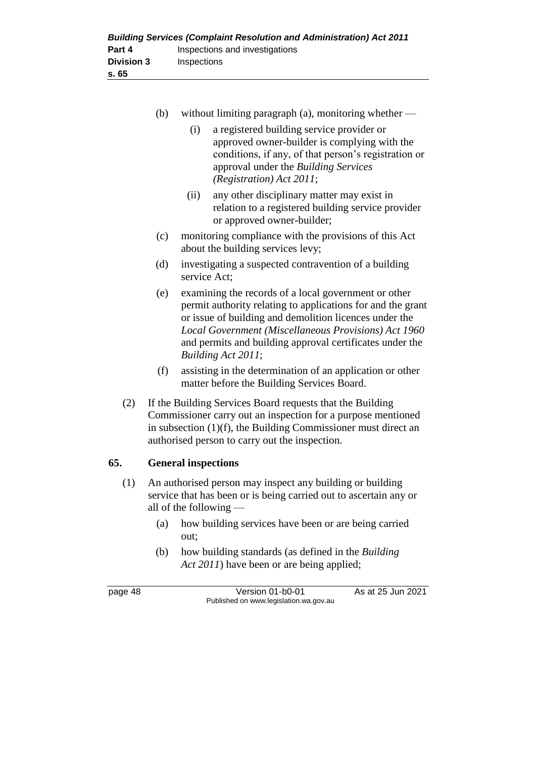| <b>Building Services (Complaint Resolution and Administration) Act 2011</b> |                                |  |  |
|-----------------------------------------------------------------------------|--------------------------------|--|--|
| Part 4                                                                      | Inspections and investigations |  |  |
| <b>Division 3</b>                                                           | Inspections                    |  |  |
| s. 65                                                                       |                                |  |  |

- (b) without limiting paragraph (a), monitoring whether
	- (i) a registered building service provider or approved owner-builder is complying with the conditions, if any, of that person's registration or approval under the *Building Services (Registration) Act 2011*;
	- (ii) any other disciplinary matter may exist in relation to a registered building service provider or approved owner-builder;
- (c) monitoring compliance with the provisions of this Act about the building services levy;
- (d) investigating a suspected contravention of a building service Act;
- (e) examining the records of a local government or other permit authority relating to applications for and the grant or issue of building and demolition licences under the *Local Government (Miscellaneous Provisions) Act 1960* and permits and building approval certificates under the *Building Act 2011*;
- (f) assisting in the determination of an application or other matter before the Building Services Board.
- (2) If the Building Services Board requests that the Building Commissioner carry out an inspection for a purpose mentioned in subsection (1)(f), the Building Commissioner must direct an authorised person to carry out the inspection.

#### **65. General inspections**

- (1) An authorised person may inspect any building or building service that has been or is being carried out to ascertain any or all of the following —
	- (a) how building services have been or are being carried out;
	- (b) how building standards (as defined in the *Building Act 2011*) have been or are being applied;

page 48 Version 01-b0-01 As at 25 Jun 2021 Published on www.legislation.wa.gov.au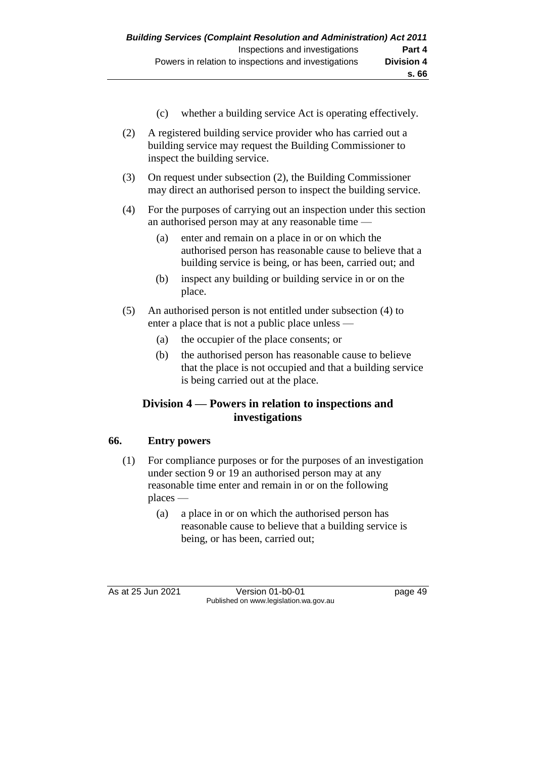- (c) whether a building service Act is operating effectively.
- (2) A registered building service provider who has carried out a building service may request the Building Commissioner to inspect the building service.
- (3) On request under subsection (2), the Building Commissioner may direct an authorised person to inspect the building service.
- (4) For the purposes of carrying out an inspection under this section an authorised person may at any reasonable time —
	- (a) enter and remain on a place in or on which the authorised person has reasonable cause to believe that a building service is being, or has been, carried out; and
	- (b) inspect any building or building service in or on the place.
- (5) An authorised person is not entitled under subsection (4) to enter a place that is not a public place unless —
	- (a) the occupier of the place consents; or
	- (b) the authorised person has reasonable cause to believe that the place is not occupied and that a building service is being carried out at the place.

## **Division 4 — Powers in relation to inspections and investigations**

## **66. Entry powers**

- (1) For compliance purposes or for the purposes of an investigation under section 9 or 19 an authorised person may at any reasonable time enter and remain in or on the following places —
	- (a) a place in or on which the authorised person has reasonable cause to believe that a building service is being, or has been, carried out;

As at 25 Jun 2021 Version 01-b0-01 Page 49 Published on www.legislation.wa.gov.au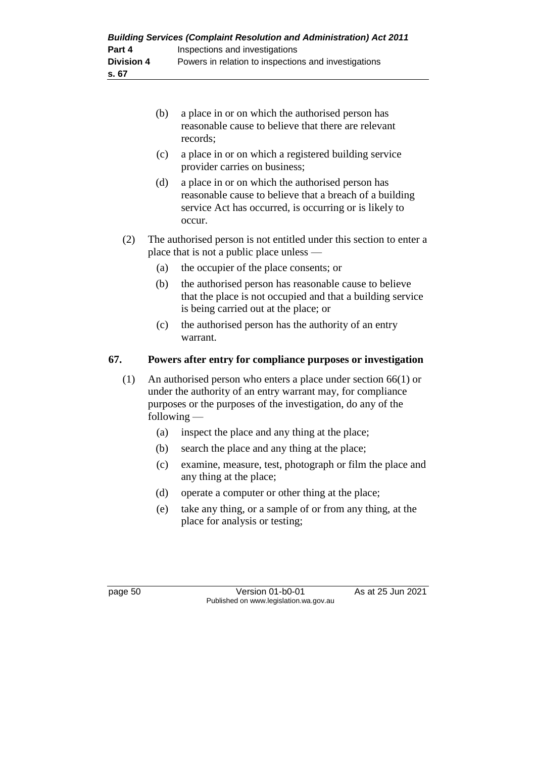| <b>Building Services (Complaint Resolution and Administration) Act 2011</b> |                                                      |  |  |
|-----------------------------------------------------------------------------|------------------------------------------------------|--|--|
| Part 4                                                                      | Inspections and investigations                       |  |  |
| <b>Division 4</b>                                                           | Powers in relation to inspections and investigations |  |  |
| s. 67                                                                       |                                                      |  |  |

- (b) a place in or on which the authorised person has reasonable cause to believe that there are relevant records;
- (c) a place in or on which a registered building service provider carries on business;
- (d) a place in or on which the authorised person has reasonable cause to believe that a breach of a building service Act has occurred, is occurring or is likely to occur.
- (2) The authorised person is not entitled under this section to enter a place that is not a public place unless —
	- (a) the occupier of the place consents; or
	- (b) the authorised person has reasonable cause to believe that the place is not occupied and that a building service is being carried out at the place; or
	- (c) the authorised person has the authority of an entry warrant.

## **67. Powers after entry for compliance purposes or investigation**

- (1) An authorised person who enters a place under section 66(1) or under the authority of an entry warrant may, for compliance purposes or the purposes of the investigation, do any of the following —
	- (a) inspect the place and any thing at the place;
	- (b) search the place and any thing at the place;
	- (c) examine, measure, test, photograph or film the place and any thing at the place;
	- (d) operate a computer or other thing at the place;
	- (e) take any thing, or a sample of or from any thing, at the place for analysis or testing;

page 50 Version 01-b0-01 As at 25 Jun 2021 Published on www.legislation.wa.gov.au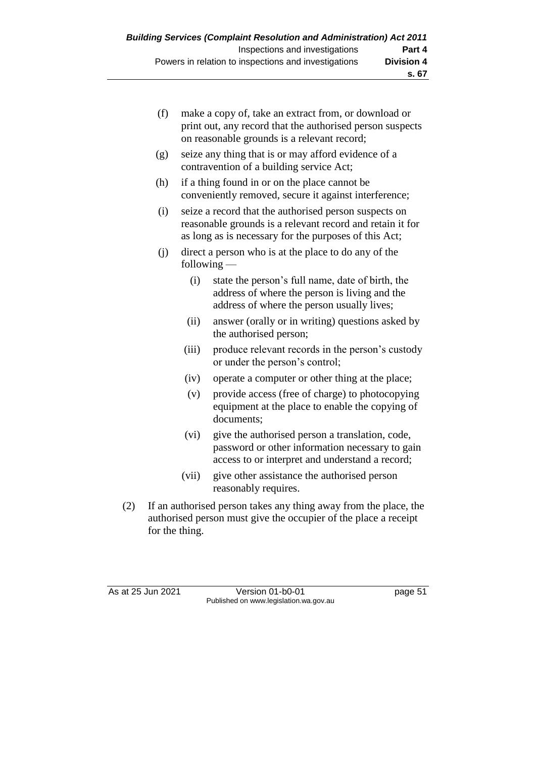| (f) | make a copy of, take an extract from, or download or<br>print out, any record that the authorised person suspects<br>on reasonable grounds is a relevant record;            |                                                                                                                                                 |  |  |
|-----|-----------------------------------------------------------------------------------------------------------------------------------------------------------------------------|-------------------------------------------------------------------------------------------------------------------------------------------------|--|--|
| (g) |                                                                                                                                                                             | seize any thing that is or may afford evidence of a<br>contravention of a building service Act;                                                 |  |  |
| (h) | if a thing found in or on the place cannot be<br>conveniently removed, secure it against interference;                                                                      |                                                                                                                                                 |  |  |
| (i) | seize a record that the authorised person suspects on<br>reasonable grounds is a relevant record and retain it for<br>as long as is necessary for the purposes of this Act; |                                                                                                                                                 |  |  |
| (i) | direct a person who is at the place to do any of the<br>following $-$                                                                                                       |                                                                                                                                                 |  |  |
|     | (i)                                                                                                                                                                         | state the person's full name, date of birth, the<br>address of where the person is living and the<br>address of where the person usually lives; |  |  |
|     | (ii)                                                                                                                                                                        | answer (orally or in writing) questions asked by<br>the authorised person;                                                                      |  |  |
|     | (iii)                                                                                                                                                                       | produce relevant records in the person's custody<br>or under the person's control;                                                              |  |  |
|     | (iv)                                                                                                                                                                        | operate a computer or other thing at the place;                                                                                                 |  |  |

- (v) provide access (free of charge) to photocopying equipment at the place to enable the copying of documents;
- (vi) give the authorised person a translation, code, password or other information necessary to gain access to or interpret and understand a record;
- (vii) give other assistance the authorised person reasonably requires.
- (2) If an authorised person takes any thing away from the place, the authorised person must give the occupier of the place a receipt for the thing.

As at 25 Jun 2021 Version 01-b0-01 page 51 Published on www.legislation.wa.gov.au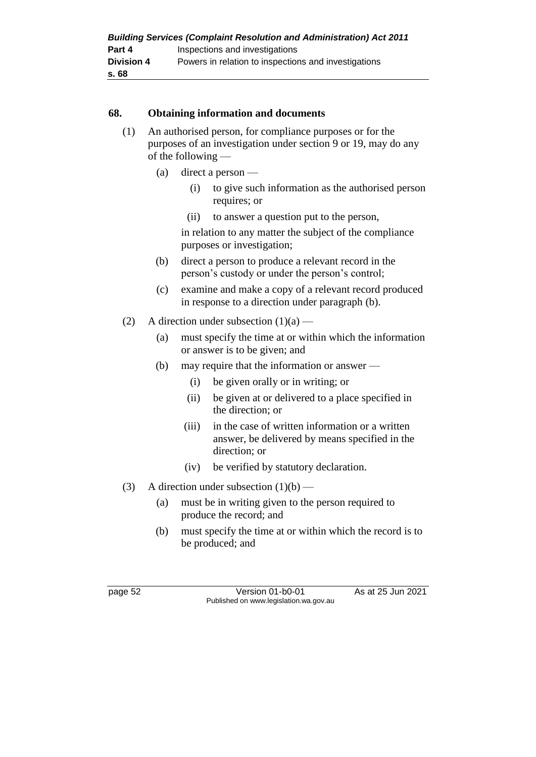| <b>Building Services (Complaint Resolution and Administration) Act 2011</b> |                                                      |  |  |
|-----------------------------------------------------------------------------|------------------------------------------------------|--|--|
| Part 4                                                                      | Inspections and investigations                       |  |  |
| <b>Division 4</b>                                                           | Powers in relation to inspections and investigations |  |  |
| s. 68                                                                       |                                                      |  |  |

#### **68. Obtaining information and documents**

- (1) An authorised person, for compliance purposes or for the purposes of an investigation under section 9 or 19, may do any of the following —
	- (a) direct a person
		- (i) to give such information as the authorised person requires; or
		- (ii) to answer a question put to the person,

in relation to any matter the subject of the compliance purposes or investigation;

- (b) direct a person to produce a relevant record in the person's custody or under the person's control;
- (c) examine and make a copy of a relevant record produced in response to a direction under paragraph (b).
- (2) A direction under subsection  $(1)(a)$ 
	- (a) must specify the time at or within which the information or answer is to be given; and
	- (b) may require that the information or answer
		- (i) be given orally or in writing; or
		- (ii) be given at or delivered to a place specified in the direction; or
		- (iii) in the case of written information or a written answer, be delivered by means specified in the direction; or
		- (iv) be verified by statutory declaration.
- (3) A direction under subsection  $(1)(b)$ 
	- (a) must be in writing given to the person required to produce the record; and
	- (b) must specify the time at or within which the record is to be produced; and

page 52 Version 01-b0-01 As at 25 Jun 2021 Published on www.legislation.wa.gov.au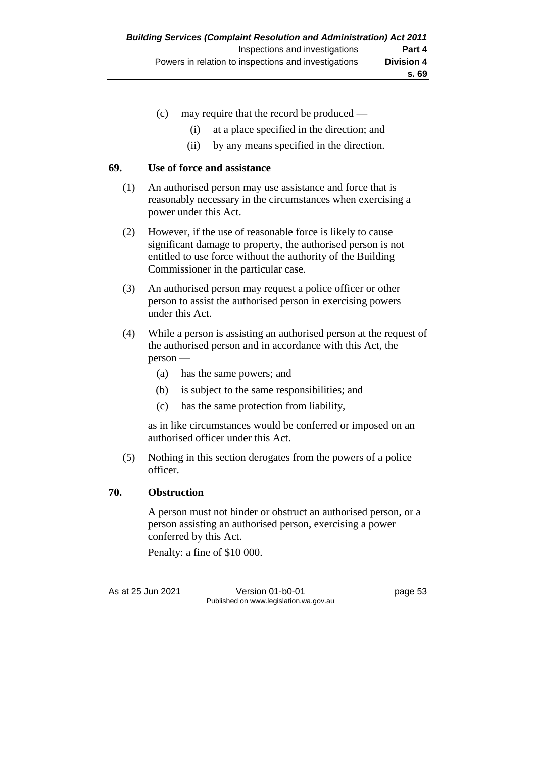- (c) may require that the record be produced
	- (i) at a place specified in the direction; and
	- (ii) by any means specified in the direction.

#### **69. Use of force and assistance**

- (1) An authorised person may use assistance and force that is reasonably necessary in the circumstances when exercising a power under this Act.
- (2) However, if the use of reasonable force is likely to cause significant damage to property, the authorised person is not entitled to use force without the authority of the Building Commissioner in the particular case.
- (3) An authorised person may request a police officer or other person to assist the authorised person in exercising powers under this Act.
- (4) While a person is assisting an authorised person at the request of the authorised person and in accordance with this Act, the person —
	- (a) has the same powers; and
	- (b) is subject to the same responsibilities; and
	- (c) has the same protection from liability,

as in like circumstances would be conferred or imposed on an authorised officer under this Act.

(5) Nothing in this section derogates from the powers of a police officer.

#### **70. Obstruction**

A person must not hinder or obstruct an authorised person, or a person assisting an authorised person, exercising a power conferred by this Act.

Penalty: a fine of \$10 000.

As at 25 Jun 2021 Version 01-b0-01 Page 53 Published on www.legislation.wa.gov.au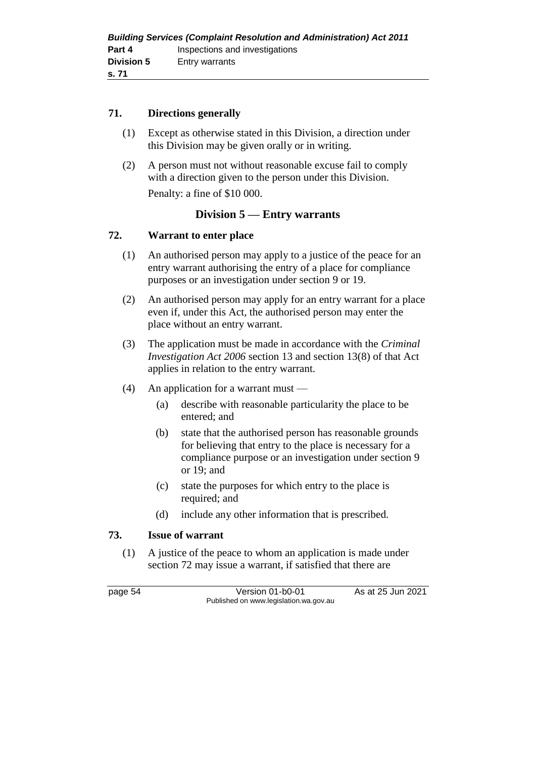#### **71. Directions generally**

- (1) Except as otherwise stated in this Division, a direction under this Division may be given orally or in writing.
- (2) A person must not without reasonable excuse fail to comply with a direction given to the person under this Division. Penalty: a fine of \$10 000.

## **Division 5 — Entry warrants**

#### **72. Warrant to enter place**

- (1) An authorised person may apply to a justice of the peace for an entry warrant authorising the entry of a place for compliance purposes or an investigation under section 9 or 19.
- (2) An authorised person may apply for an entry warrant for a place even if, under this Act, the authorised person may enter the place without an entry warrant.
- (3) The application must be made in accordance with the *Criminal Investigation Act 2006* section 13 and section 13(8) of that Act applies in relation to the entry warrant.
- (4) An application for a warrant must
	- (a) describe with reasonable particularity the place to be entered; and
	- (b) state that the authorised person has reasonable grounds for believing that entry to the place is necessary for a compliance purpose or an investigation under section 9 or 19; and
	- (c) state the purposes for which entry to the place is required; and
	- (d) include any other information that is prescribed.

#### **73. Issue of warrant**

(1) A justice of the peace to whom an application is made under section 72 may issue a warrant, if satisfied that there are

page 54 Version 01-b0-01 As at 25 Jun 2021 Published on www.legislation.wa.gov.au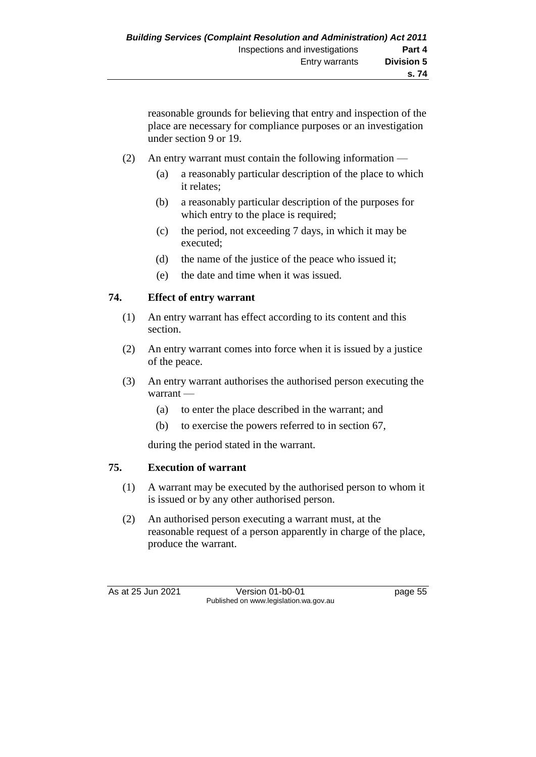reasonable grounds for believing that entry and inspection of the place are necessary for compliance purposes or an investigation under section 9 or 19.

- (2) An entry warrant must contain the following information
	- (a) a reasonably particular description of the place to which it relates;
	- (b) a reasonably particular description of the purposes for which entry to the place is required;
	- (c) the period, not exceeding 7 days, in which it may be executed;
	- (d) the name of the justice of the peace who issued it;
	- (e) the date and time when it was issued.

## **74. Effect of entry warrant**

- (1) An entry warrant has effect according to its content and this section.
- (2) An entry warrant comes into force when it is issued by a justice of the peace.
- (3) An entry warrant authorises the authorised person executing the warrant —
	- (a) to enter the place described in the warrant; and
	- (b) to exercise the powers referred to in section 67,

during the period stated in the warrant.

## **75. Execution of warrant**

- (1) A warrant may be executed by the authorised person to whom it is issued or by any other authorised person.
- (2) An authorised person executing a warrant must, at the reasonable request of a person apparently in charge of the place, produce the warrant.

As at 25 Jun 2021 Version 01-b0-01 Page 55 Published on www.legislation.wa.gov.au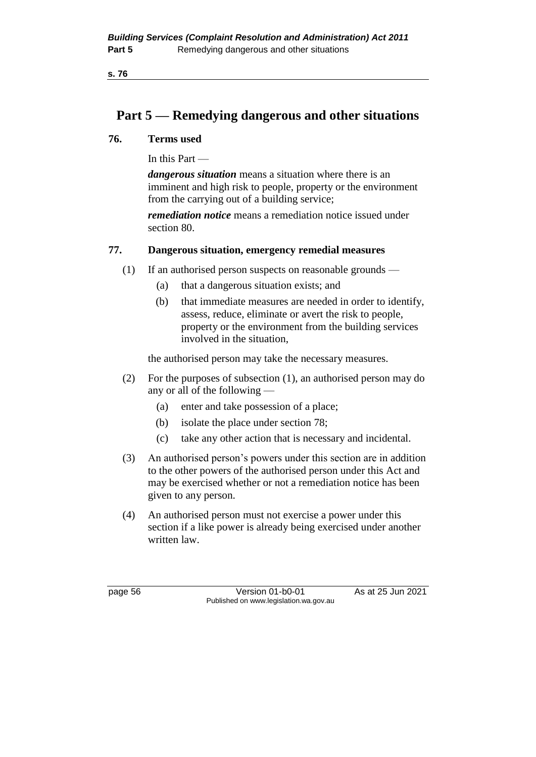## **Part 5 — Remedying dangerous and other situations**

#### **76. Terms used**

In this Part —

*dangerous situation* means a situation where there is an imminent and high risk to people, property or the environment from the carrying out of a building service;

*remediation notice* means a remediation notice issued under section 80.

#### **77. Dangerous situation, emergency remedial measures**

- (1) If an authorised person suspects on reasonable grounds
	- (a) that a dangerous situation exists; and
	- (b) that immediate measures are needed in order to identify, assess, reduce, eliminate or avert the risk to people, property or the environment from the building services involved in the situation,

the authorised person may take the necessary measures.

- (2) For the purposes of subsection (1), an authorised person may do any or all of the following —
	- (a) enter and take possession of a place;
	- (b) isolate the place under section 78;
	- (c) take any other action that is necessary and incidental.
- (3) An authorised person's powers under this section are in addition to the other powers of the authorised person under this Act and may be exercised whether or not a remediation notice has been given to any person.
- (4) An authorised person must not exercise a power under this section if a like power is already being exercised under another written law.

page 56 Version 01-b0-01 As at 25 Jun 2021 Published on www.legislation.wa.gov.au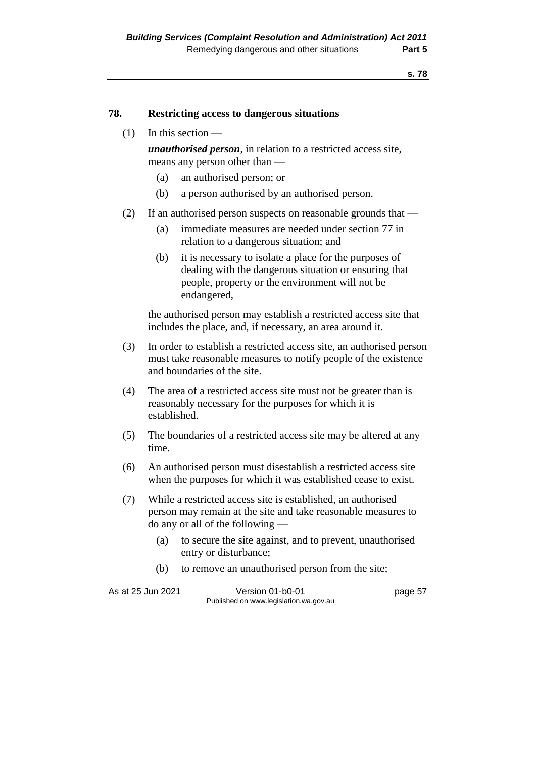#### **78. Restricting access to dangerous situations**

#### $(1)$  In this section —

*unauthorised person*, in relation to a restricted access site, means any person other than —

- (a) an authorised person; or
- (b) a person authorised by an authorised person.
- (2) If an authorised person suspects on reasonable grounds that
	- (a) immediate measures are needed under section 77 in relation to a dangerous situation; and
	- (b) it is necessary to isolate a place for the purposes of dealing with the dangerous situation or ensuring that people, property or the environment will not be endangered,

the authorised person may establish a restricted access site that includes the place, and, if necessary, an area around it.

- (3) In order to establish a restricted access site, an authorised person must take reasonable measures to notify people of the existence and boundaries of the site.
- (4) The area of a restricted access site must not be greater than is reasonably necessary for the purposes for which it is established.
- (5) The boundaries of a restricted access site may be altered at any time.
- (6) An authorised person must disestablish a restricted access site when the purposes for which it was established cease to exist.
- (7) While a restricted access site is established, an authorised person may remain at the site and take reasonable measures to do any or all of the following —
	- (a) to secure the site against, and to prevent, unauthorised entry or disturbance;
	- (b) to remove an unauthorised person from the site;

| As at 25 Jun 2021 | Version 01-b0-01                       | page 57 |
|-------------------|----------------------------------------|---------|
|                   | Published on www.legislation.wa.gov.au |         |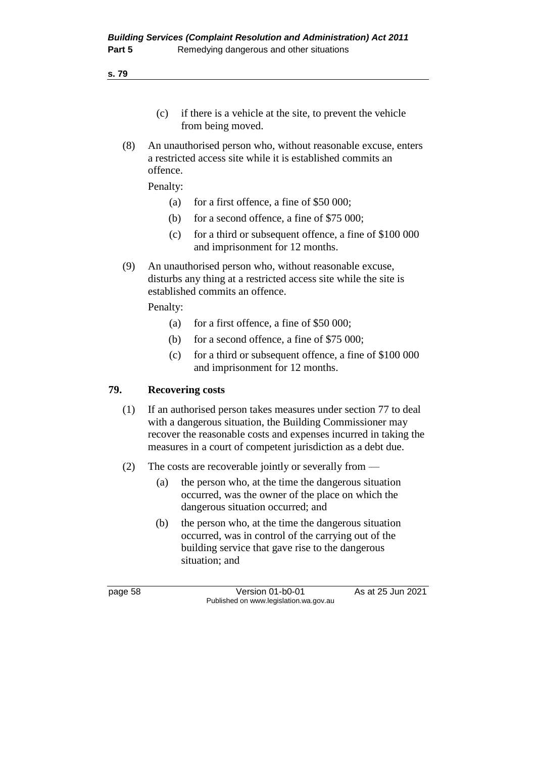**s. 79**

- (c) if there is a vehicle at the site, to prevent the vehicle from being moved.
- (8) An unauthorised person who, without reasonable excuse, enters a restricted access site while it is established commits an offence.

Penalty:

- (a) for a first offence, a fine of  $$50,000$ ;
- (b) for a second offence, a fine of \$75 000;
- (c) for a third or subsequent offence, a fine of \$100 000 and imprisonment for 12 months.
- (9) An unauthorised person who, without reasonable excuse, disturbs any thing at a restricted access site while the site is established commits an offence.

Penalty:

- (a) for a first offence, a fine of \$50 000;
- (b) for a second offence, a fine of \$75 000;
- (c) for a third or subsequent offence, a fine of \$100 000 and imprisonment for 12 months.

#### **79. Recovering costs**

- (1) If an authorised person takes measures under section 77 to deal with a dangerous situation, the Building Commissioner may recover the reasonable costs and expenses incurred in taking the measures in a court of competent jurisdiction as a debt due.
- (2) The costs are recoverable jointly or severally from
	- (a) the person who, at the time the dangerous situation occurred, was the owner of the place on which the dangerous situation occurred; and
	- (b) the person who, at the time the dangerous situation occurred, was in control of the carrying out of the building service that gave rise to the dangerous situation; and

page 58 Version 01-b0-01 As at 25 Jun 2021 Published on www.legislation.wa.gov.au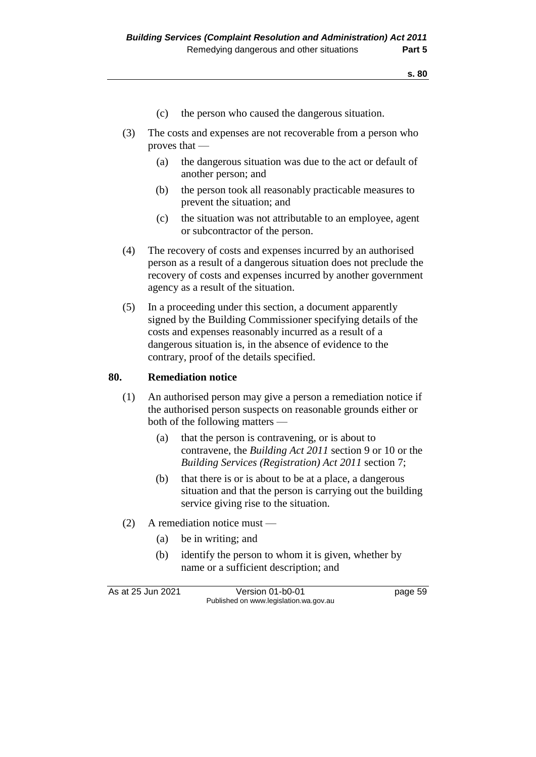- (c) the person who caused the dangerous situation.
- (3) The costs and expenses are not recoverable from a person who proves that —
	- (a) the dangerous situation was due to the act or default of another person; and
	- (b) the person took all reasonably practicable measures to prevent the situation; and
	- (c) the situation was not attributable to an employee, agent or subcontractor of the person.
- (4) The recovery of costs and expenses incurred by an authorised person as a result of a dangerous situation does not preclude the recovery of costs and expenses incurred by another government agency as a result of the situation.
- (5) In a proceeding under this section, a document apparently signed by the Building Commissioner specifying details of the costs and expenses reasonably incurred as a result of a dangerous situation is, in the absence of evidence to the contrary, proof of the details specified.

#### **80. Remediation notice**

- (1) An authorised person may give a person a remediation notice if the authorised person suspects on reasonable grounds either or both of the following matters —
	- (a) that the person is contravening, or is about to contravene, the *Building Act 2011* section 9 or 10 or the *Building Services (Registration) Act 2011* section 7;
	- (b) that there is or is about to be at a place, a dangerous situation and that the person is carrying out the building service giving rise to the situation.
- (2) A remediation notice must
	- (a) be in writing; and
	- (b) identify the person to whom it is given, whether by name or a sufficient description; and

As at 25 Jun 2021 Version 01-b0-01 page 59 Published on www.legislation.wa.gov.au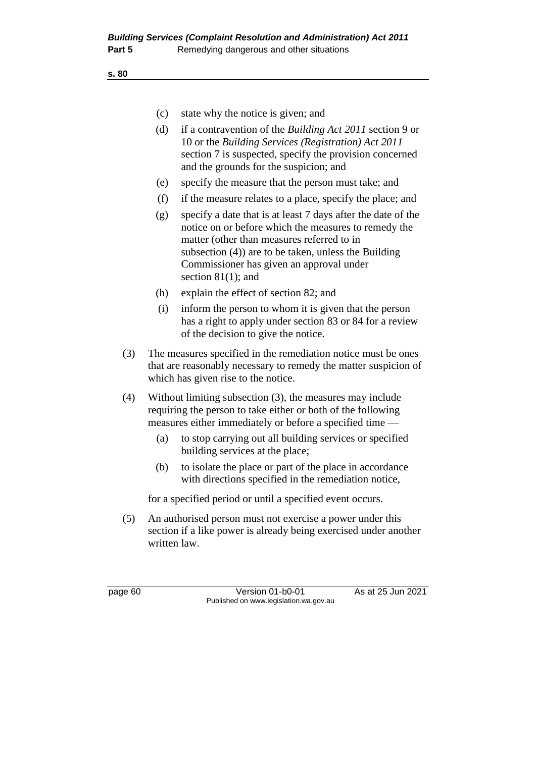**s. 80**

- (c) state why the notice is given; and
- (d) if a contravention of the *Building Act 2011* section 9 or 10 or the *Building Services (Registration) Act 2011*  section 7 is suspected, specify the provision concerned and the grounds for the suspicion; and
- (e) specify the measure that the person must take; and
- (f) if the measure relates to a place, specify the place; and
- (g) specify a date that is at least 7 days after the date of the notice on or before which the measures to remedy the matter (other than measures referred to in subsection (4)) are to be taken, unless the Building Commissioner has given an approval under section 81(1); and
- (h) explain the effect of section 82; and
- (i) inform the person to whom it is given that the person has a right to apply under section 83 or 84 for a review of the decision to give the notice.
- (3) The measures specified in the remediation notice must be ones that are reasonably necessary to remedy the matter suspicion of which has given rise to the notice.
- (4) Without limiting subsection (3), the measures may include requiring the person to take either or both of the following measures either immediately or before a specified time —
	- (a) to stop carrying out all building services or specified building services at the place;
	- (b) to isolate the place or part of the place in accordance with directions specified in the remediation notice,

for a specified period or until a specified event occurs.

(5) An authorised person must not exercise a power under this section if a like power is already being exercised under another written law.

page 60 Version 01-b0-01 As at 25 Jun 2021 Published on www.legislation.wa.gov.au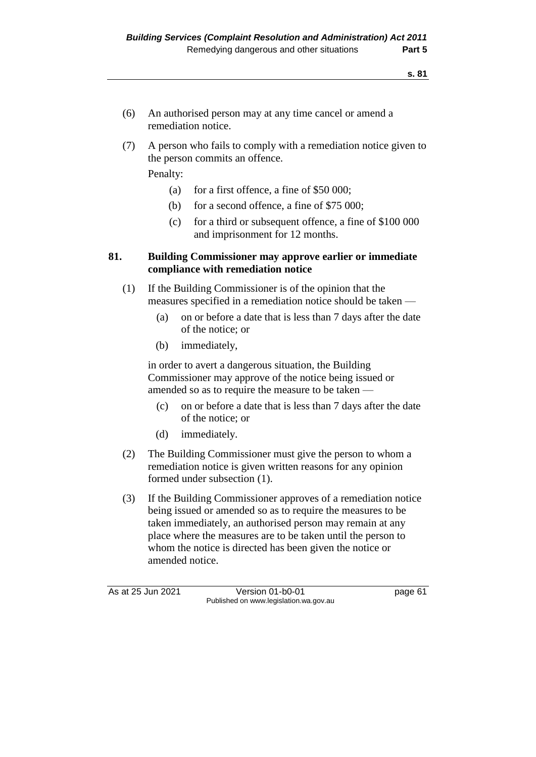- (6) An authorised person may at any time cancel or amend a remediation notice.
- (7) A person who fails to comply with a remediation notice given to the person commits an offence.

Penalty:

- (a) for a first offence, a fine of \$50 000;
- (b) for a second offence, a fine of \$75 000;
- (c) for a third or subsequent offence, a fine of \$100 000 and imprisonment for 12 months.

#### **81. Building Commissioner may approve earlier or immediate compliance with remediation notice**

- (1) If the Building Commissioner is of the opinion that the measures specified in a remediation notice should be taken —
	- (a) on or before a date that is less than 7 days after the date of the notice; or
	- (b) immediately,

in order to avert a dangerous situation, the Building Commissioner may approve of the notice being issued or amended so as to require the measure to be taken —

- (c) on or before a date that is less than 7 days after the date of the notice; or
- (d) immediately.
- (2) The Building Commissioner must give the person to whom a remediation notice is given written reasons for any opinion formed under subsection (1).
- (3) If the Building Commissioner approves of a remediation notice being issued or amended so as to require the measures to be taken immediately, an authorised person may remain at any place where the measures are to be taken until the person to whom the notice is directed has been given the notice or amended notice.

As at 25 Jun 2021 Version 01-b0-01 Page 61 Published on www.legislation.wa.gov.au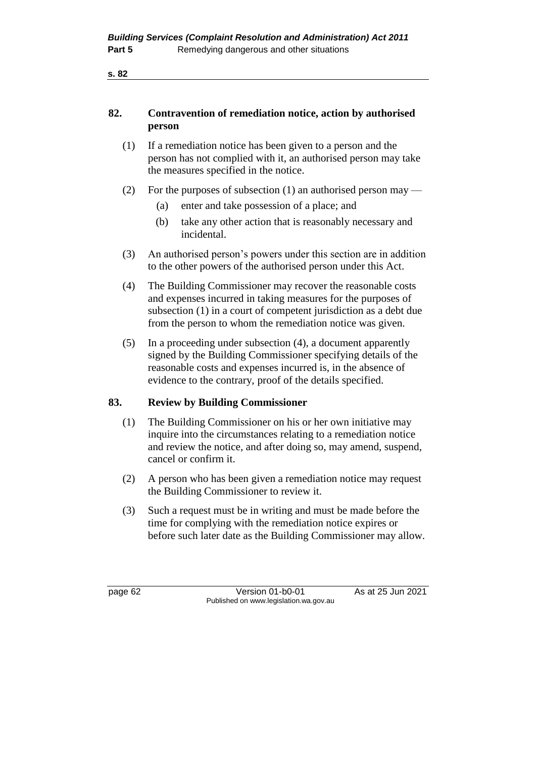**s. 82**

#### **82. Contravention of remediation notice, action by authorised person**

- (1) If a remediation notice has been given to a person and the person has not complied with it, an authorised person may take the measures specified in the notice.
- (2) For the purposes of subsection (1) an authorised person may
	- (a) enter and take possession of a place; and
	- (b) take any other action that is reasonably necessary and incidental.
- (3) An authorised person's powers under this section are in addition to the other powers of the authorised person under this Act.
- (4) The Building Commissioner may recover the reasonable costs and expenses incurred in taking measures for the purposes of subsection (1) in a court of competent jurisdiction as a debt due from the person to whom the remediation notice was given.
- (5) In a proceeding under subsection (4), a document apparently signed by the Building Commissioner specifying details of the reasonable costs and expenses incurred is, in the absence of evidence to the contrary, proof of the details specified.

### **83. Review by Building Commissioner**

- (1) The Building Commissioner on his or her own initiative may inquire into the circumstances relating to a remediation notice and review the notice, and after doing so, may amend, suspend, cancel or confirm it.
- (2) A person who has been given a remediation notice may request the Building Commissioner to review it.
- (3) Such a request must be in writing and must be made before the time for complying with the remediation notice expires or before such later date as the Building Commissioner may allow.

page 62 Version 01-b0-01 As at 25 Jun 2021 Published on www.legislation.wa.gov.au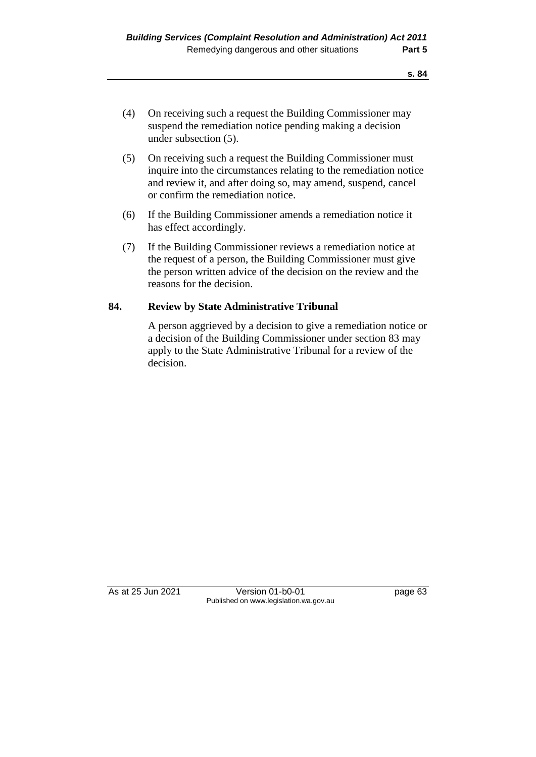- (4) On receiving such a request the Building Commissioner may suspend the remediation notice pending making a decision under subsection (5).
- (5) On receiving such a request the Building Commissioner must inquire into the circumstances relating to the remediation notice and review it, and after doing so, may amend, suspend, cancel or confirm the remediation notice.
- (6) If the Building Commissioner amends a remediation notice it has effect accordingly.
- (7) If the Building Commissioner reviews a remediation notice at the request of a person, the Building Commissioner must give the person written advice of the decision on the review and the reasons for the decision.

#### **84. Review by State Administrative Tribunal**

A person aggrieved by a decision to give a remediation notice or a decision of the Building Commissioner under section 83 may apply to the State Administrative Tribunal for a review of the decision.

As at 25 Jun 2021 Version 01-b0-01 page 63 Published on www.legislation.wa.gov.au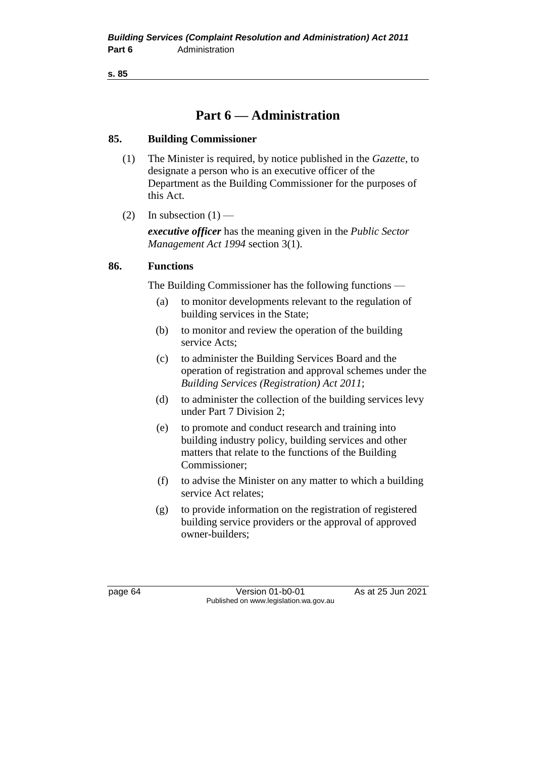**s. 85**

## **Part 6 — Administration**

#### **85. Building Commissioner**

- (1) The Minister is required, by notice published in the *Gazette*, to designate a person who is an executive officer of the Department as the Building Commissioner for the purposes of this Act.
- (2) In subsection  $(1)$  —

*executive officer* has the meaning given in the *Public Sector Management Act 1994* section 3(1).

#### **86. Functions**

The Building Commissioner has the following functions —

- (a) to monitor developments relevant to the regulation of building services in the State;
- (b) to monitor and review the operation of the building service Acts;
- (c) to administer the Building Services Board and the operation of registration and approval schemes under the *Building Services (Registration) Act 2011*;
- (d) to administer the collection of the building services levy under Part 7 Division 2;
- (e) to promote and conduct research and training into building industry policy, building services and other matters that relate to the functions of the Building Commissioner;
- (f) to advise the Minister on any matter to which a building service Act relates;
- (g) to provide information on the registration of registered building service providers or the approval of approved owner-builders;

page 64 Version 01-b0-01 As at 25 Jun 2021 Published on www.legislation.wa.gov.au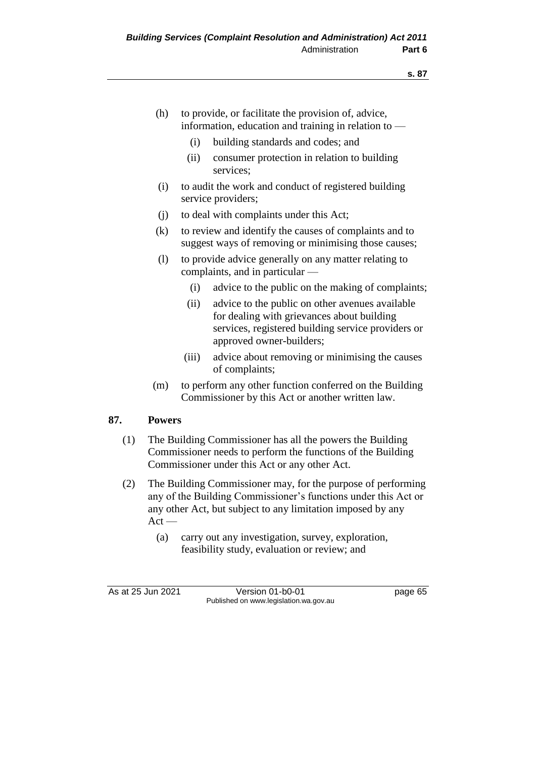- (h) to provide, or facilitate the provision of, advice, information, education and training in relation to —
	- (i) building standards and codes; and
	- (ii) consumer protection in relation to building services;
- (i) to audit the work and conduct of registered building service providers;
- (j) to deal with complaints under this Act;
- (k) to review and identify the causes of complaints and to suggest ways of removing or minimising those causes;
- (l) to provide advice generally on any matter relating to complaints, and in particular —
	- (i) advice to the public on the making of complaints;
	- (ii) advice to the public on other avenues available for dealing with grievances about building services, registered building service providers or approved owner-builders;
	- (iii) advice about removing or minimising the causes of complaints;
- (m) to perform any other function conferred on the Building Commissioner by this Act or another written law.

# **87. Powers**

- (1) The Building Commissioner has all the powers the Building Commissioner needs to perform the functions of the Building Commissioner under this Act or any other Act.
- (2) The Building Commissioner may, for the purpose of performing any of the Building Commissioner's functions under this Act or any other Act, but subject to any limitation imposed by any  $Act -$ 
	- (a) carry out any investigation, survey, exploration, feasibility study, evaluation or review; and

As at 25 Jun 2021 Version 01-b0-01 Page 65 Published on www.legislation.wa.gov.au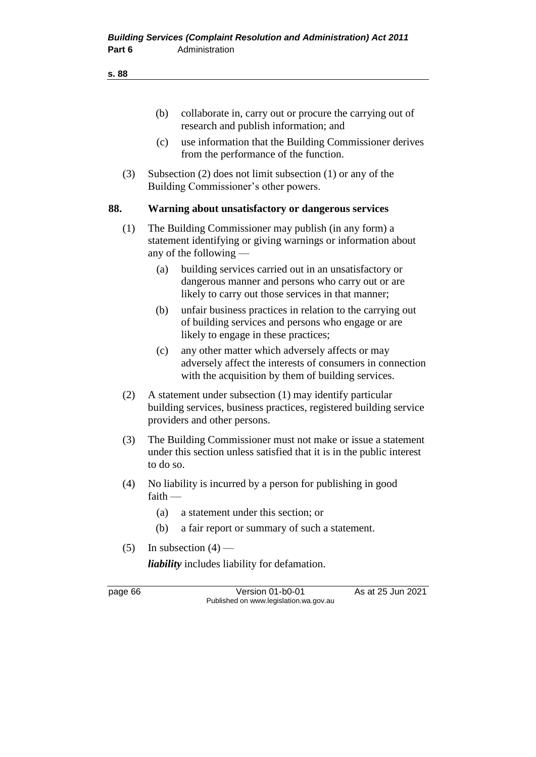|--|

|         | (b)       | collaborate in, carry out or procure the carrying out of<br>research and publish information; and                                                                  |                   |
|---------|-----------|--------------------------------------------------------------------------------------------------------------------------------------------------------------------|-------------------|
|         | (c)       | use information that the Building Commissioner derives<br>from the performance of the function.                                                                    |                   |
| (3)     |           | Subsection $(2)$ does not limit subsection $(1)$ or any of the<br>Building Commissioner's other powers.                                                            |                   |
| 88.     |           | Warning about unsatisfactory or dangerous services                                                                                                                 |                   |
| (1)     |           | The Building Commissioner may publish (in any form) a<br>statement identifying or giving warnings or information about<br>any of the following -                   |                   |
|         | (a)       | building services carried out in an unsatisfactory or<br>dangerous manner and persons who carry out or are<br>likely to carry out those services in that manner;   |                   |
|         | (b)       | unfair business practices in relation to the carrying out<br>of building services and persons who engage or are<br>likely to engage in these practices;            |                   |
|         | (c)       | any other matter which adversely affects or may<br>adversely affect the interests of consumers in connection<br>with the acquisition by them of building services. |                   |
| (2)     |           | A statement under subsection (1) may identify particular<br>building services, business practices, registered building service<br>providers and other persons.     |                   |
| (3)     | to do so. | The Building Commissioner must not make or issue a statement<br>under this section unless satisfied that it is in the public interest                              |                   |
| (4)     | faith     | No liability is incurred by a person for publishing in good                                                                                                        |                   |
|         | (a)       | a statement under this section; or                                                                                                                                 |                   |
|         | (b)       | a fair report or summary of such a statement.                                                                                                                      |                   |
| (5)     |           | In subsection $(4)$ —                                                                                                                                              |                   |
|         |           | <i>liability</i> includes liability for defamation.                                                                                                                |                   |
| page 66 |           | Version 01-b0-01<br>Published on www.legislation.wa.gov.au                                                                                                         | As at 25 Jun 2021 |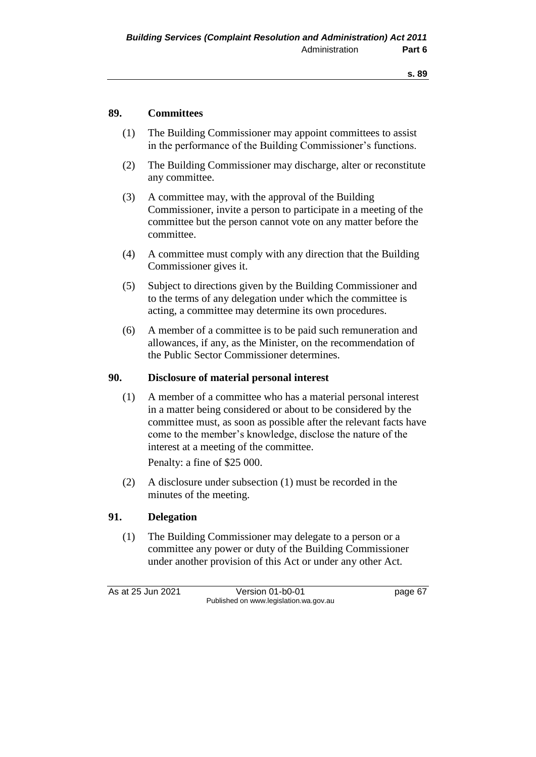### **89. Committees**

- (1) The Building Commissioner may appoint committees to assist in the performance of the Building Commissioner's functions.
- (2) The Building Commissioner may discharge, alter or reconstitute any committee.
- (3) A committee may, with the approval of the Building Commissioner, invite a person to participate in a meeting of the committee but the person cannot vote on any matter before the committee.
- (4) A committee must comply with any direction that the Building Commissioner gives it.
- (5) Subject to directions given by the Building Commissioner and to the terms of any delegation under which the committee is acting, a committee may determine its own procedures.
- (6) A member of a committee is to be paid such remuneration and allowances, if any, as the Minister, on the recommendation of the Public Sector Commissioner determines.

### **90. Disclosure of material personal interest**

(1) A member of a committee who has a material personal interest in a matter being considered or about to be considered by the committee must, as soon as possible after the relevant facts have come to the member's knowledge, disclose the nature of the interest at a meeting of the committee.

Penalty: a fine of \$25 000.

(2) A disclosure under subsection (1) must be recorded in the minutes of the meeting.

# **91. Delegation**

(1) The Building Commissioner may delegate to a person or a committee any power or duty of the Building Commissioner under another provision of this Act or under any other Act.

As at 25 Jun 2021 Version 01-b0-01 page 67 Published on www.legislation.wa.gov.au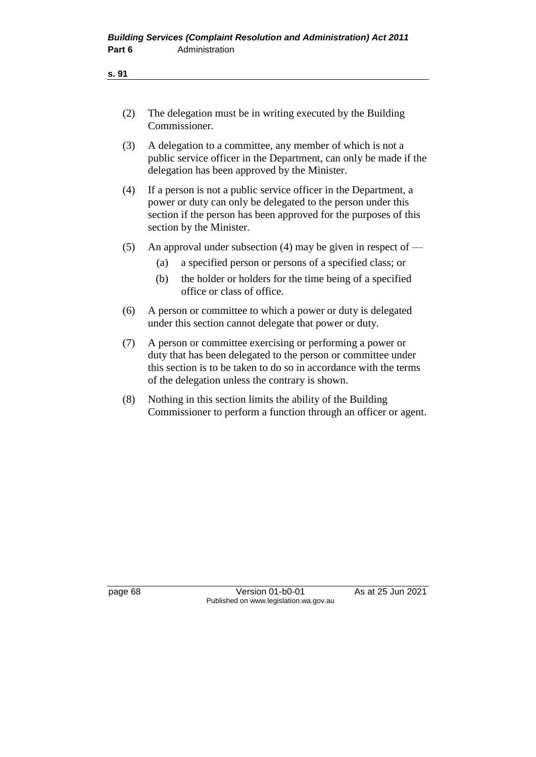| ۰. | ×<br>۰. |
|----|---------|
|    |         |

- (2) The delegation must be in writing executed by the Building Commissioner.
- (3) A delegation to a committee, any member of which is not a public service officer in the Department, can only be made if the delegation has been approved by the Minister.
- (4) If a person is not a public service officer in the Department, a power or duty can only be delegated to the person under this section if the person has been approved for the purposes of this section by the Minister.
- (5) An approval under subsection (4) may be given in respect of  $-$ 
	- (a) a specified person or persons of a specified class; or
	- (b) the holder or holders for the time being of a specified office or class of office.
- (6) A person or committee to which a power or duty is delegated under this section cannot delegate that power or duty.
- (7) A person or committee exercising or performing a power or duty that has been delegated to the person or committee under this section is to be taken to do so in accordance with the terms of the delegation unless the contrary is shown.
- (8) Nothing in this section limits the ability of the Building Commissioner to perform a function through an officer or agent.

page 68 Version 01-b0-01 As at 25 Jun 2021 Published on www.legislation.wa.gov.au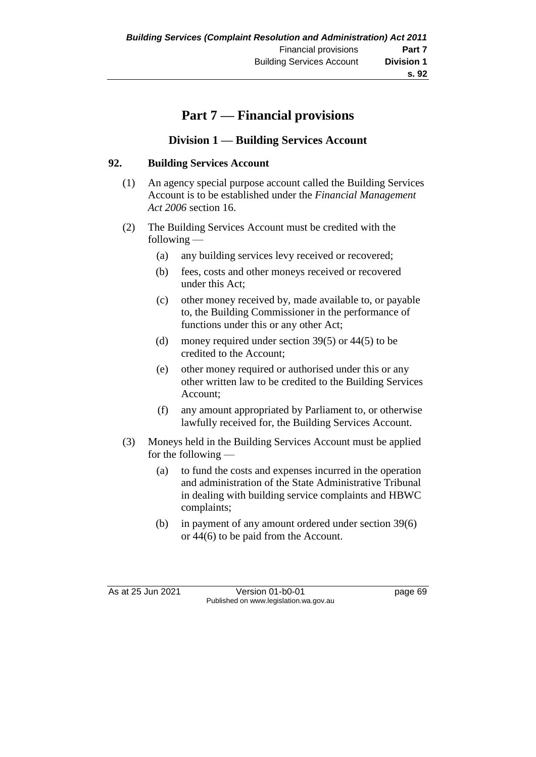# **Part 7 — Financial provisions**

# **Division 1 — Building Services Account**

### **92. Building Services Account**

- (1) An agency special purpose account called the Building Services Account is to be established under the *Financial Management Act 2006* section 16.
- (2) The Building Services Account must be credited with the following —
	- (a) any building services levy received or recovered;
	- (b) fees, costs and other moneys received or recovered under this Act;
	- (c) other money received by, made available to, or payable to, the Building Commissioner in the performance of functions under this or any other Act;
	- (d) money required under section 39(5) or  $44(5)$  to be credited to the Account;
	- (e) other money required or authorised under this or any other written law to be credited to the Building Services Account;
	- (f) any amount appropriated by Parliament to, or otherwise lawfully received for, the Building Services Account.
- (3) Moneys held in the Building Services Account must be applied for the following —
	- (a) to fund the costs and expenses incurred in the operation and administration of the State Administrative Tribunal in dealing with building service complaints and HBWC complaints;
	- (b) in payment of any amount ordered under section 39(6) or 44(6) to be paid from the Account.

As at 25 Jun 2021 Version 01-b0-01 page 69 Published on www.legislation.wa.gov.au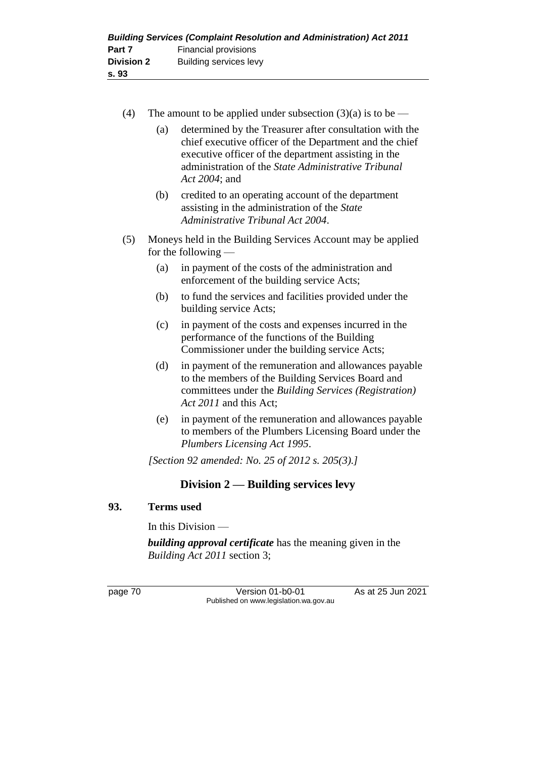| <b>Building Services (Complaint Resolution and Administration) Act 2011</b> |                        |  |  |
|-----------------------------------------------------------------------------|------------------------|--|--|
| Part 7                                                                      | Financial provisions   |  |  |
| <b>Division 2</b>                                                           | Building services levy |  |  |
| s. 93                                                                       |                        |  |  |

- (4) The amount to be applied under subsection  $(3)(a)$  is to be
	- (a) determined by the Treasurer after consultation with the chief executive officer of the Department and the chief executive officer of the department assisting in the administration of the *State Administrative Tribunal Act 2004*; and
	- (b) credited to an operating account of the department assisting in the administration of the *State Administrative Tribunal Act 2004*.
- (5) Moneys held in the Building Services Account may be applied for the following —
	- (a) in payment of the costs of the administration and enforcement of the building service Acts;
	- (b) to fund the services and facilities provided under the building service Acts;
	- (c) in payment of the costs and expenses incurred in the performance of the functions of the Building Commissioner under the building service Acts;
	- (d) in payment of the remuneration and allowances payable to the members of the Building Services Board and committees under the *Building Services (Registration) Act 2011* and this Act;
	- (e) in payment of the remuneration and allowances payable to members of the Plumbers Licensing Board under the *Plumbers Licensing Act 1995*.

*[Section 92 amended: No. 25 of 2012 s. 205(3).]*

# **Division 2 — Building services levy**

# **93. Terms used**

In this Division —

*building approval certificate* has the meaning given in the *Building Act 2011* section 3;

page 70 Version 01-b0-01 As at 25 Jun 2021 Published on www.legislation.wa.gov.au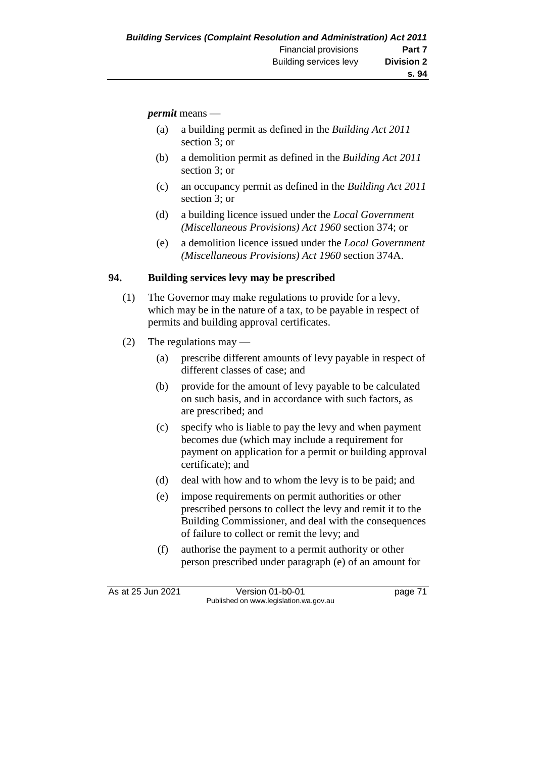*permit* means —

- (a) a building permit as defined in the *Building Act 2011*  section 3; or
- (b) a demolition permit as defined in the *Building Act 2011*  section 3; or
- (c) an occupancy permit as defined in the *Building Act 2011*  section 3; or
- (d) a building licence issued under the *Local Government (Miscellaneous Provisions) Act 1960* section 374; or
- (e) a demolition licence issued under the *Local Government (Miscellaneous Provisions) Act 1960* section 374A.

# **94. Building services levy may be prescribed**

- (1) The Governor may make regulations to provide for a levy, which may be in the nature of a tax, to be payable in respect of permits and building approval certificates.
- (2) The regulations may
	- (a) prescribe different amounts of levy payable in respect of different classes of case; and
	- (b) provide for the amount of levy payable to be calculated on such basis, and in accordance with such factors, as are prescribed; and
	- (c) specify who is liable to pay the levy and when payment becomes due (which may include a requirement for payment on application for a permit or building approval certificate); and
	- (d) deal with how and to whom the levy is to be paid; and
	- (e) impose requirements on permit authorities or other prescribed persons to collect the levy and remit it to the Building Commissioner, and deal with the consequences of failure to collect or remit the levy; and
	- (f) authorise the payment to a permit authority or other person prescribed under paragraph (e) of an amount for

As at 25 Jun 2021 Version 01-b0-01 page 71 Published on www.legislation.wa.gov.au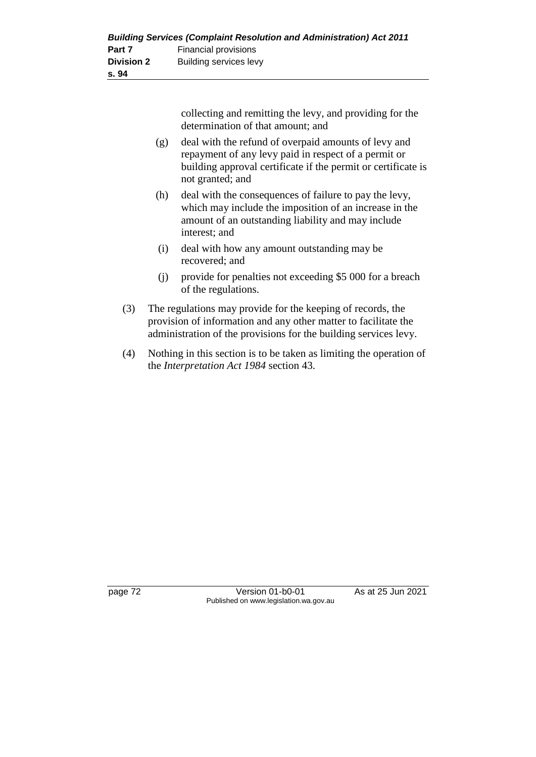| <b>Building Services (Complaint Resolution and Administration) Act 2011</b> |                        |  |  |
|-----------------------------------------------------------------------------|------------------------|--|--|
| Part 7                                                                      | Financial provisions   |  |  |
| <b>Division 2</b>                                                           | Building services levy |  |  |
| s. 94                                                                       |                        |  |  |

collecting and remitting the levy, and providing for the determination of that amount; and

- (g) deal with the refund of overpaid amounts of levy and repayment of any levy paid in respect of a permit or building approval certificate if the permit or certificate is not granted; and
- (h) deal with the consequences of failure to pay the levy, which may include the imposition of an increase in the amount of an outstanding liability and may include interest; and
- (i) deal with how any amount outstanding may be recovered; and
- (j) provide for penalties not exceeding \$5 000 for a breach of the regulations.
- (3) The regulations may provide for the keeping of records, the provision of information and any other matter to facilitate the administration of the provisions for the building services levy.
- (4) Nothing in this section is to be taken as limiting the operation of the *Interpretation Act 1984* section 43.

page 72 Version 01-b0-01 As at 25 Jun 2021 Published on www.legislation.wa.gov.au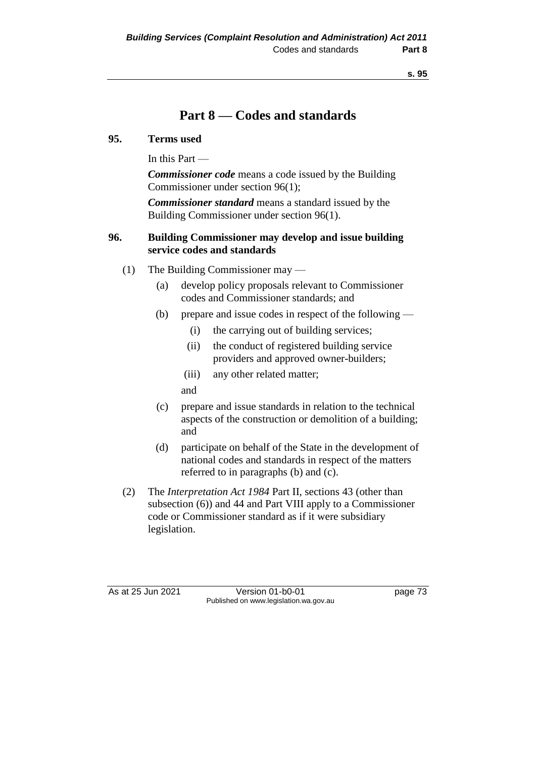# **Part 8 — Codes and standards**

### **95. Terms used**

In this Part —

*Commissioner code* means a code issued by the Building Commissioner under section 96(1);

*Commissioner standard* means a standard issued by the Building Commissioner under section 96(1).

# **96. Building Commissioner may develop and issue building service codes and standards**

- (1) The Building Commissioner may
	- (a) develop policy proposals relevant to Commissioner codes and Commissioner standards; and
	- (b) prepare and issue codes in respect of the following
		- (i) the carrying out of building services;
		- (ii) the conduct of registered building service providers and approved owner-builders;
		- (iii) any other related matter;

and

- (c) prepare and issue standards in relation to the technical aspects of the construction or demolition of a building; and
- (d) participate on behalf of the State in the development of national codes and standards in respect of the matters referred to in paragraphs (b) and (c).
- (2) The *Interpretation Act 1984* Part II, sections 43 (other than subsection (6)) and 44 and Part VIII apply to a Commissioner code or Commissioner standard as if it were subsidiary legislation.

As at 25 Jun 2021 Version 01-b0-01 Page 73 Published on www.legislation.wa.gov.au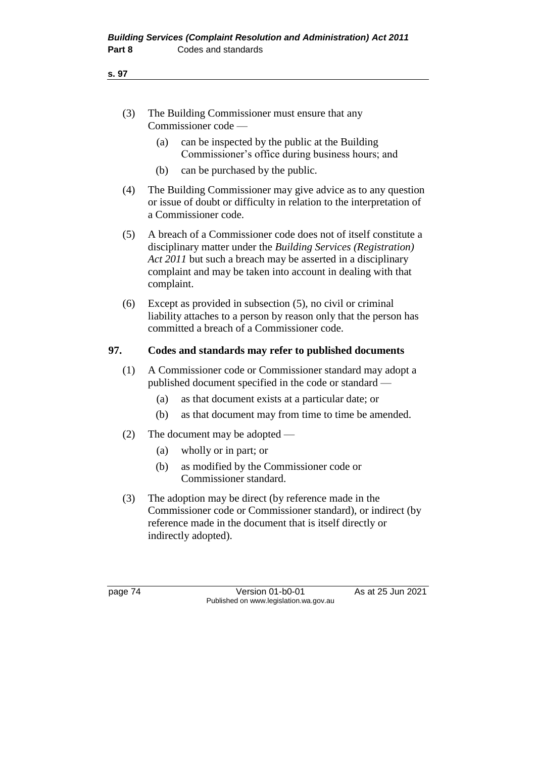- (3) The Building Commissioner must ensure that any Commissioner code —
	- (a) can be inspected by the public at the Building Commissioner's office during business hours; and
	- (b) can be purchased by the public.
- (4) The Building Commissioner may give advice as to any question or issue of doubt or difficulty in relation to the interpretation of a Commissioner code.
- (5) A breach of a Commissioner code does not of itself constitute a disciplinary matter under the *Building Services (Registration) Act 2011* but such a breach may be asserted in a disciplinary complaint and may be taken into account in dealing with that complaint.
- (6) Except as provided in subsection (5), no civil or criminal liability attaches to a person by reason only that the person has committed a breach of a Commissioner code.

# **97. Codes and standards may refer to published documents**

- (1) A Commissioner code or Commissioner standard may adopt a published document specified in the code or standard —
	- (a) as that document exists at a particular date; or
	- (b) as that document may from time to time be amended.
- (2) The document may be adopted
	- (a) wholly or in part; or
	- (b) as modified by the Commissioner code or Commissioner standard.
- (3) The adoption may be direct (by reference made in the Commissioner code or Commissioner standard), or indirect (by reference made in the document that is itself directly or indirectly adopted).

page 74 Version 01-b0-01 As at 25 Jun 2021 Published on www.legislation.wa.gov.au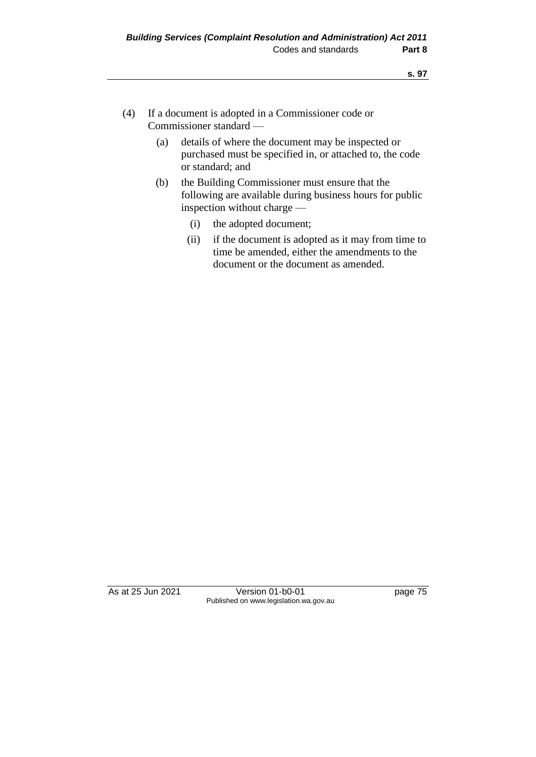- (4) If a document is adopted in a Commissioner code or Commissioner standard —
	- (a) details of where the document may be inspected or purchased must be specified in, or attached to, the code or standard; and
	- (b) the Building Commissioner must ensure that the following are available during business hours for public inspection without charge —
		- (i) the adopted document;
		- (ii) if the document is adopted as it may from time to time be amended, either the amendments to the document or the document as amended.

As at 25 Jun 2021 Version 01-b0-01 page 75 Published on www.legislation.wa.gov.au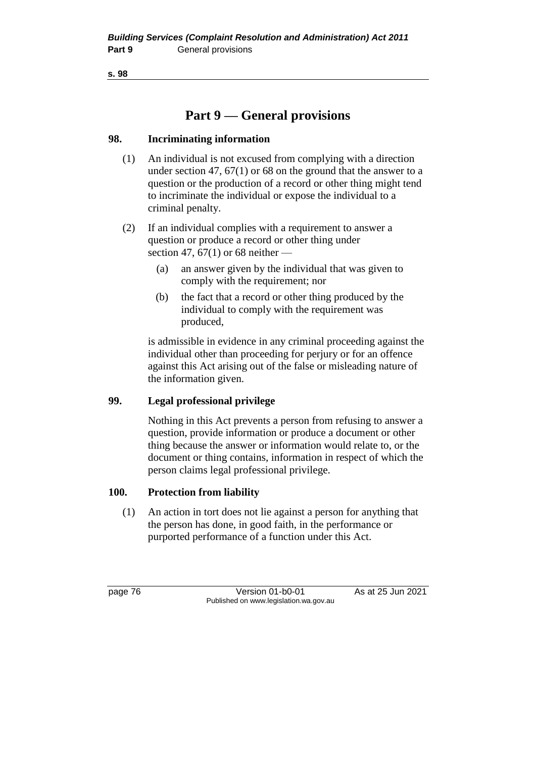**s. 98**

# **Part 9 — General provisions**

# **98. Incriminating information**

- (1) An individual is not excused from complying with a direction under section 47, 67(1) or 68 on the ground that the answer to a question or the production of a record or other thing might tend to incriminate the individual or expose the individual to a criminal penalty.
- (2) If an individual complies with a requirement to answer a question or produce a record or other thing under section 47, 67(1) or 68 neither  $-$ 
	- (a) an answer given by the individual that was given to comply with the requirement; nor
	- (b) the fact that a record or other thing produced by the individual to comply with the requirement was produced,

is admissible in evidence in any criminal proceeding against the individual other than proceeding for perjury or for an offence against this Act arising out of the false or misleading nature of the information given.

# **99. Legal professional privilege**

Nothing in this Act prevents a person from refusing to answer a question, provide information or produce a document or other thing because the answer or information would relate to, or the document or thing contains, information in respect of which the person claims legal professional privilege.

# **100. Protection from liability**

(1) An action in tort does not lie against a person for anything that the person has done, in good faith, in the performance or purported performance of a function under this Act.

page 76 Version 01-b0-01 As at 25 Jun 2021 Published on www.legislation.wa.gov.au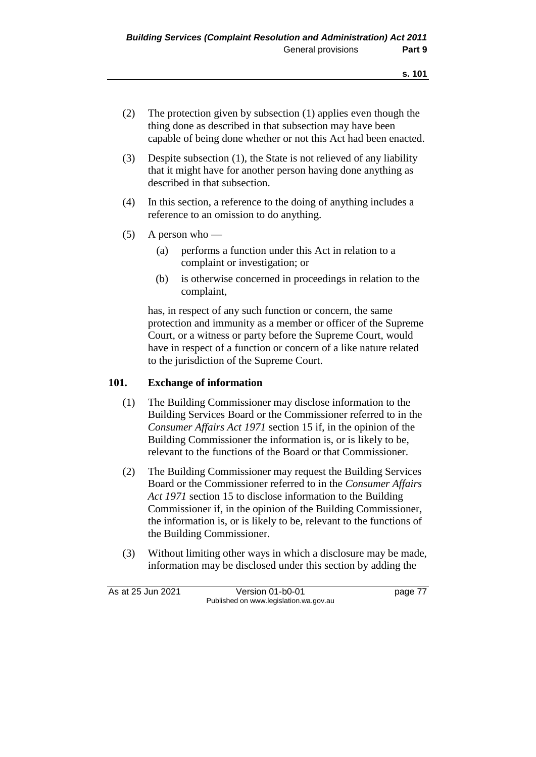- (2) The protection given by subsection (1) applies even though the thing done as described in that subsection may have been capable of being done whether or not this Act had been enacted.
- (3) Despite subsection (1), the State is not relieved of any liability that it might have for another person having done anything as described in that subsection.
- (4) In this section, a reference to the doing of anything includes a reference to an omission to do anything.
- (5) A person who
	- (a) performs a function under this Act in relation to a complaint or investigation; or
	- (b) is otherwise concerned in proceedings in relation to the complaint,

has, in respect of any such function or concern, the same protection and immunity as a member or officer of the Supreme Court, or a witness or party before the Supreme Court, would have in respect of a function or concern of a like nature related to the jurisdiction of the Supreme Court.

# **101. Exchange of information**

- (1) The Building Commissioner may disclose information to the Building Services Board or the Commissioner referred to in the *Consumer Affairs Act 1971* section 15 if, in the opinion of the Building Commissioner the information is, or is likely to be, relevant to the functions of the Board or that Commissioner.
- (2) The Building Commissioner may request the Building Services Board or the Commissioner referred to in the *Consumer Affairs Act 1971* section 15 to disclose information to the Building Commissioner if, in the opinion of the Building Commissioner, the information is, or is likely to be, relevant to the functions of the Building Commissioner.
- (3) Without limiting other ways in which a disclosure may be made, information may be disclosed under this section by adding the

As at 25 Jun 2021 Version 01-b0-01 page 77 Published on www.legislation.wa.gov.au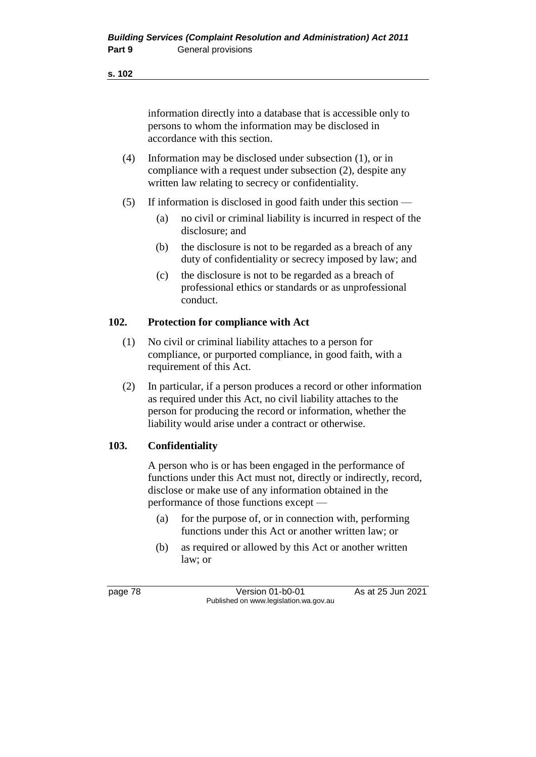#### **s. 102**

information directly into a database that is accessible only to persons to whom the information may be disclosed in accordance with this section.

- (4) Information may be disclosed under subsection (1), or in compliance with a request under subsection (2), despite any written law relating to secrecy or confidentiality.
- (5) If information is disclosed in good faith under this section
	- (a) no civil or criminal liability is incurred in respect of the disclosure; and
	- (b) the disclosure is not to be regarded as a breach of any duty of confidentiality or secrecy imposed by law; and
	- (c) the disclosure is not to be regarded as a breach of professional ethics or standards or as unprofessional conduct.

### **102. Protection for compliance with Act**

- (1) No civil or criminal liability attaches to a person for compliance, or purported compliance, in good faith, with a requirement of this Act.
- (2) In particular, if a person produces a record or other information as required under this Act, no civil liability attaches to the person for producing the record or information, whether the liability would arise under a contract or otherwise.

# **103. Confidentiality**

A person who is or has been engaged in the performance of functions under this Act must not, directly or indirectly, record, disclose or make use of any information obtained in the performance of those functions except —

- (a) for the purpose of, or in connection with, performing functions under this Act or another written law; or
- (b) as required or allowed by this Act or another written law; or

page 78 Version 01-b0-01 As at 25 Jun 2021 Published on www.legislation.wa.gov.au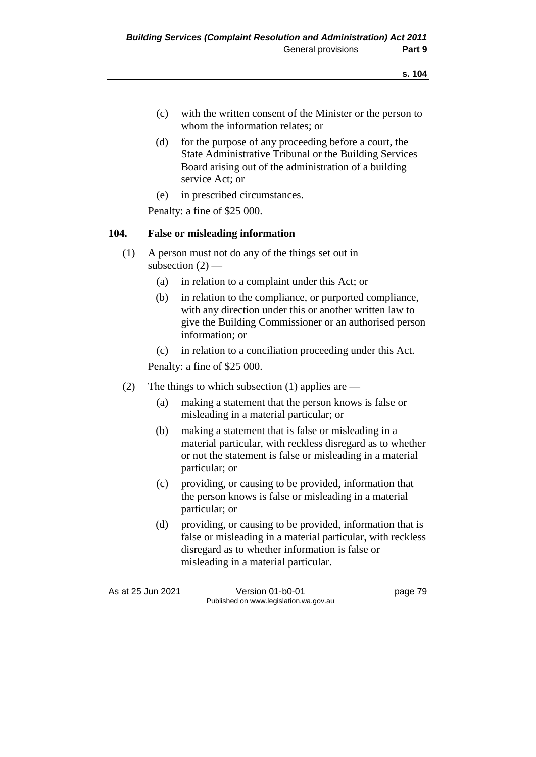- (c) with the written consent of the Minister or the person to whom the information relates; or
- (d) for the purpose of any proceeding before a court, the State Administrative Tribunal or the Building Services Board arising out of the administration of a building service Act; or
- (e) in prescribed circumstances.

Penalty: a fine of \$25 000.

# **104. False or misleading information**

- (1) A person must not do any of the things set out in subsection  $(2)$  —
	- (a) in relation to a complaint under this Act; or
	- (b) in relation to the compliance, or purported compliance, with any direction under this or another written law to give the Building Commissioner or an authorised person information; or
	- (c) in relation to a conciliation proceeding under this Act.

Penalty: a fine of \$25 000.

- (2) The things to which subsection (1) applies are
	- (a) making a statement that the person knows is false or misleading in a material particular; or
	- (b) making a statement that is false or misleading in a material particular, with reckless disregard as to whether or not the statement is false or misleading in a material particular; or
	- (c) providing, or causing to be provided, information that the person knows is false or misleading in a material particular; or
	- (d) providing, or causing to be provided, information that is false or misleading in a material particular, with reckless disregard as to whether information is false or misleading in a material particular.

As at 25 Jun 2021 Version 01-b0-01 Page 79

Published on www.legislation.wa.gov.au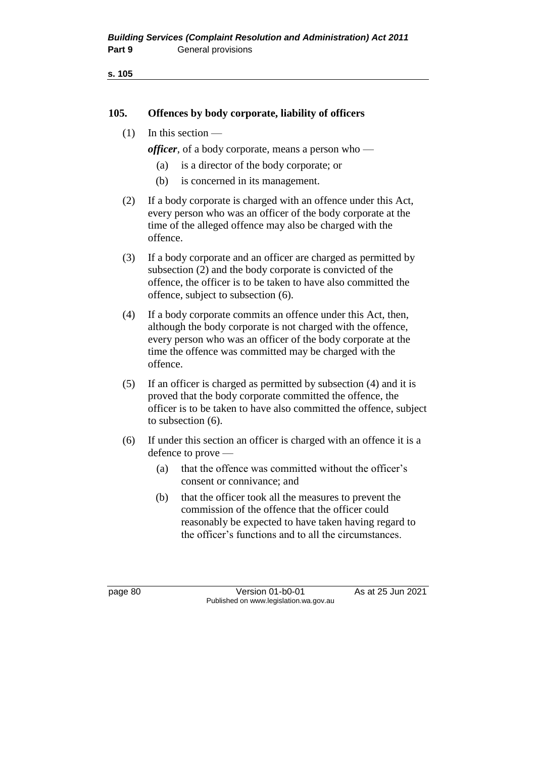### **105. Offences by body corporate, liability of officers**

(1) In this section —

*officer*, of a body corporate, means a person who —

- (a) is a director of the body corporate; or
- (b) is concerned in its management.
- (2) If a body corporate is charged with an offence under this Act, every person who was an officer of the body corporate at the time of the alleged offence may also be charged with the offence.
- (3) If a body corporate and an officer are charged as permitted by subsection (2) and the body corporate is convicted of the offence, the officer is to be taken to have also committed the offence, subject to subsection (6).
- (4) If a body corporate commits an offence under this Act, then, although the body corporate is not charged with the offence, every person who was an officer of the body corporate at the time the offence was committed may be charged with the offence.
- (5) If an officer is charged as permitted by subsection (4) and it is proved that the body corporate committed the offence, the officer is to be taken to have also committed the offence, subject to subsection (6).
- (6) If under this section an officer is charged with an offence it is a defence to prove —
	- (a) that the offence was committed without the officer's consent or connivance; and
	- (b) that the officer took all the measures to prevent the commission of the offence that the officer could reasonably be expected to have taken having regard to the officer's functions and to all the circumstances.

page 80 Version 01-b0-01 As at 25 Jun 2021 Published on www.legislation.wa.gov.au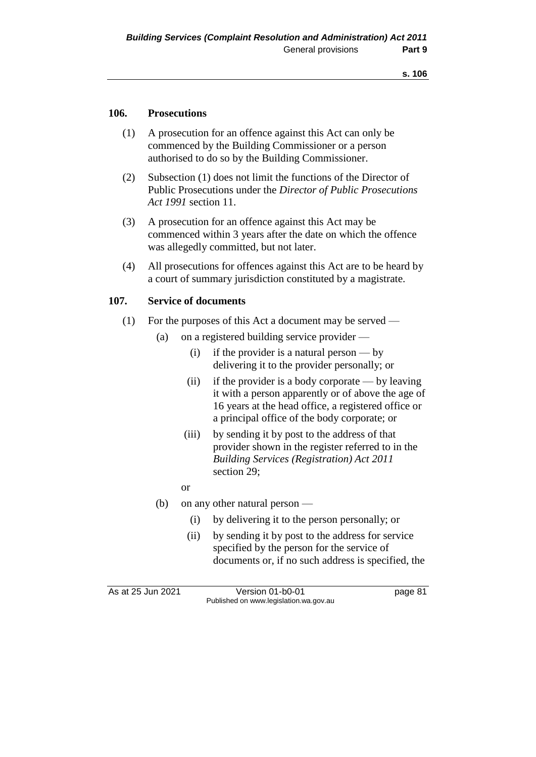### **106. Prosecutions**

- (1) A prosecution for an offence against this Act can only be commenced by the Building Commissioner or a person authorised to do so by the Building Commissioner.
- (2) Subsection (1) does not limit the functions of the Director of Public Prosecutions under the *Director of Public Prosecutions Act 1991* section 11.
- (3) A prosecution for an offence against this Act may be commenced within 3 years after the date on which the offence was allegedly committed, but not later.
- (4) All prosecutions for offences against this Act are to be heard by a court of summary jurisdiction constituted by a magistrate.

#### **107. Service of documents**

- (1) For the purposes of this Act a document may be served
	- (a) on a registered building service provider
		- (i) if the provider is a natural person by delivering it to the provider personally; or
		- (ii) if the provider is a body corporate by leaving it with a person apparently or of above the age of 16 years at the head office, a registered office or a principal office of the body corporate; or
		- (iii) by sending it by post to the address of that provider shown in the register referred to in the *Building Services (Registration) Act 2011*  section 29;
		- or
	- (b) on any other natural person
		- (i) by delivering it to the person personally; or
		- (ii) by sending it by post to the address for service specified by the person for the service of documents or, if no such address is specified, the

As at 25 Jun 2021 Version 01-b0-01 Page 81 Published on www.legislation.wa.gov.au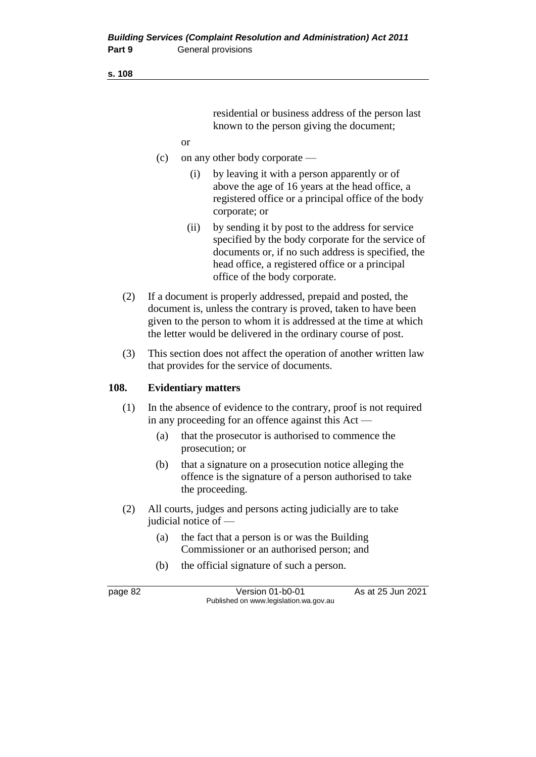#### **s. 108**

residential or business address of the person last known to the person giving the document;

- or
- (c) on any other body corporate
	- (i) by leaving it with a person apparently or of above the age of 16 years at the head office, a registered office or a principal office of the body corporate; or
	- (ii) by sending it by post to the address for service specified by the body corporate for the service of documents or, if no such address is specified, the head office, a registered office or a principal office of the body corporate.
- (2) If a document is properly addressed, prepaid and posted, the document is, unless the contrary is proved, taken to have been given to the person to whom it is addressed at the time at which the letter would be delivered in the ordinary course of post.
- (3) This section does not affect the operation of another written law that provides for the service of documents.

#### **108. Evidentiary matters**

- (1) In the absence of evidence to the contrary, proof is not required in any proceeding for an offence against this Act —
	- (a) that the prosecutor is authorised to commence the prosecution; or
	- (b) that a signature on a prosecution notice alleging the offence is the signature of a person authorised to take the proceeding.
- (2) All courts, judges and persons acting judicially are to take judicial notice of —
	- (a) the fact that a person is or was the Building Commissioner or an authorised person; and
	- (b) the official signature of such a person.

page 82 Version 01-b0-01 As at 25 Jun 2021 Published on www.legislation.wa.gov.au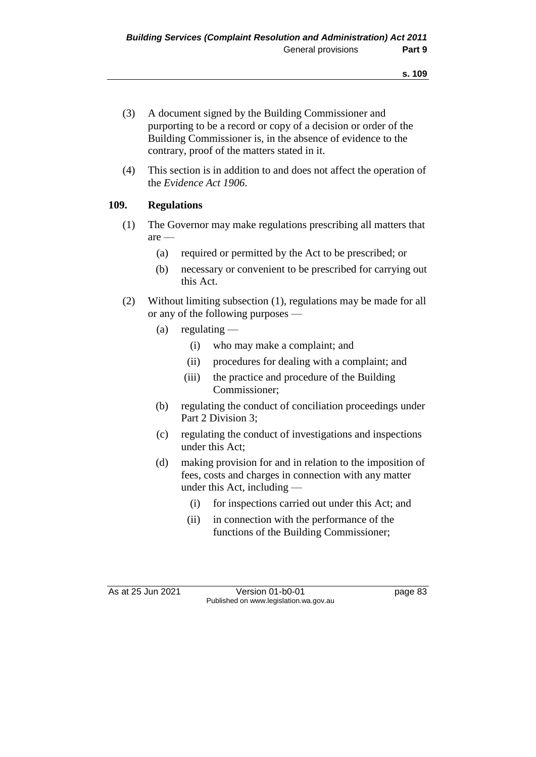- (3) A document signed by the Building Commissioner and purporting to be a record or copy of a decision or order of the Building Commissioner is, in the absence of evidence to the contrary, proof of the matters stated in it.
- (4) This section is in addition to and does not affect the operation of the *Evidence Act 1906*.

# **109. Regulations**

- (1) The Governor may make regulations prescribing all matters that are —
	- (a) required or permitted by the Act to be prescribed; or
	- (b) necessary or convenient to be prescribed for carrying out this Act.
- (2) Without limiting subsection (1), regulations may be made for all or any of the following purposes —
	- (a) regulating  $-$ 
		- (i) who may make a complaint; and
		- (ii) procedures for dealing with a complaint; and
		- (iii) the practice and procedure of the Building Commissioner;
	- (b) regulating the conduct of conciliation proceedings under Part 2 Division 3;
	- (c) regulating the conduct of investigations and inspections under this Act;
	- (d) making provision for and in relation to the imposition of fees, costs and charges in connection with any matter under this Act, including —
		- (i) for inspections carried out under this Act; and
		- (ii) in connection with the performance of the functions of the Building Commissioner;

As at 25 Jun 2021 Version 01-b0-01 Page 83 Published on www.legislation.wa.gov.au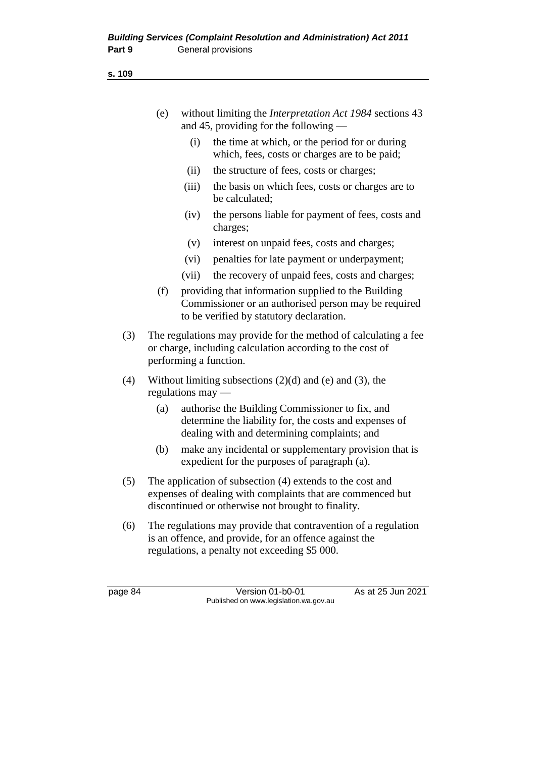**s. 109**

| (e) | without limiting the <i>Interpretation Act 1984</i> sections 43 |
|-----|-----------------------------------------------------------------|
|     | and 45, providing for the following $-$                         |

- (i) the time at which, or the period for or during which, fees, costs or charges are to be paid;
- (ii) the structure of fees, costs or charges;
- (iii) the basis on which fees, costs or charges are to be calculated;
- (iv) the persons liable for payment of fees, costs and charges;
- (v) interest on unpaid fees, costs and charges;
- (vi) penalties for late payment or underpayment;
- (vii) the recovery of unpaid fees, costs and charges;
- (f) providing that information supplied to the Building Commissioner or an authorised person may be required to be verified by statutory declaration.
- (3) The regulations may provide for the method of calculating a fee or charge, including calculation according to the cost of performing a function.
- (4) Without limiting subsections  $(2)(d)$  and  $(e)$  and  $(3)$ , the regulations may —
	- (a) authorise the Building Commissioner to fix, and determine the liability for, the costs and expenses of dealing with and determining complaints; and
	- (b) make any incidental or supplementary provision that is expedient for the purposes of paragraph (a).
- (5) The application of subsection (4) extends to the cost and expenses of dealing with complaints that are commenced but discontinued or otherwise not brought to finality.
- (6) The regulations may provide that contravention of a regulation is an offence, and provide, for an offence against the regulations, a penalty not exceeding \$5 000.

page 84 Version 01-b0-01 As at 25 Jun 2021 Published on www.legislation.wa.gov.au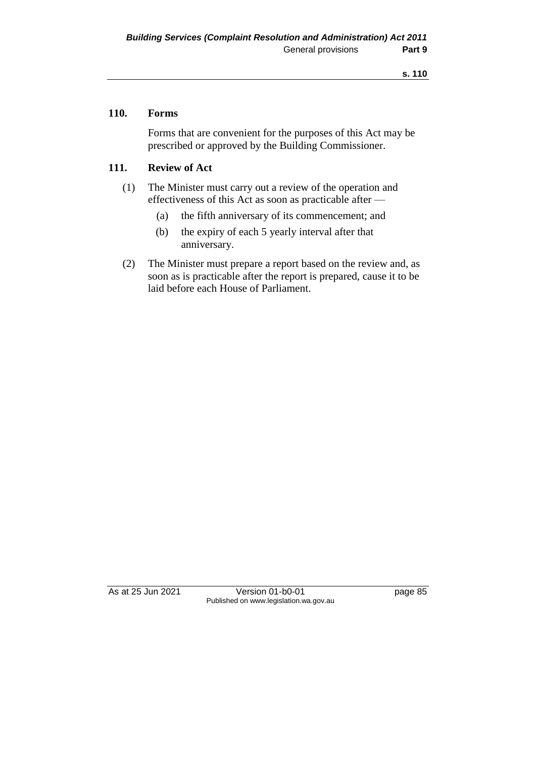### **110. Forms**

Forms that are convenient for the purposes of this Act may be prescribed or approved by the Building Commissioner.

# **111. Review of Act**

- (1) The Minister must carry out a review of the operation and effectiveness of this Act as soon as practicable after —
	- (a) the fifth anniversary of its commencement; and
	- (b) the expiry of each 5 yearly interval after that anniversary.
- (2) The Minister must prepare a report based on the review and, as soon as is practicable after the report is prepared, cause it to be laid before each House of Parliament.

As at 25 Jun 2021 Version 01-b0-01 Page 85 Published on www.legislation.wa.gov.au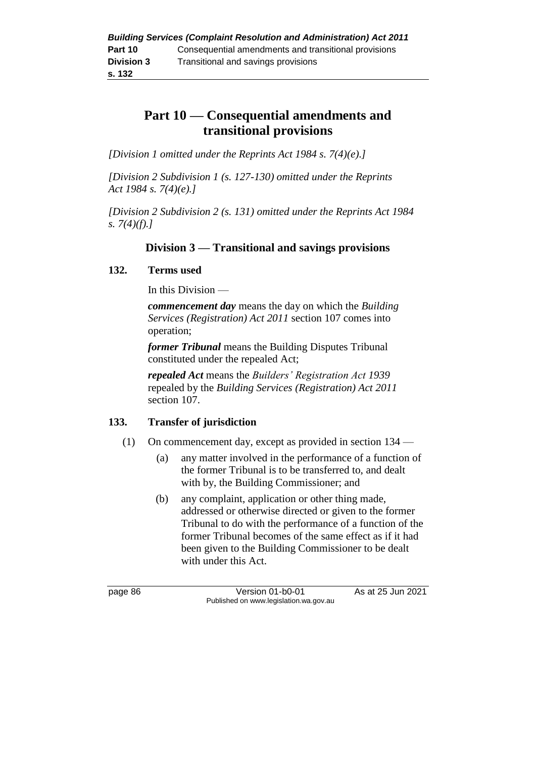# **Part 10 — Consequential amendments and transitional provisions**

*[Division 1 omitted under the Reprints Act 1984 s. 7(4)(e).]*

*[Division 2 Subdivision 1 (s. 127-130) omitted under the Reprints Act 1984 s. 7(4)(e).]*

*[Division 2 Subdivision 2 (s. 131) omitted under the Reprints Act 1984 s. 7(4)(f).]*

# **Division 3 — Transitional and savings provisions**

# **132. Terms used**

In this Division —

*commencement day* means the day on which the *Building Services (Registration) Act 2011* section 107 comes into operation;

*former Tribunal* means the Building Disputes Tribunal constituted under the repealed Act;

*repealed Act* means the *Builders' Registration Act 1939* repealed by the *Building Services (Registration) Act 2011* section 107.

# **133. Transfer of jurisdiction**

- (1) On commencement day, except as provided in section 134
	- (a) any matter involved in the performance of a function of the former Tribunal is to be transferred to, and dealt with by, the Building Commissioner; and
	- (b) any complaint, application or other thing made, addressed or otherwise directed or given to the former Tribunal to do with the performance of a function of the former Tribunal becomes of the same effect as if it had been given to the Building Commissioner to be dealt with under this Act.

page 86 **Version 01-b0-01** As at 25 Jun 2021 Published on www.legislation.wa.gov.au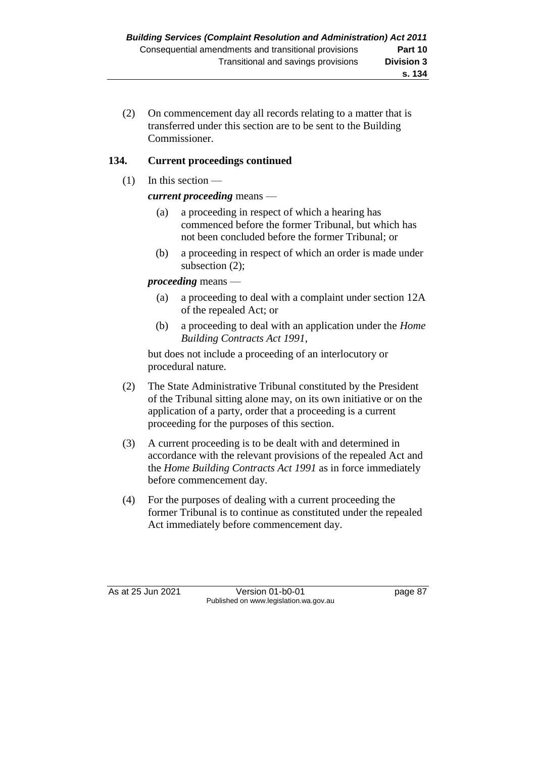(2) On commencement day all records relating to a matter that is transferred under this section are to be sent to the Building Commissioner.

# **134. Current proceedings continued**

 $(1)$  In this section —

# *current proceeding* means —

- (a) a proceeding in respect of which a hearing has commenced before the former Tribunal, but which has not been concluded before the former Tribunal; or
- (b) a proceeding in respect of which an order is made under subsection (2);

# *proceeding* means —

- (a) a proceeding to deal with a complaint under section 12A of the repealed Act; or
- (b) a proceeding to deal with an application under the *Home Building Contracts Act 1991*,

but does not include a proceeding of an interlocutory or procedural nature.

- (2) The State Administrative Tribunal constituted by the President of the Tribunal sitting alone may, on its own initiative or on the application of a party, order that a proceeding is a current proceeding for the purposes of this section.
- (3) A current proceeding is to be dealt with and determined in accordance with the relevant provisions of the repealed Act and the *Home Building Contracts Act 1991* as in force immediately before commencement day.
- (4) For the purposes of dealing with a current proceeding the former Tribunal is to continue as constituted under the repealed Act immediately before commencement day.

As at 25 Jun 2021 Version 01-b0-01 page 87 Published on www.legislation.wa.gov.au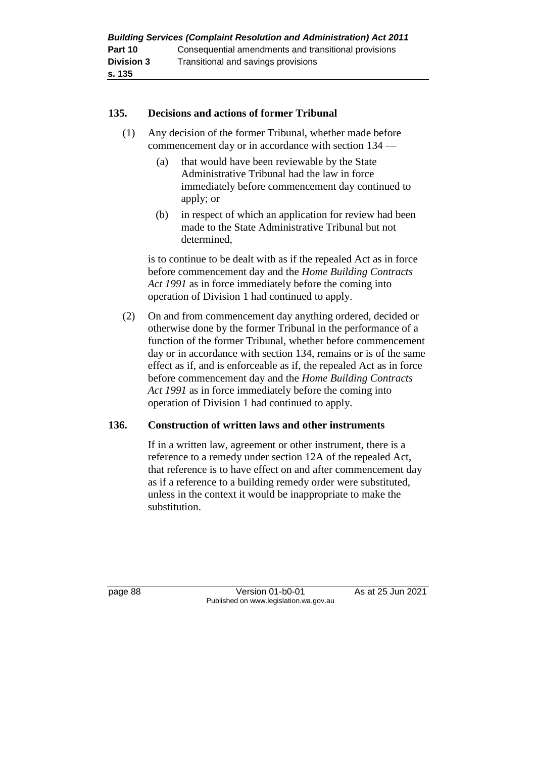### **135. Decisions and actions of former Tribunal**

- (1) Any decision of the former Tribunal, whether made before commencement day or in accordance with section 134 —
	- (a) that would have been reviewable by the State Administrative Tribunal had the law in force immediately before commencement day continued to apply; or
	- (b) in respect of which an application for review had been made to the State Administrative Tribunal but not determined,

is to continue to be dealt with as if the repealed Act as in force before commencement day and the *Home Building Contracts Act 1991* as in force immediately before the coming into operation of Division 1 had continued to apply.

(2) On and from commencement day anything ordered, decided or otherwise done by the former Tribunal in the performance of a function of the former Tribunal, whether before commencement day or in accordance with section 134, remains or is of the same effect as if, and is enforceable as if, the repealed Act as in force before commencement day and the *Home Building Contracts Act 1991* as in force immediately before the coming into operation of Division 1 had continued to apply.

# **136. Construction of written laws and other instruments**

If in a written law, agreement or other instrument, there is a reference to a remedy under section 12A of the repealed Act, that reference is to have effect on and after commencement day as if a reference to a building remedy order were substituted, unless in the context it would be inappropriate to make the substitution.

page 88 Version 01-b0-01 As at 25 Jun 2021 Published on www.legislation.wa.gov.au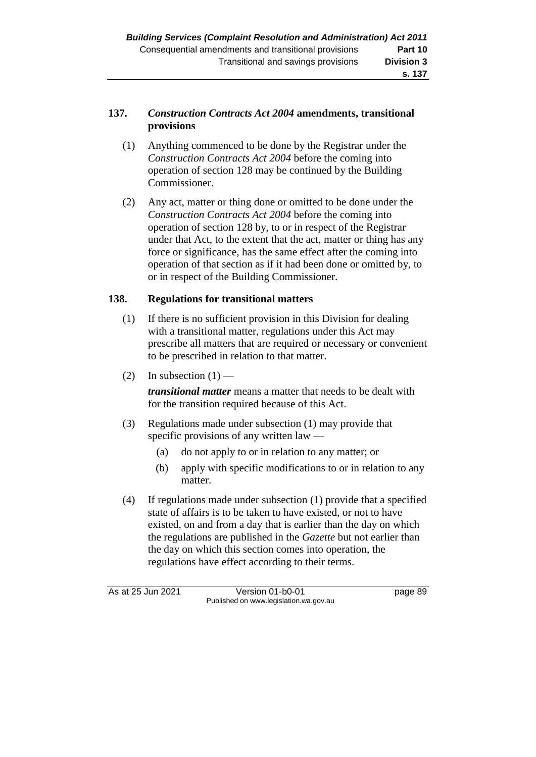# **137.** *Construction Contracts Act 2004* **amendments, transitional provisions**

- (1) Anything commenced to be done by the Registrar under the *Construction Contracts Act 2004* before the coming into operation of section 128 may be continued by the Building Commissioner.
- (2) Any act, matter or thing done or omitted to be done under the *Construction Contracts Act 2004* before the coming into operation of section 128 by, to or in respect of the Registrar under that Act, to the extent that the act, matter or thing has any force or significance, has the same effect after the coming into operation of that section as if it had been done or omitted by, to or in respect of the Building Commissioner.

# **138. Regulations for transitional matters**

- (1) If there is no sufficient provision in this Division for dealing with a transitional matter, regulations under this Act may prescribe all matters that are required or necessary or convenient to be prescribed in relation to that matter.
- (2) In subsection  $(1)$  —

*transitional matter* means a matter that needs to be dealt with for the transition required because of this Act.

- (3) Regulations made under subsection (1) may provide that specific provisions of any written law —
	- (a) do not apply to or in relation to any matter; or
	- (b) apply with specific modifications to or in relation to any matter.
- (4) If regulations made under subsection (1) provide that a specified state of affairs is to be taken to have existed, or not to have existed, on and from a day that is earlier than the day on which the regulations are published in the *Gazette* but not earlier than the day on which this section comes into operation, the regulations have effect according to their terms.

As at 25 Jun 2021 Version 01-b0-01 page 89 Published on www.legislation.wa.gov.au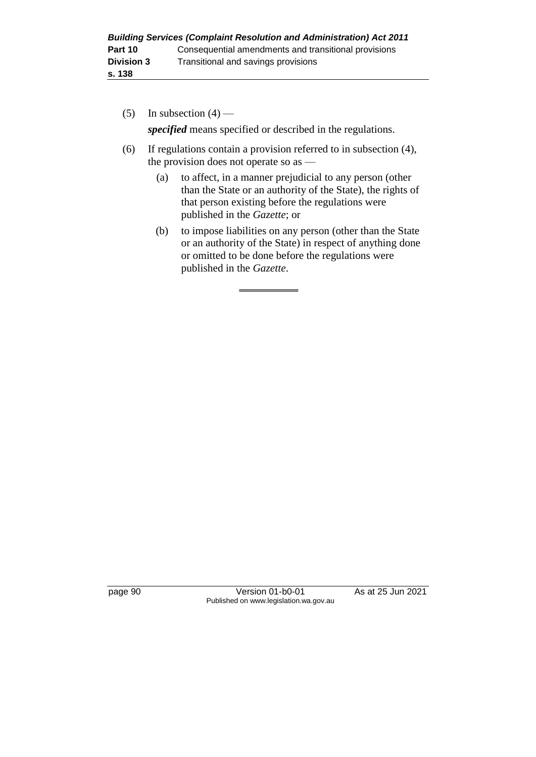| <b>Building Services (Complaint Resolution and Administration) Act 2011</b> |                                                      |  |  |
|-----------------------------------------------------------------------------|------------------------------------------------------|--|--|
| Part 10                                                                     | Consequential amendments and transitional provisions |  |  |
| <b>Division 3</b>                                                           | Transitional and savings provisions                  |  |  |
| s. 138                                                                      |                                                      |  |  |

- (5) In subsection  $(4)$  *specified* means specified or described in the regulations.
- (6) If regulations contain a provision referred to in subsection (4), the provision does not operate so as —
	- (a) to affect, in a manner prejudicial to any person (other than the State or an authority of the State), the rights of that person existing before the regulations were published in the *Gazette*; or
	- (b) to impose liabilities on any person (other than the State or an authority of the State) in respect of anything done or omitted to be done before the regulations were published in the *Gazette*.

page 90 Version 01-b0-01 As at 25 Jun 2021 Published on www.legislation.wa.gov.au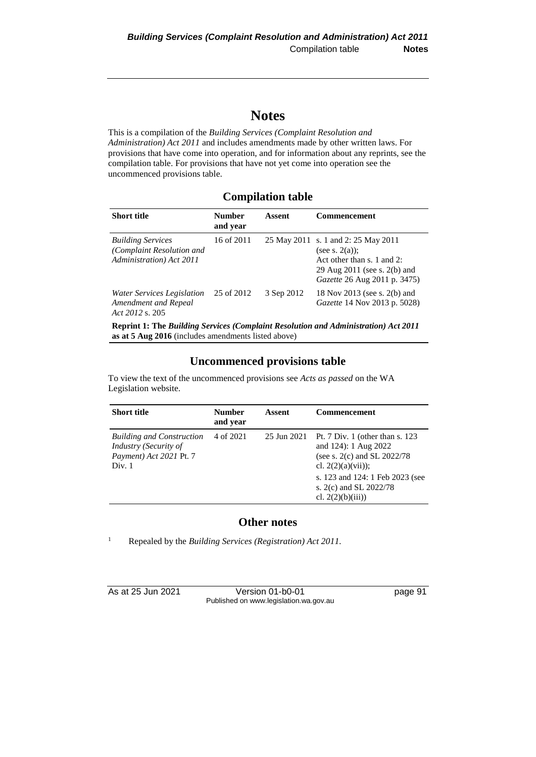# **Notes**

This is a compilation of the *Building Services (Complaint Resolution and Administration) Act 2011* and includes amendments made by other written laws. For provisions that have come into operation, and for information about any reprints, see the compilation table. For provisions that have not yet come into operation see the uncommenced provisions table.

# **Compilation table**

| <b>Short title</b>                                                                | Number<br>and year | Assent     | <b>Commencement</b>                                                                                                                                       |
|-----------------------------------------------------------------------------------|--------------------|------------|-----------------------------------------------------------------------------------------------------------------------------------------------------------|
| <b>Building Services</b><br>(Complaint Resolution and<br>Administration) Act 2011 | 16 of 2011         |            | 25 May 2011 s. 1 and 2: 25 May 2011<br>(see s. $2(a)$ );<br>Act other than $s$ , 1 and 2:<br>29 Aug 2011 (see s. 2(b) and<br>Gazette 26 Aug 2011 p. 3475) |
| Water Services Legislation<br>Amendment and Repeal<br>Act 2012 s. 205             | 25 of 2012         | 3 Sep 2012 | 18 Nov 2013 (see s. 2(b) and<br>Gazette 14 Nov 2013 p. 5028)                                                                                              |
|                                                                                   |                    |            |                                                                                                                                                           |

**Reprint 1: The** *Building Services (Complaint Resolution and Administration) Act 2011* **as at 5 Aug 2016** (includes amendments listed above)

# **Uncommenced provisions table**

To view the text of the uncommenced provisions see *Acts as passed* on the WA Legislation website.

| <b>Short title</b>                                                                             | <b>Number</b><br>and year | Assent      | <b>Commencement</b>                                                                                                                                                                                               |
|------------------------------------------------------------------------------------------------|---------------------------|-------------|-------------------------------------------------------------------------------------------------------------------------------------------------------------------------------------------------------------------|
| <b>Building and Construction</b><br>Industry (Security of<br>Payment) Act 2021 Pt. 7<br>Div. 1 | 4 of 2021                 | 25 Jun 2021 | Pt. $7 \text{ Div. } 1$ (other than s. 123)<br>and 124): 1 Aug 2022<br>(see s. $2(c)$ and SL $2022/78$<br>cl. $2(2)(a)(vii)$ ;<br>s. 123 and 124: 1 Feb 2023 (see<br>s. 2(c) and SL 2022/78<br>cl. $2(2)(b)(iii)$ |

#### **Other notes**

<sup>1</sup> Repealed by the *Building Services (Registration) Act 2011.*

| As at 25 Jun 2021 | Version 01-b0-01                       | page 91 |
|-------------------|----------------------------------------|---------|
|                   | Published on www.legislation.wa.gov.au |         |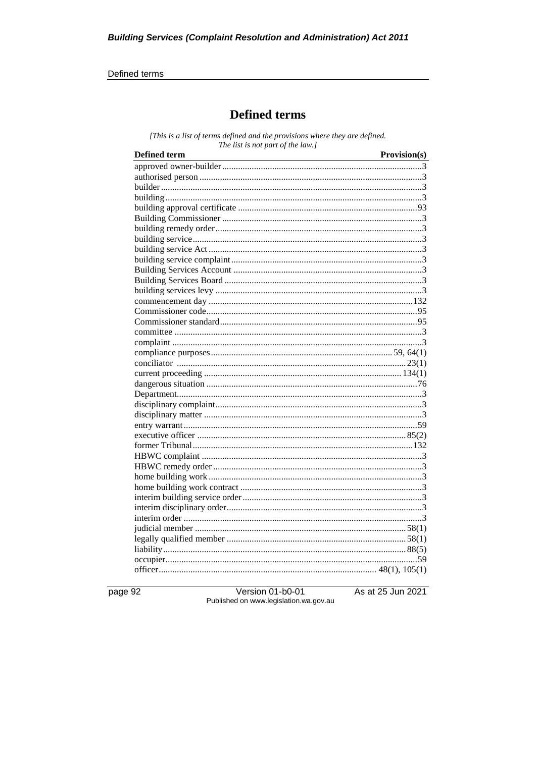#### Defined terms

# **Defined terms**

[This is a list of terms defined and the provisions where they are defined. The list is not part of the law.]

| <b>Defined term</b> | Provision(s) |
|---------------------|--------------|
|                     |              |
|                     |              |
|                     |              |
|                     |              |
|                     |              |
|                     |              |
|                     |              |
|                     |              |
|                     |              |
|                     |              |
|                     |              |
|                     |              |
|                     |              |
|                     |              |
|                     |              |
|                     |              |
|                     |              |
|                     |              |
|                     |              |
|                     |              |
|                     |              |
|                     |              |
|                     |              |
|                     |              |
|                     |              |
|                     |              |
|                     |              |
|                     |              |
|                     |              |
|                     |              |
|                     |              |
|                     |              |
|                     |              |
|                     |              |
|                     |              |
|                     |              |
|                     |              |
|                     |              |
|                     |              |
|                     |              |

page 92

Version 01-b0-01 Published on www.legislation.wa.gov.au As at 25 Jun 2021